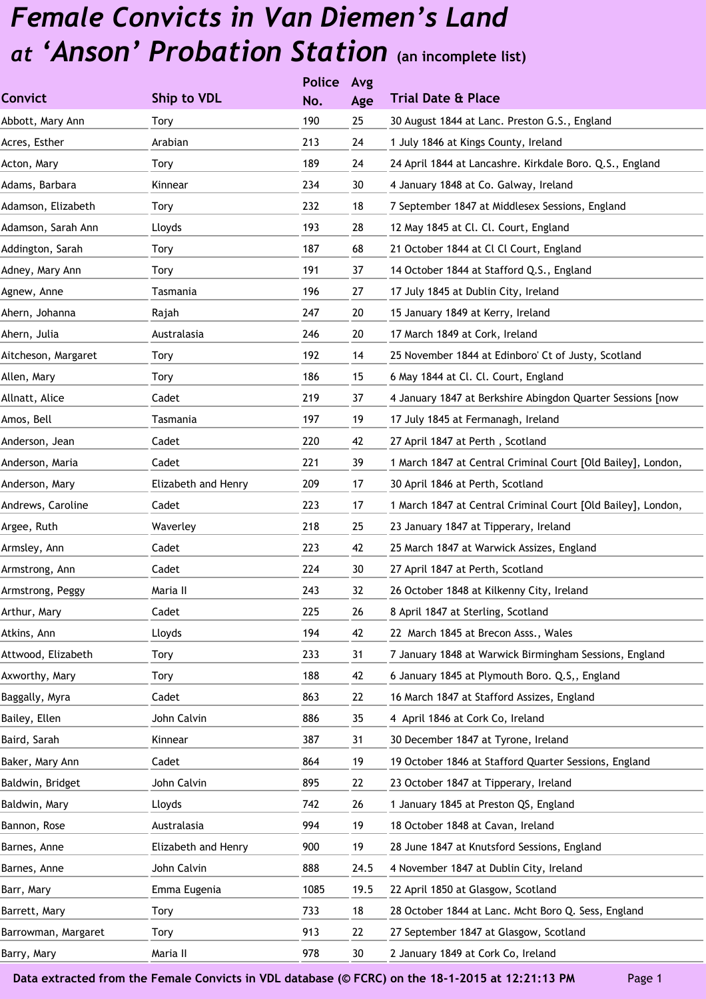|                     |                     | <b>Police</b> | Avg  |                                                              |
|---------------------|---------------------|---------------|------|--------------------------------------------------------------|
| <b>Convict</b>      | Ship to VDL         | No.           | Age  | <b>Trial Date &amp; Place</b>                                |
| Abbott, Mary Ann    | Tory                | 190           | 25   | 30 August 1844 at Lanc. Preston G.S., England                |
| Acres, Esther       | Arabian             | 213           | 24   | 1 July 1846 at Kings County, Ireland                         |
| Acton, Mary         | Tory                | 189           | 24   | 24 April 1844 at Lancashre. Kirkdale Boro. Q.S., England     |
| Adams, Barbara      | Kinnear             | 234           | 30   | 4 January 1848 at Co. Galway, Ireland                        |
| Adamson, Elizabeth  | Tory                | 232           | 18   | 7 September 1847 at Middlesex Sessions, England              |
| Adamson, Sarah Ann  | Lloyds              | 193           | 28   | 12 May 1845 at Cl. Cl. Court, England                        |
| Addington, Sarah    | Tory                | 187           | 68   | 21 October 1844 at Cl Cl Court, England                      |
| Adney, Mary Ann     | Tory                | 191           | 37   | 14 October 1844 at Stafford Q.S., England                    |
| Agnew, Anne         | Tasmania            | 196           | 27   | 17 July 1845 at Dublin City, Ireland                         |
| Ahern, Johanna      | Rajah               | 247           | 20   | 15 January 1849 at Kerry, Ireland                            |
| Ahern, Julia        | Australasia         | 246           | 20   | 17 March 1849 at Cork, Ireland                               |
| Aitcheson, Margaret | Tory                | 192           | 14   | 25 November 1844 at Edinboro' Ct of Justy, Scotland          |
| Allen, Mary         | Tory                | 186           | 15   | 6 May 1844 at Cl. Cl. Court, England                         |
| Allnatt, Alice      | Cadet               | 219           | 37   | 4 January 1847 at Berkshire Abingdon Quarter Sessions [now   |
| Amos, Bell          | Tasmania            | 197           | 19   | 17 July 1845 at Fermanagh, Ireland                           |
| Anderson, Jean      | Cadet               | 220           | 42   | 27 April 1847 at Perth, Scotland                             |
| Anderson, Maria     | Cadet               | 221           | 39   | 1 March 1847 at Central Criminal Court [Old Bailey], London, |
| Anderson, Mary      | Elizabeth and Henry | 209           | 17   | 30 April 1846 at Perth, Scotland                             |
| Andrews, Caroline   | Cadet               | 223           | 17   | 1 March 1847 at Central Criminal Court [Old Bailey], London, |
| Argee, Ruth         | Waverley            | 218           | 25   | 23 January 1847 at Tipperary, Ireland                        |
| Armsley, Ann        | Cadet               | 223           | 42   | 25 March 1847 at Warwick Assizes, England                    |
| Armstrong, Ann      | Cadet               | 224           | 30   | 27 April 1847 at Perth, Scotland                             |
| Armstrong, Peggy    | Maria II            | 243           | 32   | 26 October 1848 at Kilkenny City, Ireland                    |
| Arthur, Mary        | Cadet               | 225           | 26   | 8 April 1847 at Sterling, Scotland                           |
| Atkins, Ann         | Lloyds              | 194           | 42   | 22 March 1845 at Brecon Asss., Wales                         |
| Attwood, Elizabeth  | Tory                | 233           | 31   | 7 January 1848 at Warwick Birmingham Sessions, England       |
| Axworthy, Mary      | Tory                | 188           | 42   | 6 January 1845 at Plymouth Boro. Q.S,, England               |
| Baggally, Myra      | Cadet               | 863           | 22   | 16 March 1847 at Stafford Assizes, England                   |
| Bailey, Ellen       | John Calvin         | 886           | 35   | 4 April 1846 at Cork Co, Ireland                             |
| Baird, Sarah        | Kinnear             | 387           | 31   | 30 December 1847 at Tyrone, Ireland                          |
| Baker, Mary Ann     | Cadet               | 864           | 19   | 19 October 1846 at Stafford Quarter Sessions, England        |
| Baldwin, Bridget    | John Calvin         | 895           | 22   | 23 October 1847 at Tipperary, Ireland                        |
| Baldwin, Mary       | Lloyds              | 742           | 26   | 1 January 1845 at Preston QS, England                        |
| Bannon, Rose        | Australasia         | 994           | 19   | 18 October 1848 at Cavan, Ireland                            |
| Barnes, Anne        | Elizabeth and Henry | 900           | 19   | 28 June 1847 at Knutsford Sessions, England                  |
| Barnes, Anne        | John Calvin         | 888           | 24.5 | 4 November 1847 at Dublin City, Ireland                      |
| Barr, Mary          | Emma Eugenia        | 1085          | 19.5 | 22 April 1850 at Glasgow, Scotland                           |
| Barrett, Mary       | Tory                | 733           | 18   | 28 October 1844 at Lanc. Mcht Boro Q. Sess, England          |
| Barrowman, Margaret | Tory                | 913           | 22   | 27 September 1847 at Glasgow, Scotland                       |
| Barry, Mary         | Maria II            | 978           | 30   | 2 January 1849 at Cork Co, Ireland                           |
|                     |                     |               |      |                                                              |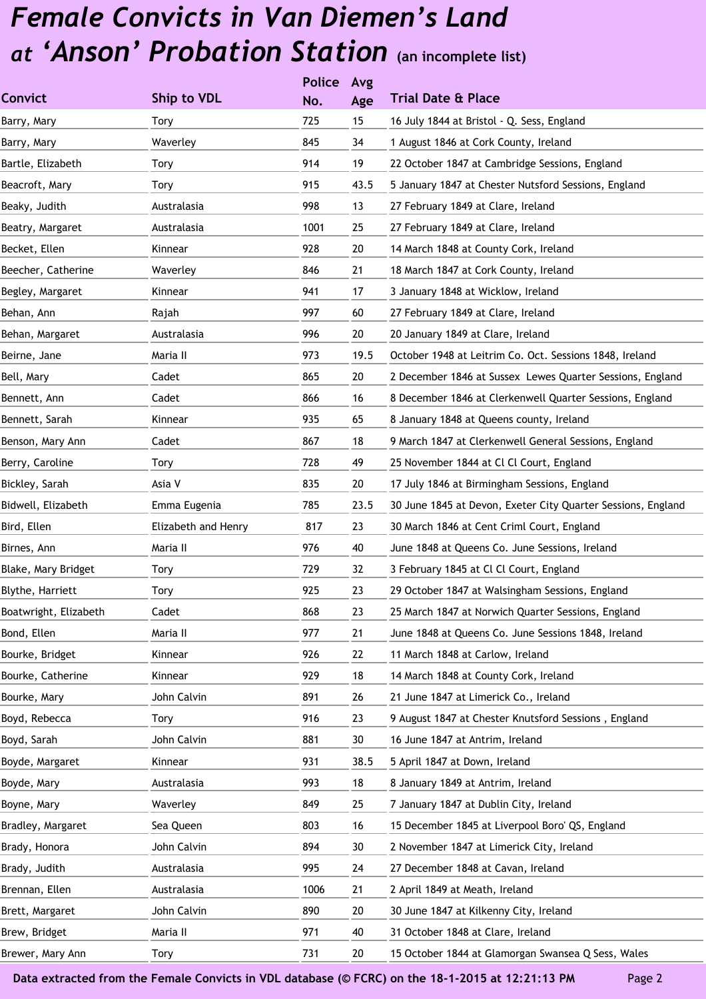|                       |                     | <b>Police</b> | Avg  |                                                              |
|-----------------------|---------------------|---------------|------|--------------------------------------------------------------|
| <b>Convict</b>        | Ship to VDL         | No.           | Age  | <b>Trial Date &amp; Place</b>                                |
| Barry, Mary           | Tory                | 725           | 15   | 16 July 1844 at Bristol - Q. Sess, England                   |
| Barry, Mary           | Waverley            | 845           | 34   | 1 August 1846 at Cork County, Ireland                        |
| Bartle, Elizabeth     | Tory                | 914           | 19   | 22 October 1847 at Cambridge Sessions, England               |
| Beacroft, Mary        | Tory                | 915           | 43.5 | 5 January 1847 at Chester Nutsford Sessions, England         |
| Beaky, Judith         | Australasia         | 998           | 13   | 27 February 1849 at Clare, Ireland                           |
| Beatry, Margaret      | Australasia         | 1001          | 25   | 27 February 1849 at Clare, Ireland                           |
| Becket, Ellen         | Kinnear             | 928           | 20   | 14 March 1848 at County Cork, Ireland                        |
| Beecher, Catherine    | Waverley            | 846           | 21   | 18 March 1847 at Cork County, Ireland                        |
| Begley, Margaret      | Kinnear             | 941           | 17   | 3 January 1848 at Wicklow, Ireland                           |
| Behan, Ann            | Rajah               | 997           | 60   | 27 February 1849 at Clare, Ireland                           |
| Behan, Margaret       | Australasia         | 996           | 20   | 20 January 1849 at Clare, Ireland                            |
| Beirne, Jane          | Maria II            | 973           | 19.5 | October 1948 at Leitrim Co. Oct. Sessions 1848, Ireland      |
| Bell, Mary            | Cadet               | 865           | 20   | 2 December 1846 at Sussex Lewes Quarter Sessions, England    |
| Bennett, Ann          | Cadet               | 866           | 16   | 8 December 1846 at Clerkenwell Quarter Sessions, England     |
| Bennett, Sarah        | Kinnear             | 935           | 65   | 8 January 1848 at Queens county, Ireland                     |
| Benson, Mary Ann      | Cadet               | 867           | 18   | 9 March 1847 at Clerkenwell General Sessions, England        |
| Berry, Caroline       | Tory                | 728           | 49   | 25 November 1844 at Cl Cl Court, England                     |
| Bickley, Sarah        | Asia V              | 835           | 20   | 17 July 1846 at Birmingham Sessions, England                 |
| Bidwell, Elizabeth    | Emma Eugenia        | 785           | 23.5 | 30 June 1845 at Devon, Exeter City Quarter Sessions, England |
| Bird, Ellen           | Elizabeth and Henry | 817           | 23   | 30 March 1846 at Cent Criml Court, England                   |
| Birnes, Ann           | Maria II            | 976           | 40   | June 1848 at Queens Co. June Sessions, Ireland               |
| Blake, Mary Bridget   | Tory                | 729           | 32   | 3 February 1845 at Cl Cl Court, England                      |
| Blythe, Harriett      | Tory                | 925           | 23   | 29 October 1847 at Walsingham Sessions, England              |
| Boatwright, Elizabeth | Cadet               | 868           | 23   | 25 March 1847 at Norwich Quarter Sessions, England           |
| Bond, Ellen           | Maria II            | 977           | 21   | June 1848 at Queens Co. June Sessions 1848, Ireland          |
| Bourke, Bridget       | Kinnear             | 926           | 22   | 11 March 1848 at Carlow, Ireland                             |
| Bourke, Catherine     | Kinnear             | 929           | 18   | 14 March 1848 at County Cork, Ireland                        |
| Bourke, Mary          | John Calvin         | 891           | 26   | 21 June 1847 at Limerick Co., Ireland                        |
| Boyd, Rebecca         | <b>Tory</b>         | 916           | 23   | 9 August 1847 at Chester Knutsford Sessions, England         |
| Boyd, Sarah           | John Calvin         | 881           | 30   | 16 June 1847 at Antrim, Ireland                              |
| Boyde, Margaret       | Kinnear             | 931           | 38.5 | 5 April 1847 at Down, Ireland                                |
| Boyde, Mary           | Australasia         | 993           | 18   | 8 January 1849 at Antrim, Ireland                            |
| Boyne, Mary           | Waverley            | 849           | 25   | 7 January 1847 at Dublin City, Ireland                       |
| Bradley, Margaret     | Sea Queen           | 803           | 16   | 15 December 1845 at Liverpool Boro' QS, England              |
| Brady, Honora         | John Calvin         | 894           | 30   | 2 November 1847 at Limerick City, Ireland                    |
| Brady, Judith         | Australasia         | 995           | 24   | 27 December 1848 at Cavan, Ireland                           |
| Brennan, Ellen        | Australasia         | 1006          | 21   | 2 April 1849 at Meath, Ireland                               |
| Brett, Margaret       | John Calvin         | 890           | 20   | 30 June 1847 at Kilkenny City, Ireland                       |
| Brew, Bridget         | Maria II            | 971           | 40   | 31 October 1848 at Clare, Ireland                            |
| Brewer, Mary Ann      | Tory                | 731           | 20   | 15 October 1844 at Glamorgan Swansea Q Sess, Wales           |
|                       |                     |               |      |                                                              |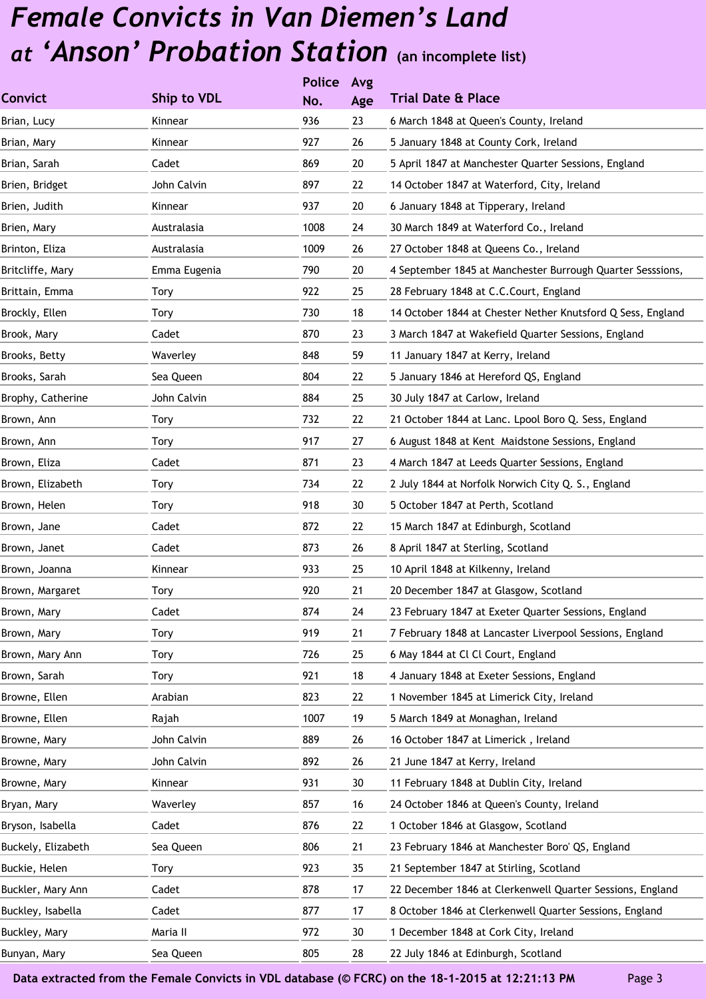|                    |              | <b>Police</b> | Avg |                                                             |
|--------------------|--------------|---------------|-----|-------------------------------------------------------------|
| <b>Convict</b>     | Ship to VDL  | No.           | Age | <b>Trial Date &amp; Place</b>                               |
| Brian, Lucy        | Kinnear      | 936           | 23  | 6 March 1848 at Queen's County, Ireland                     |
| Brian, Mary        | Kinnear      | 927           | 26  | 5 January 1848 at County Cork, Ireland                      |
| Brian, Sarah       | Cadet        | 869           | 20  | 5 April 1847 at Manchester Quarter Sessions, England        |
| Brien, Bridget     | John Calvin  | 897           | 22  | 14 October 1847 at Waterford, City, Ireland                 |
| Brien, Judith      | Kinnear      | 937           | 20  | 6 January 1848 at Tipperary, Ireland                        |
| Brien, Mary        | Australasia  | 1008          | 24  | 30 March 1849 at Waterford Co., Ireland                     |
| Brinton, Eliza     | Australasia  | 1009          | 26  | 27 October 1848 at Queens Co., Ireland                      |
| Britcliffe, Mary   | Emma Eugenia | 790           | 20  | 4 September 1845 at Manchester Burrough Quarter Sesssions,  |
| Brittain, Emma     | Tory         | 922           | 25  | 28 February 1848 at C.C.Court, England                      |
| Brockly, Ellen     | Tory         | 730           | 18  | 14 October 1844 at Chester Nether Knutsford Q Sess, England |
| Brook, Mary        | Cadet        | 870           | 23  | 3 March 1847 at Wakefield Quarter Sessions, England         |
| Brooks, Betty      | Waverley     | 848           | 59  | 11 January 1847 at Kerry, Ireland                           |
| Brooks, Sarah      | Sea Queen    | 804           | 22  | 5 January 1846 at Hereford QS, England                      |
| Brophy, Catherine  | John Calvin  | 884           | 25  | 30 July 1847 at Carlow, Ireland                             |
| Brown, Ann         | <b>Tory</b>  | 732           | 22  | 21 October 1844 at Lanc. Lpool Boro Q. Sess, England        |
| Brown, Ann         | Tory         | 917           | 27  | 6 August 1848 at Kent Maidstone Sessions, England           |
| Brown, Eliza       | Cadet        | 871           | 23  | 4 March 1847 at Leeds Quarter Sessions, England             |
| Brown, Elizabeth   | Tory         | 734           | 22  | 2 July 1844 at Norfolk Norwich City Q. S., England          |
| Brown, Helen       | Tory         | 918           | 30  | 5 October 1847 at Perth, Scotland                           |
| Brown, Jane        | Cadet        | 872           | 22  | 15 March 1847 at Edinburgh, Scotland                        |
| Brown, Janet       | Cadet        | 873           | 26  | 8 April 1847 at Sterling, Scotland                          |
| Brown, Joanna      | Kinnear      | 933           | 25  | 10 April 1848 at Kilkenny, Ireland                          |
| Brown, Margaret    | <b>Tory</b>  | 920           | 21  | 20 December 1847 at Glasgow, Scotland                       |
| Brown, Mary        | Cadet        | 874           | 24  | 23 February 1847 at Exeter Quarter Sessions, England        |
| Brown, Mary        | <b>Tory</b>  | 919           | 21  | 7 February 1848 at Lancaster Liverpool Sessions, England    |
| Brown, Mary Ann    | <b>Tory</b>  | 726           | 25  | 6 May 1844 at Cl Cl Court, England                          |
| Brown, Sarah       | Tory         | 921           | 18  | 4 January 1848 at Exeter Sessions, England                  |
| Browne, Ellen      | Arabian      | 823           | 22  | 1 November 1845 at Limerick City, Ireland                   |
| Browne, Ellen      | Rajah        | 1007          | 19  | 5 March 1849 at Monaghan, Ireland                           |
| Browne, Mary       | John Calvin  | 889           | 26  | 16 October 1847 at Limerick, Ireland                        |
| Browne, Mary       | John Calvin  | 892           | 26  | 21 June 1847 at Kerry, Ireland                              |
| Browne, Mary       | Kinnear      | 931           | 30  | 11 February 1848 at Dublin City, Ireland                    |
| Bryan, Mary        | Waverley     | 857           | 16  | 24 October 1846 at Queen's County, Ireland                  |
| Bryson, Isabella   | Cadet        | 876           | 22  | 1 October 1846 at Glasgow, Scotland                         |
| Buckely, Elizabeth | Sea Queen    | 806           | 21  | 23 February 1846 at Manchester Boro' QS, England            |
| Buckie, Helen      | Tory         | 923           | 35  | 21 September 1847 at Stirling, Scotland                     |
| Buckler, Mary Ann  | Cadet        | 878           | 17  | 22 December 1846 at Clerkenwell Quarter Sessions, England   |
| Buckley, Isabella  | Cadet        | 877           | 17  | 8 October 1846 at Clerkenwell Quarter Sessions, England     |
| Buckley, Mary      | Maria II     | 972           | 30  | 1 December 1848 at Cork City, Ireland                       |
| Bunyan, Mary       | Sea Queen    | 805           | 28  | 22 July 1846 at Edinburgh, Scotland                         |
|                    |              |               |     |                                                             |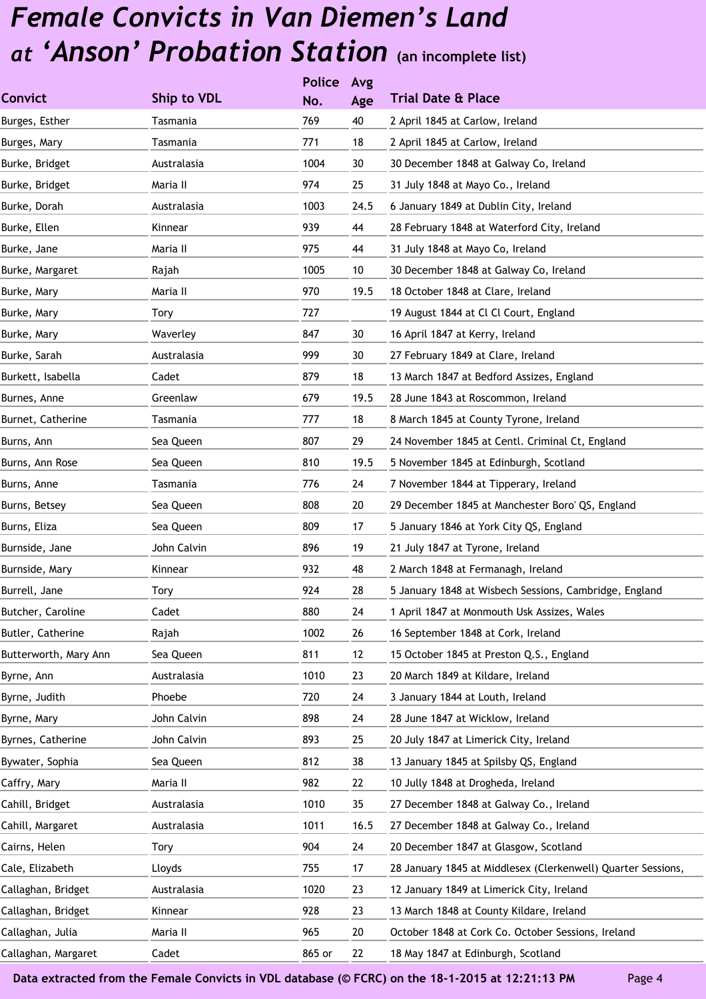|                       |             | <b>Police</b> | Avg  |                                                              |
|-----------------------|-------------|---------------|------|--------------------------------------------------------------|
| <b>Convict</b>        | Ship to VDL | No.           | Age  | <b>Trial Date &amp; Place</b>                                |
| Burges, Esther        | Tasmania    | 769           | 40   | 2 April 1845 at Carlow, Ireland                              |
| Burges, Mary          | Tasmania    | 771           | 18   | 2 April 1845 at Carlow, Ireland                              |
| Burke, Bridget        | Australasia | 1004          | 30   | 30 December 1848 at Galway Co, Ireland                       |
| Burke, Bridget        | Maria II    | 974           | 25   | 31 July 1848 at Mayo Co., Ireland                            |
| Burke, Dorah          | Australasia | 1003          | 24.5 | 6 January 1849 at Dublin City, Ireland                       |
| Burke, Ellen          | Kinnear     | 939           | 44   | 28 February 1848 at Waterford City, Ireland                  |
| Burke, Jane           | Maria II    | 975           | 44   | 31 July 1848 at Mayo Co, Ireland                             |
| Burke, Margaret       | Rajah       | 1005          | 10   | 30 December 1848 at Galway Co, Ireland                       |
| Burke, Mary           | Maria II    | 970           | 19.5 | 18 October 1848 at Clare, Ireland                            |
| Burke, Mary           | Tory        | 727           |      | 19 August 1844 at Cl Cl Court, England                       |
| Burke, Mary           | Waverley    | 847           | 30   | 16 April 1847 at Kerry, Ireland                              |
| Burke, Sarah          | Australasia | 999           | 30   | 27 February 1849 at Clare, Ireland                           |
| Burkett, Isabella     | Cadet       | 879           | 18   | 13 March 1847 at Bedford Assizes, England                    |
| Burnes, Anne          | Greenlaw    | 679           | 19.5 | 28 June 1843 at Roscommon, Ireland                           |
| Burnet, Catherine     | Tasmania    | 777           | 18   | 8 March 1845 at County Tyrone, Ireland                       |
| Burns, Ann            | Sea Queen   | 807           | 29   | 24 November 1845 at Centl. Criminal Ct, England              |
| Burns, Ann Rose       | Sea Queen   | 810           | 19.5 | 5 November 1845 at Edinburgh, Scotland                       |
| Burns, Anne           | Tasmania    | 776           | 24   | 7 November 1844 at Tipperary, Ireland                        |
| Burns, Betsey         | Sea Queen   | 808           | 20   | 29 December 1845 at Manchester Boro' QS, England             |
| Burns, Eliza          | Sea Queen   | 809           | 17   | 5 January 1846 at York City QS, England                      |
| Burnside, Jane        | John Calvin | 896           | 19   | 21 July 1847 at Tyrone, Ireland                              |
| Burnside, Mary        | Kinnear     | 932           | 48   | 2 March 1848 at Fermanagh, Ireland                           |
| Burrell, Jane         | <b>Tory</b> | 924           | 28   | 5 January 1848 at Wisbech Sessions, Cambridge, England       |
| Butcher, Caroline     | Cadet       | 880           | 24   | 1 April 1847 at Monmouth Usk Assizes, Wales                  |
| Butler, Catherine     | Rajah       | 1002          | 26   | 16 September 1848 at Cork, Ireland                           |
| Butterworth, Mary Ann | Sea Queen   | 811           | 12   | 15 October 1845 at Preston Q.S., England                     |
| Byrne, Ann            | Australasia | 1010          | 23   | 20 March 1849 at Kildare, Ireland                            |
| Byrne, Judith         | Phoebe      | 720           | 24   | 3 January 1844 at Louth, Ireland                             |
| Byrne, Mary           | John Calvin | 898           | 24   | 28 June 1847 at Wicklow, Ireland                             |
| Byrnes, Catherine     | John Calvin | 893           | 25   | 20 July 1847 at Limerick City, Ireland                       |
| Bywater, Sophia       | Sea Queen   | 812           | 38   | 13 January 1845 at Spilsby QS, England                       |
| Caffry, Mary          | Maria II    | 982           | 22   | 10 Jully 1848 at Drogheda, Ireland                           |
| Cahill, Bridget       | Australasia | 1010          | 35   | 27 December 1848 at Galway Co., Ireland                      |
| Cahill, Margaret      | Australasia | 1011          | 16.5 | 27 December 1848 at Galway Co., Ireland                      |
| Cairns, Helen         | <b>Tory</b> | 904           | 24   | 20 December 1847 at Glasgow, Scotland                        |
| Cale, Elizabeth       | Lloyds      | 755           | 17   | 28 January 1845 at Middlesex (Clerkenwell) Quarter Sessions, |
| Callaghan, Bridget    | Australasia | 1020          | 23   | 12 January 1849 at Limerick City, Ireland                    |
| Callaghan, Bridget    | Kinnear     | 928           | 23   | 13 March 1848 at County Kildare, Ireland                     |
| Callaghan, Julia      | Maria II    | 965           | 20   | October 1848 at Cork Co. October Sessions, Ireland           |
| Callaghan, Margaret   | Cadet       | 865 or        | 22   | 18 May 1847 at Edinburgh, Scotland                           |
|                       |             |               |      |                                                              |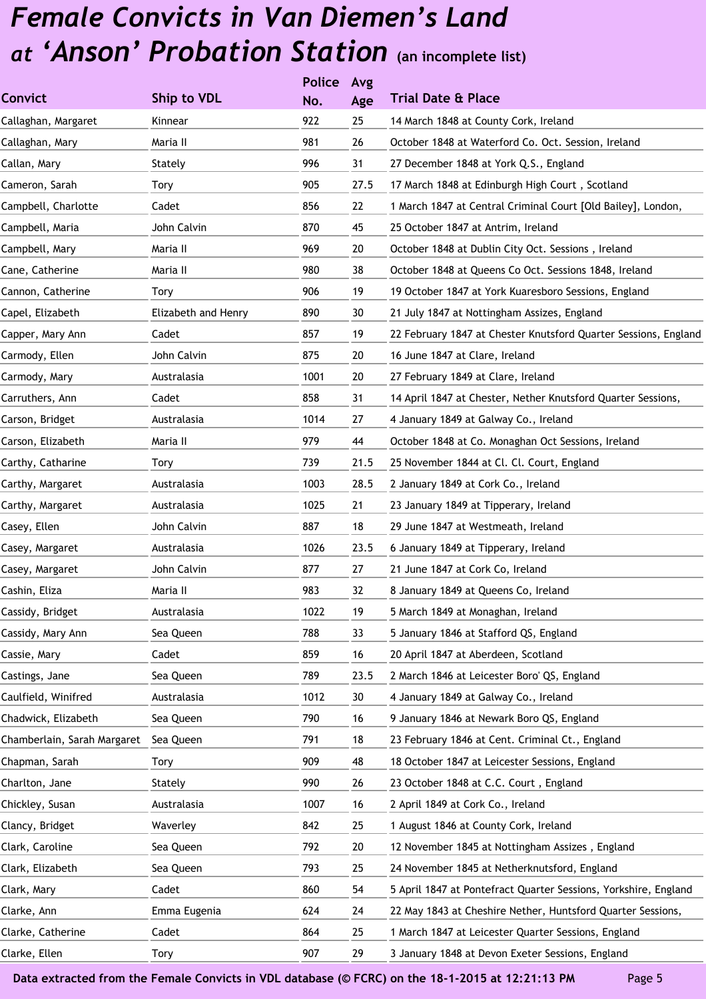|                             |                     | <b>Police</b> | Avg  |                                                                 |
|-----------------------------|---------------------|---------------|------|-----------------------------------------------------------------|
| <b>Convict</b>              | Ship to VDL         | No.           | Age  | <b>Trial Date &amp; Place</b>                                   |
| Callaghan, Margaret         | Kinnear             | 922           | 25   | 14 March 1848 at County Cork, Ireland                           |
| Callaghan, Mary             | Maria II            | 981           | 26   | October 1848 at Waterford Co. Oct. Session, Ireland             |
| Callan, Mary                | Stately             | 996           | 31   | 27 December 1848 at York Q.S., England                          |
| Cameron, Sarah              | Tory                | 905           | 27.5 | 17 March 1848 at Edinburgh High Court, Scotland                 |
| Campbell, Charlotte         | Cadet               | 856           | 22   | 1 March 1847 at Central Criminal Court [Old Bailey], London,    |
| Campbell, Maria             | John Calvin         | 870           | 45   | 25 October 1847 at Antrim, Ireland                              |
| Campbell, Mary              | Maria II            | 969           | 20   | October 1848 at Dublin City Oct. Sessions, Ireland              |
| Cane, Catherine             | Maria II            | 980           | 38   | October 1848 at Queens Co Oct. Sessions 1848, Ireland           |
| Cannon, Catherine           | Tory                | 906           | 19   | 19 October 1847 at York Kuaresboro Sessions, England            |
| Capel, Elizabeth            | Elizabeth and Henry | 890           | 30   | 21 July 1847 at Nottingham Assizes, England                     |
| Capper, Mary Ann            | Cadet               | 857           | 19   | 22 February 1847 at Chester Knutsford Quarter Sessions, England |
| Carmody, Ellen              | John Calvin         | 875           | 20   | 16 June 1847 at Clare, Ireland                                  |
| Carmody, Mary               | Australasia         | 1001          | 20   | 27 February 1849 at Clare, Ireland                              |
| Carruthers, Ann             | Cadet               | 858           | 31   | 14 April 1847 at Chester, Nether Knutsford Quarter Sessions,    |
| Carson, Bridget             | Australasia         | 1014          | 27   | 4 January 1849 at Galway Co., Ireland                           |
| Carson, Elizabeth           | Maria II            | 979           | 44   | October 1848 at Co. Monaghan Oct Sessions, Ireland              |
| Carthy, Catharine           | Tory                | 739           | 21.5 | 25 November 1844 at Cl. Cl. Court, England                      |
| Carthy, Margaret            | Australasia         | 1003          | 28.5 | 2 January 1849 at Cork Co., Ireland                             |
| Carthy, Margaret            | Australasia         | 1025          | 21   | 23 January 1849 at Tipperary, Ireland                           |
| Casey, Ellen                | John Calvin         | 887           | 18   | 29 June 1847 at Westmeath, Ireland                              |
| Casey, Margaret             | Australasia         | 1026          | 23.5 | 6 January 1849 at Tipperary, Ireland                            |
| Casey, Margaret             | John Calvin         | 877           | 27   | 21 June 1847 at Cork Co, Ireland                                |
| Cashin, Eliza               | Maria II            | 983           | 32   | 8 January 1849 at Queens Co, Ireland                            |
| Cassidy, Bridget            | Australasia         | 1022          | 19   | 5 March 1849 at Monaghan, Ireland                               |
| Cassidy, Mary Ann           | Sea Queen           | 788           | 33   | 5 January 1846 at Stafford QS, England                          |
| Cassie, Mary                | Cadet               | 859           | 16   | 20 April 1847 at Aberdeen, Scotland                             |
| Castings, Jane              | Sea Queen           | 789           | 23.5 | 2 March 1846 at Leicester Boro' QS, England                     |
| Caulfield, Winifred         | Australasia         | 1012          | 30   | 4 January 1849 at Galway Co., Ireland                           |
| Chadwick, Elizabeth         | Sea Queen           | 790           | 16   | 9 January 1846 at Newark Boro QS, England                       |
| Chamberlain, Sarah Margaret | Sea Queen           | 791           | 18   | 23 February 1846 at Cent. Criminal Ct., England                 |
| Chapman, Sarah              | Tory                | 909           | 48   | 18 October 1847 at Leicester Sessions, England                  |
| Charlton, Jane              | Stately             | 990           | 26   | 23 October 1848 at C.C. Court, England                          |
| Chickley, Susan             | Australasia         | 1007          | 16   | 2 April 1849 at Cork Co., Ireland                               |
| Clancy, Bridget             | Waverley            | 842           | 25   | 1 August 1846 at County Cork, Ireland                           |
| Clark, Caroline             | Sea Queen           | 792           | 20   | 12 November 1845 at Nottingham Assizes, England                 |
| Clark, Elizabeth            | Sea Queen           | 793           | 25   | 24 November 1845 at Netherknutsford, England                    |
| Clark, Mary                 | Cadet               | 860           | 54   | 5 April 1847 at Pontefract Quarter Sessions, Yorkshire, England |
| Clarke, Ann                 | Emma Eugenia        | 624           | 24   | 22 May 1843 at Cheshire Nether, Huntsford Quarter Sessions,     |
| Clarke, Catherine           | Cadet               | 864           | 25   | 1 March 1847 at Leicester Quarter Sessions, England             |
| Clarke, Ellen               | Tory                | 907           | 29   | 3 January 1848 at Devon Exeter Sessions, England                |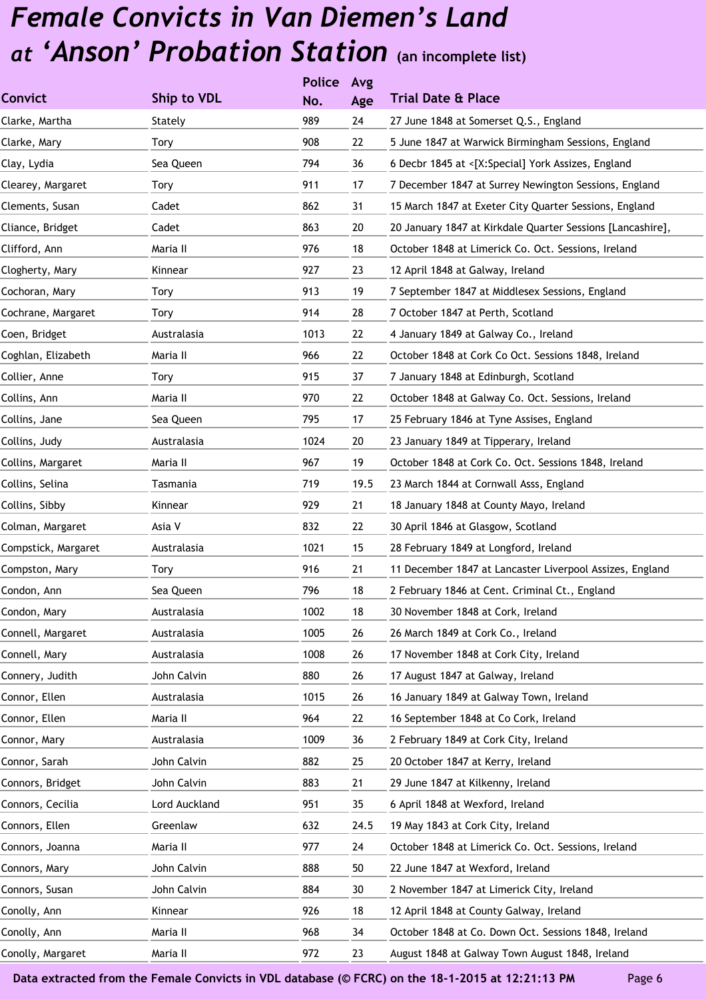|                     |               | <b>Police</b> | Avg  |                                                            |
|---------------------|---------------|---------------|------|------------------------------------------------------------|
| <b>Convict</b>      | Ship to VDL   | No.           | Age  | <b>Trial Date &amp; Place</b>                              |
| Clarke, Martha      | Stately       | 989           | 24   | 27 June 1848 at Somerset Q.S., England                     |
| Clarke, Mary        | Tory          | 908           | 22   | 5 June 1847 at Warwick Birmingham Sessions, England        |
| Clay, Lydia         | Sea Queen     | 794           | 36   | 6 Decbr 1845 at <[X:Special] York Assizes, England         |
| Clearey, Margaret   | Tory          | 911           | 17   | 7 December 1847 at Surrey Newington Sessions, England      |
| Clements, Susan     | Cadet         | 862           | 31   | 15 March 1847 at Exeter City Quarter Sessions, England     |
| Cliance, Bridget    | Cadet         | 863           | 20   | 20 January 1847 at Kirkdale Quarter Sessions [Lancashire], |
| Clifford, Ann       | Maria II      | 976           | 18   | October 1848 at Limerick Co. Oct. Sessions, Ireland        |
| Clogherty, Mary     | Kinnear       | 927           | 23   | 12 April 1848 at Galway, Ireland                           |
| Cochoran, Mary      | Tory          | 913           | 19   | 7 September 1847 at Middlesex Sessions, England            |
| Cochrane, Margaret  | Tory          | 914           | 28   | 7 October 1847 at Perth, Scotland                          |
| Coen, Bridget       | Australasia   | 1013          | 22   | 4 January 1849 at Galway Co., Ireland                      |
| Coghlan, Elizabeth  | Maria II      | 966           | 22   | October 1848 at Cork Co Oct. Sessions 1848, Ireland        |
| Collier, Anne       | Tory          | 915           | 37   | 7 January 1848 at Edinburgh, Scotland                      |
| Collins, Ann        | Maria II      | 970           | 22   | October 1848 at Galway Co. Oct. Sessions, Ireland          |
| Collins, Jane       | Sea Queen     | 795           | 17   | 25 February 1846 at Tyne Assises, England                  |
| Collins, Judy       | Australasia   | 1024          | 20   | 23 January 1849 at Tipperary, Ireland                      |
| Collins, Margaret   | Maria II      | 967           | 19   | October 1848 at Cork Co. Oct. Sessions 1848, Ireland       |
| Collins, Selina     | Tasmania      | 719           | 19.5 | 23 March 1844 at Cornwall Asss, England                    |
| Collins, Sibby      | Kinnear       | 929           | 21   | 18 January 1848 at County Mayo, Ireland                    |
| Colman, Margaret    | Asia V        | 832           | 22   | 30 April 1846 at Glasgow, Scotland                         |
| Compstick, Margaret | Australasia   | 1021          | 15   | 28 February 1849 at Longford, Ireland                      |
| Compston, Mary      | Tory          | 916           | 21   | 11 December 1847 at Lancaster Liverpool Assizes, England   |
| Condon, Ann         | Sea Queen     | 796           | 18   | 2 February 1846 at Cent. Criminal Ct., England             |
| Condon, Mary        | Australasia   | 1002          | 18   | 30 November 1848 at Cork, Ireland                          |
| Connell, Margaret   | Australasia   | 1005          | 26   | 26 March 1849 at Cork Co., Ireland                         |
| Connell, Mary       | Australasia   | 1008          | 26   | 17 November 1848 at Cork City, Ireland                     |
| Connery, Judith     | John Calvin   | 880           | 26   | 17 August 1847 at Galway, Ireland                          |
| Connor, Ellen       | Australasia   | 1015          | 26   | 16 January 1849 at Galway Town, Ireland                    |
| Connor, Ellen       | Maria II      | 964           | 22   | 16 September 1848 at Co Cork, Ireland                      |
| Connor, Mary        | Australasia   | 1009          | 36   | 2 February 1849 at Cork City, Ireland                      |
| Connor, Sarah       | John Calvin   | 882           | 25   | 20 October 1847 at Kerry, Ireland                          |
| Connors, Bridget    | John Calvin   | 883           | 21   | 29 June 1847 at Kilkenny, Ireland                          |
| Connors, Cecilia    | Lord Auckland | 951           | 35   | 6 April 1848 at Wexford, Ireland                           |
| Connors, Ellen      | Greenlaw      | 632           | 24.5 | 19 May 1843 at Cork City, Ireland                          |
| Connors, Joanna     | Maria II      | 977           | 24   | October 1848 at Limerick Co. Oct. Sessions, Ireland        |
| Connors, Mary       | John Calvin   | 888           | 50   | 22 June 1847 at Wexford, Ireland                           |
| Connors, Susan      | John Calvin   | 884           | 30   | 2 November 1847 at Limerick City, Ireland                  |
| Conolly, Ann        | Kinnear       | 926           | 18   | 12 April 1848 at County Galway, Ireland                    |
| Conolly, Ann        | Maria II      | 968           | 34   | October 1848 at Co. Down Oct. Sessions 1848, Ireland       |
| Conolly, Margaret   | Maria II      | 972           | 23   | August 1848 at Galway Town August 1848, Ireland            |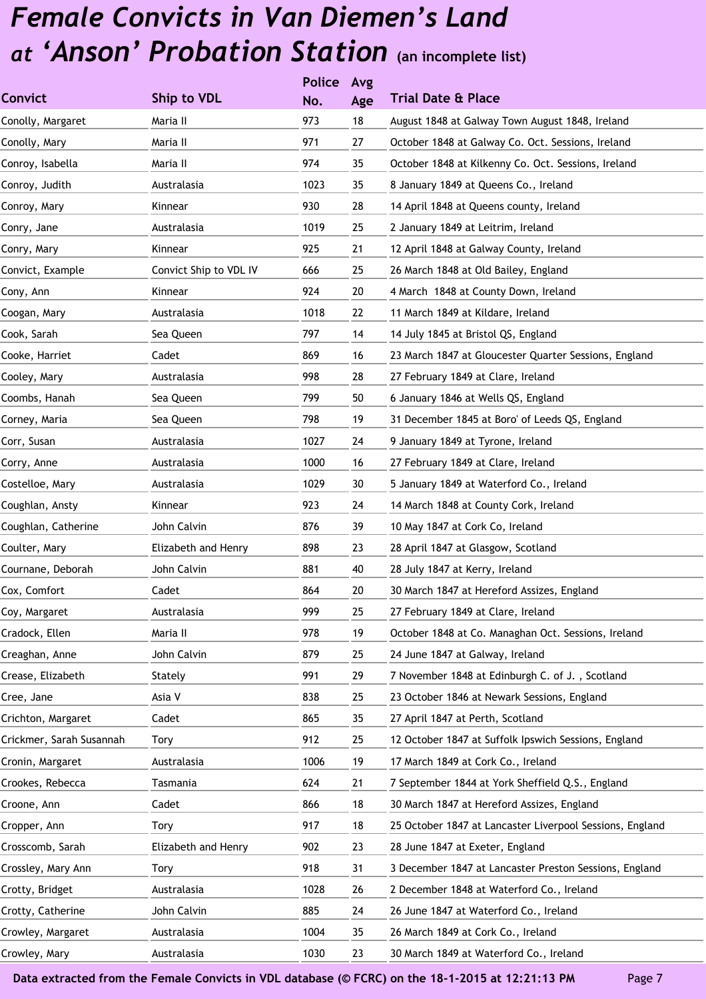|                          |                        | <b>Police</b> | Avg |                                                          |
|--------------------------|------------------------|---------------|-----|----------------------------------------------------------|
| <b>Convict</b>           | Ship to VDL            | No.           | Age | <b>Trial Date &amp; Place</b>                            |
| Conolly, Margaret        | Maria II               | 973           | 18  | August 1848 at Galway Town August 1848, Ireland          |
| Conolly, Mary            | Maria II               | 971           | 27  | October 1848 at Galway Co. Oct. Sessions, Ireland        |
| Conroy, Isabella         | Maria II               | 974           | 35  | October 1848 at Kilkenny Co. Oct. Sessions, Ireland      |
| Conroy, Judith           | Australasia            | 1023          | 35  | 8 January 1849 at Queens Co., Ireland                    |
| Conroy, Mary             | Kinnear                | 930           | 28  | 14 April 1848 at Queens county, Ireland                  |
| Conry, Jane              | Australasia            | 1019          | 25  | 2 January 1849 at Leitrim, Ireland                       |
| Conry, Mary              | Kinnear                | 925           | 21  | 12 April 1848 at Galway County, Ireland                  |
| Convict, Example         | Convict Ship to VDL IV | 666           | 25  | 26 March 1848 at Old Bailey, England                     |
| Cony, Ann                | Kinnear                | 924           | 20  | 4 March 1848 at County Down, Ireland                     |
| Coogan, Mary             | Australasia            | 1018          | 22  | 11 March 1849 at Kildare, Ireland                        |
| Cook, Sarah              | Sea Queen              | 797           | 14  | 14 July 1845 at Bristol QS, England                      |
| Cooke, Harriet           | Cadet                  | 869           | 16  | 23 March 1847 at Gloucester Quarter Sessions, England    |
| Cooley, Mary             | Australasia            | 998           | 28  | 27 February 1849 at Clare, Ireland                       |
| Coombs, Hanah            | Sea Queen              | 799           | 50  | 6 January 1846 at Wells QS, England                      |
| Corney, Maria            | Sea Queen              | 798           | 19  | 31 December 1845 at Boro' of Leeds QS, England           |
| Corr, Susan              | Australasia            | 1027          | 24  | 9 January 1849 at Tyrone, Ireland                        |
| Corry, Anne              | Australasia            | 1000          | 16  | 27 February 1849 at Clare, Ireland                       |
| Costelloe, Mary          | Australasia            | 1029          | 30  | 5 January 1849 at Waterford Co., Ireland                 |
| Coughlan, Ansty          | Kinnear                | 923           | 24  | 14 March 1848 at County Cork, Ireland                    |
| Coughlan, Catherine      | John Calvin            | 876           | 39  | 10 May 1847 at Cork Co, Ireland                          |
| Coulter, Mary            | Elizabeth and Henry    | 898           | 23  | 28 April 1847 at Glasgow, Scotland                       |
| Cournane, Deborah        | John Calvin            | 881           | 40  | 28 July 1847 at Kerry, Ireland                           |
| Cox, Comfort             | Cadet                  | 864           | 20  | 30 March 1847 at Hereford Assizes, England               |
| Coy, Margaret            | Australasia            | 999           | 25  | 27 February 1849 at Clare, Ireland                       |
| Cradock, Ellen           | Maria II               | 978           | 19  | October 1848 at Co. Managhan Oct. Sessions, Ireland      |
| Creaghan, Anne           | John Calvin            | 879           | 25  | 24 June 1847 at Galway, Ireland                          |
| Crease, Elizabeth        | Stately                | 991           | 29  | 7 November 1848 at Edinburgh C. of J., Scotland          |
| Cree, Jane               | Asia V                 | 838           | 25  | 23 October 1846 at Newark Sessions, England              |
| Crichton, Margaret       | Cadet                  | 865           | 35  | 27 April 1847 at Perth, Scotland                         |
| Crickmer, Sarah Susannah | Tory                   | 912           | 25  | 12 October 1847 at Suffolk Ipswich Sessions, England     |
| Cronin, Margaret         | Australasia            | 1006          | 19  | 17 March 1849 at Cork Co., Ireland                       |
| Crookes, Rebecca         | Tasmania               | 624           | 21  | 7 September 1844 at York Sheffield Q.S., England         |
| Croone, Ann              | Cadet                  | 866           | 18  | 30 March 1847 at Hereford Assizes, England               |
| Cropper, Ann             | Tory                   | 917           | 18  | 25 October 1847 at Lancaster Liverpool Sessions, England |
| Crosscomb, Sarah         | Elizabeth and Henry    | 902           | 23  | 28 June 1847 at Exeter, England                          |
| Crossley, Mary Ann       | Tory                   | 918           | 31  | 3 December 1847 at Lancaster Preston Sessions, England   |
| Crotty, Bridget          | Australasia            | 1028          | 26  | 2 December 1848 at Waterford Co., Ireland                |
| Crotty, Catherine        | John Calvin            | 885           | 24  | 26 June 1847 at Waterford Co., Ireland                   |
| Crowley, Margaret        | Australasia            | 1004          | 35  | 26 March 1849 at Cork Co., Ireland                       |
| Crowley, Mary            | Australasia            | 1030          | 23  | 30 March 1849 at Waterford Co., Ireland                  |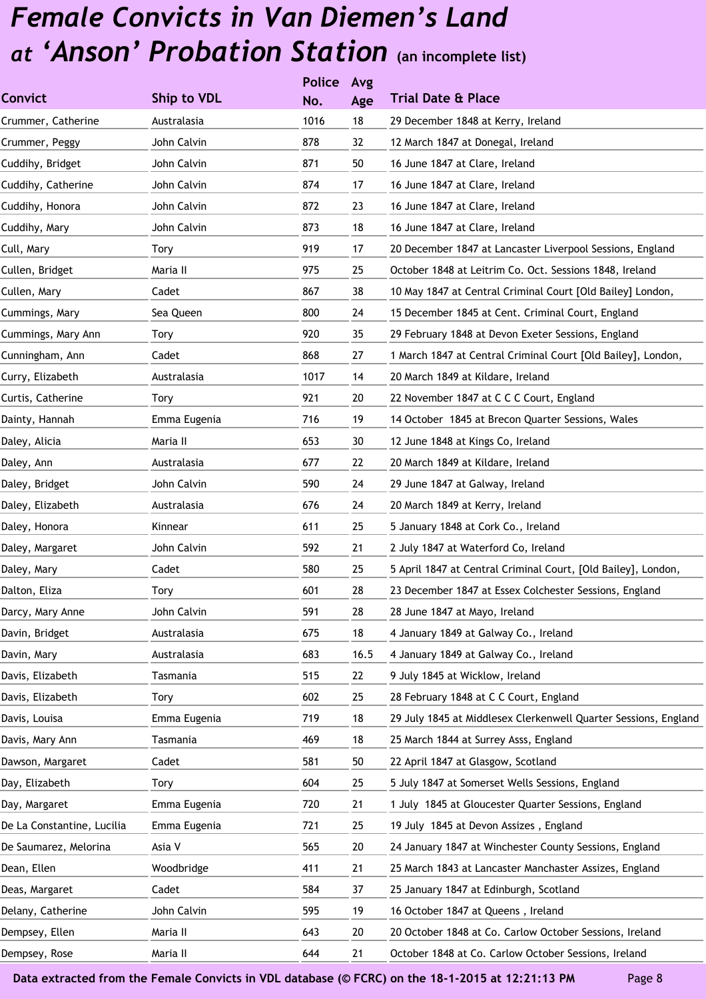|                            |              | <b>Police</b> | Avg  |                                                                 |
|----------------------------|--------------|---------------|------|-----------------------------------------------------------------|
| <b>Convict</b>             | Ship to VDL  | No.           | Age  | <b>Trial Date &amp; Place</b>                                   |
| Crummer, Catherine         | Australasia  | 1016          | 18   | 29 December 1848 at Kerry, Ireland                              |
| Crummer, Peggy             | John Calvin  | 878           | 32   | 12 March 1847 at Donegal, Ireland                               |
| Cuddihy, Bridget           | John Calvin  | 871           | 50   | 16 June 1847 at Clare, Ireland                                  |
| Cuddihy, Catherine         | John Calvin  | 874           | 17   | 16 June 1847 at Clare, Ireland                                  |
| Cuddihy, Honora            | John Calvin  | 872           | 23   | 16 June 1847 at Clare, Ireland                                  |
| Cuddihy, Mary              | John Calvin  | 873           | 18   | 16 June 1847 at Clare, Ireland                                  |
| Cull, Mary                 | Tory         | 919           | 17   | 20 December 1847 at Lancaster Liverpool Sessions, England       |
| Cullen, Bridget            | Maria II     | 975           | 25   | October 1848 at Leitrim Co. Oct. Sessions 1848, Ireland         |
| Cullen, Mary               | Cadet        | 867           | 38   | 10 May 1847 at Central Criminal Court [Old Bailey] London,      |
| Cummings, Mary             | Sea Queen    | 800           | 24   | 15 December 1845 at Cent. Criminal Court, England               |
| Cummings, Mary Ann         | Tory         | 920           | 35   | 29 February 1848 at Devon Exeter Sessions, England              |
| Cunningham, Ann            | Cadet        | 868           | 27   | 1 March 1847 at Central Criminal Court [Old Bailey], London,    |
| Curry, Elizabeth           | Australasia  | 1017          | 14   | 20 March 1849 at Kildare, Ireland                               |
| Curtis, Catherine          | Tory         | 921           | 20   | 22 November 1847 at C C C Court, England                        |
| Dainty, Hannah             | Emma Eugenia | 716           | 19   | 14 October 1845 at Brecon Quarter Sessions, Wales               |
| Daley, Alicia              | Maria II     | 653           | 30   | 12 June 1848 at Kings Co, Ireland                               |
| Daley, Ann                 | Australasia  | 677           | 22   | 20 March 1849 at Kildare, Ireland                               |
| Daley, Bridget             | John Calvin  | 590           | 24   | 29 June 1847 at Galway, Ireland                                 |
| Daley, Elizabeth           | Australasia  | 676           | 24   | 20 March 1849 at Kerry, Ireland                                 |
| Daley, Honora              | Kinnear      | 611           | 25   | 5 January 1848 at Cork Co., Ireland                             |
| Daley, Margaret            | John Calvin  | 592           | 21   | 2 July 1847 at Waterford Co, Ireland                            |
| Daley, Mary                | Cadet        | 580           | 25   | 5 April 1847 at Central Criminal Court, [Old Bailey], London,   |
| Dalton, Eliza              | Tory         | 601           | 28   | 23 December 1847 at Essex Colchester Sessions, England          |
| Darcy, Mary Anne           | John Calvin  | 591           | 28   | 28 June 1847 at Mayo, Ireland                                   |
| Davin, Bridget             | Australasia  | 675           | 18   | 4 January 1849 at Galway Co., Ireland                           |
| Davin, Mary                | Australasia  | 683           | 16.5 | 4 January 1849 at Galway Co., Ireland                           |
| Davis, Elizabeth           | Tasmania     | 515           | 22   | 9 July 1845 at Wicklow, Ireland                                 |
| Davis, Elizabeth           | Tory         | 602           | 25   | 28 February 1848 at C C Court, England                          |
| Davis, Louisa              | Emma Eugenia | 719           | 18   | 29 July 1845 at Middlesex Clerkenwell Quarter Sessions, England |
| Davis, Mary Ann            | Tasmania     | 469           | 18   | 25 March 1844 at Surrey Asss, England                           |
| Dawson, Margaret           | Cadet        | 581           | 50   | 22 April 1847 at Glasgow, Scotland                              |
| Day, Elizabeth             | Tory         | 604           | 25   | 5 July 1847 at Somerset Wells Sessions, England                 |
| Day, Margaret              | Emma Eugenia | 720           | 21   | 1 July 1845 at Gloucester Quarter Sessions, England             |
| De La Constantine, Lucilia | Emma Eugenia | 721           | 25   | 19 July 1845 at Devon Assizes, England                          |
| De Saumarez, Melorina      | Asia V       | 565           | 20   | 24 January 1847 at Winchester County Sessions, England          |
| Dean, Ellen                | Woodbridge   | 411           | 21   | 25 March 1843 at Lancaster Manchaster Assizes, England          |
| Deas, Margaret             | Cadet        | 584           | 37   | 25 January 1847 at Edinburgh, Scotland                          |
| Delany, Catherine          | John Calvin  | 595           | 19   | 16 October 1847 at Queens, Ireland                              |
| Dempsey, Ellen             | Maria II     | 643           | 20   | 20 October 1848 at Co. Carlow October Sessions, Ireland         |
| Dempsey, Rose              | Maria II     | 644           | 21   | October 1848 at Co. Carlow October Sessions, Ireland            |
|                            |              |               |      |                                                                 |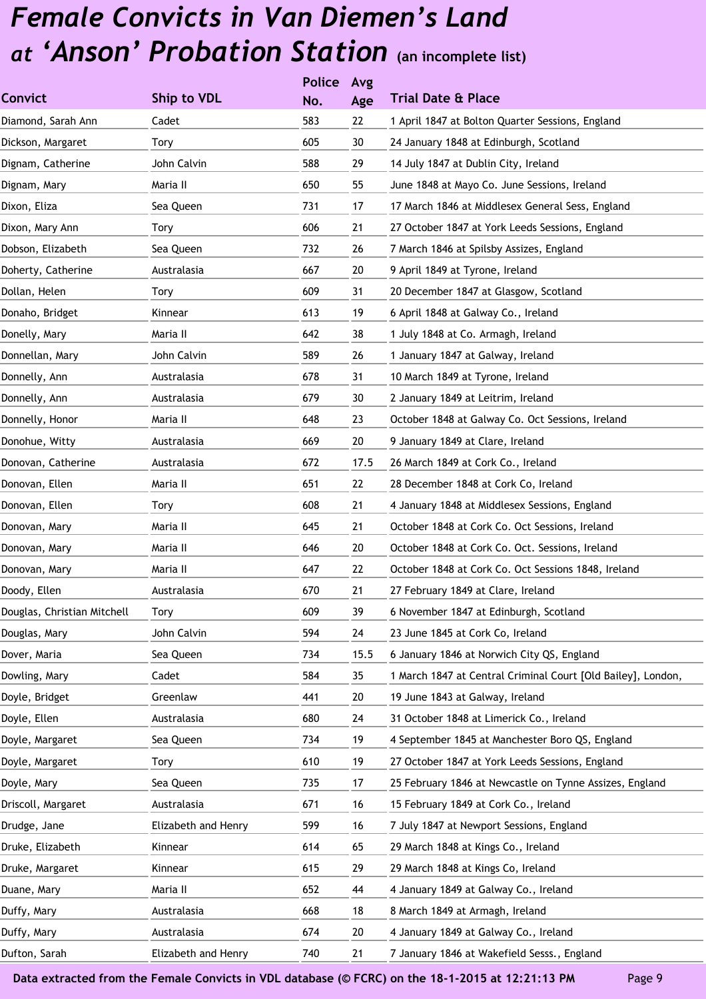|                             |                     | <b>Police</b> | Avg  |                                                              |
|-----------------------------|---------------------|---------------|------|--------------------------------------------------------------|
| <b>Convict</b>              | Ship to VDL         | No.           | Age  | <b>Trial Date &amp; Place</b>                                |
| Diamond, Sarah Ann          | Cadet               | 583           | 22   | 1 April 1847 at Bolton Quarter Sessions, England             |
| Dickson, Margaret           | Tory                | 605           | 30   | 24 January 1848 at Edinburgh, Scotland                       |
| Dignam, Catherine           | John Calvin         | 588           | 29   | 14 July 1847 at Dublin City, Ireland                         |
| Dignam, Mary                | Maria II            | 650           | 55   | June 1848 at Mayo Co. June Sessions, Ireland                 |
| Dixon, Eliza                | Sea Queen           | 731           | 17   | 17 March 1846 at Middlesex General Sess, England             |
| Dixon, Mary Ann             | Tory                | 606           | 21   | 27 October 1847 at York Leeds Sessions, England              |
| Dobson, Elizabeth           | Sea Queen           | 732           | 26   | 7 March 1846 at Spilsby Assizes, England                     |
| Doherty, Catherine          | Australasia         | 667           | 20   | 9 April 1849 at Tyrone, Ireland                              |
| Dollan, Helen               | Tory                | 609           | 31   | 20 December 1847 at Glasgow, Scotland                        |
| Donaho, Bridget             | Kinnear             | 613           | 19   | 6 April 1848 at Galway Co., Ireland                          |
| Donelly, Mary               | Maria II            | 642           | 38   | 1 July 1848 at Co. Armagh, Ireland                           |
| Donnellan, Mary             | John Calvin         | 589           | 26   | 1 January 1847 at Galway, Ireland                            |
| Donnelly, Ann               | Australasia         | 678           | 31   | 10 March 1849 at Tyrone, Ireland                             |
| Donnelly, Ann               | Australasia         | 679           | 30   | 2 January 1849 at Leitrim, Ireland                           |
| Donnelly, Honor             | Maria II            | 648           | 23   | October 1848 at Galway Co. Oct Sessions, Ireland             |
| Donohue, Witty              | Australasia         | 669           | 20   | 9 January 1849 at Clare, Ireland                             |
| Donovan, Catherine          | Australasia         | 672           | 17.5 | 26 March 1849 at Cork Co., Ireland                           |
| Donovan, Ellen              | Maria II            | 651           | 22   | 28 December 1848 at Cork Co, Ireland                         |
| Donovan, Ellen              | Tory                | 608           | 21   | 4 January 1848 at Middlesex Sessions, England                |
| Donovan, Mary               | Maria II            | 645           | 21   | October 1848 at Cork Co. Oct Sessions, Ireland               |
| Donovan, Mary               | Maria II            | 646           | 20   | October 1848 at Cork Co. Oct. Sessions, Ireland              |
| Donovan, Mary               | Maria II            | 647           | 22   | October 1848 at Cork Co. Oct Sessions 1848, Ireland          |
| Doody, Ellen                | Australasia         | 670           | 21   | 27 February 1849 at Clare, Ireland                           |
| Douglas, Christian Mitchell | Tory                | 609           | 39   | 6 November 1847 at Edinburgh, Scotland                       |
| Douglas, Mary               | John Calvin         | 594           | 24   | 23 June 1845 at Cork Co, Ireland                             |
| Dover, Maria                | Sea Queen           | 734           | 15.5 | 6 January 1846 at Norwich City QS, England                   |
| Dowling, Mary               | Cadet               | 584           | 35   | 1 March 1847 at Central Criminal Court [Old Bailey], London, |
| Doyle, Bridget              | Greenlaw            | 441           | 20   | 19 June 1843 at Galway, Ireland                              |
| Doyle, Ellen                | Australasia         | 680           | 24   | 31 October 1848 at Limerick Co., Ireland                     |
| Doyle, Margaret             | Sea Queen           | 734           | 19   | 4 September 1845 at Manchester Boro QS, England              |
| Doyle, Margaret             | Tory                | 610           | 19   | 27 October 1847 at York Leeds Sessions, England              |
| Doyle, Mary                 | Sea Queen           | 735           | 17   | 25 February 1846 at Newcastle on Tynne Assizes, England      |
| Driscoll, Margaret          | Australasia         | 671           | 16   | 15 February 1849 at Cork Co., Ireland                        |
| Drudge, Jane                | Elizabeth and Henry | 599           | 16   | 7 July 1847 at Newport Sessions, England                     |
| Druke, Elizabeth            | Kinnear             | 614           | 65   | 29 March 1848 at Kings Co., Ireland                          |
| Druke, Margaret             | Kinnear             | 615           | 29   | 29 March 1848 at Kings Co, Ireland                           |
| Duane, Mary                 | Maria II            | 652           | 44   | 4 January 1849 at Galway Co., Ireland                        |
| Duffy, Mary                 | Australasia         | 668           | 18   | 8 March 1849 at Armagh, Ireland                              |
| Duffy, Mary                 | Australasia         | 674           | 20   | 4 January 1849 at Galway Co., Ireland                        |
| Dufton, Sarah               | Elizabeth and Henry | 740           | 21   | 7 January 1846 at Wakefield Sesss., England                  |
|                             |                     |               |      |                                                              |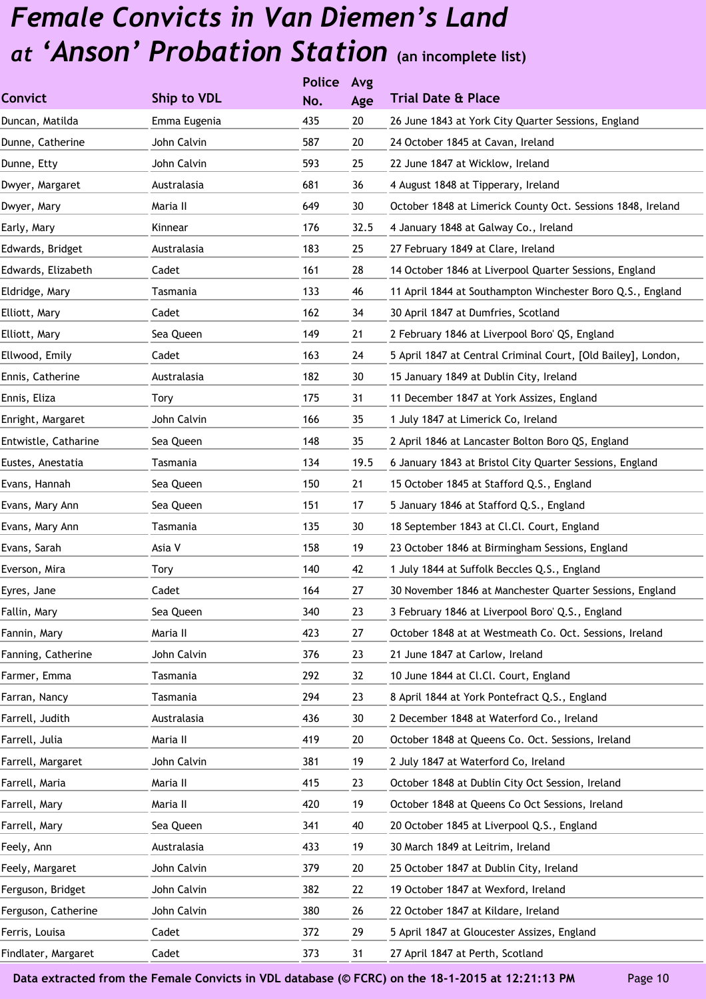|                      |              | <b>Police</b> | Avg  |                                                               |
|----------------------|--------------|---------------|------|---------------------------------------------------------------|
| <b>Convict</b>       | Ship to VDL  | No.           | Age  | <b>Trial Date &amp; Place</b>                                 |
| Duncan, Matilda      | Emma Eugenia | 435           | 20   | 26 June 1843 at York City Quarter Sessions, England           |
| Dunne, Catherine     | John Calvin  | 587           | 20   | 24 October 1845 at Cavan, Ireland                             |
| Dunne, Etty          | John Calvin  | 593           | 25   | 22 June 1847 at Wicklow, Ireland                              |
| Dwyer, Margaret      | Australasia  | 681           | 36   | 4 August 1848 at Tipperary, Ireland                           |
| Dwyer, Mary          | Maria II     | 649           | 30   | October 1848 at Limerick County Oct. Sessions 1848, Ireland   |
| Early, Mary          | Kinnear      | 176           | 32.5 | 4 January 1848 at Galway Co., Ireland                         |
| Edwards, Bridget     | Australasia  | 183           | 25   | 27 February 1849 at Clare, Ireland                            |
| Edwards, Elizabeth   | Cadet        | 161           | 28   | 14 October 1846 at Liverpool Quarter Sessions, England        |
| Eldridge, Mary       | Tasmania     | 133           | 46   | 11 April 1844 at Southampton Winchester Boro Q.S., England    |
| Elliott, Mary        | Cadet        | 162           | 34   | 30 April 1847 at Dumfries, Scotland                           |
| Elliott, Mary        | Sea Queen    | 149           | 21   | 2 February 1846 at Liverpool Boro' QS, England                |
| Ellwood, Emily       | Cadet        | 163           | 24   | 5 April 1847 at Central Criminal Court, [Old Bailey], London, |
| Ennis, Catherine     | Australasia  | 182           | 30   | 15 January 1849 at Dublin City, Ireland                       |
| Ennis, Eliza         | Tory         | 175           | 31   | 11 December 1847 at York Assizes, England                     |
| Enright, Margaret    | John Calvin  | 166           | 35   | 1 July 1847 at Limerick Co, Ireland                           |
| Entwistle, Catharine | Sea Queen    | 148           | 35   | 2 April 1846 at Lancaster Bolton Boro QS, England             |
| Eustes, Anestatia    | Tasmania     | 134           | 19.5 | 6 January 1843 at Bristol City Quarter Sessions, England      |
| Evans, Hannah        | Sea Queen    | 150           | 21   | 15 October 1845 at Stafford Q.S., England                     |
| Evans, Mary Ann      | Sea Queen    | 151           | 17   | 5 January 1846 at Stafford Q.S., England                      |
| Evans, Mary Ann      | Tasmania     | 135           | 30   | 18 September 1843 at Cl.Cl. Court, England                    |
| Evans, Sarah         | Asia V       | 158           | 19   | 23 October 1846 at Birmingham Sessions, England               |
| Everson, Mira        | Tory         | 140           | 42   | 1 July 1844 at Suffolk Beccles Q.S., England                  |
| Eyres, Jane          | Cadet        | 164           | 27   | 30 November 1846 at Manchester Quarter Sessions, England      |
| Fallin, Mary         | Sea Queen    | 340           | 23   | 3 February 1846 at Liverpool Boro' Q.S., England              |
| Fannin, Mary         | Maria II     | 423           | 27   | October 1848 at at Westmeath Co. Oct. Sessions, Ireland       |
| Fanning, Catherine   | John Calvin  | 376           | 23   | 21 June 1847 at Carlow, Ireland                               |
| Farmer, Emma         | Tasmania     | 292           | 32   | 10 June 1844 at Cl.Cl. Court, England                         |
| Farran, Nancy        | Tasmania     | 294           | 23   | 8 April 1844 at York Pontefract Q.S., England                 |
| Farrell, Judith      | Australasia  | 436           | 30   | 2 December 1848 at Waterford Co., Ireland                     |
| Farrell, Julia       | Maria II     | 419           | 20   | October 1848 at Queens Co. Oct. Sessions, Ireland             |
| Farrell, Margaret    | John Calvin  | 381           | 19   | 2 July 1847 at Waterford Co, Ireland                          |
| Farrell, Maria       | Maria II     | 415           | 23   | October 1848 at Dublin City Oct Session, Ireland              |
| Farrell, Mary        | Maria II     | 420           | 19   | October 1848 at Queens Co Oct Sessions, Ireland               |
| Farrell, Mary        | Sea Queen    | 341           | 40   | 20 October 1845 at Liverpool Q.S., England                    |
| Feely, Ann           | Australasia  | 433           | 19   | 30 March 1849 at Leitrim, Ireland                             |
| Feely, Margaret      | John Calvin  | 379           | 20   | 25 October 1847 at Dublin City, Ireland                       |
| Ferguson, Bridget    | John Calvin  | 382           | 22   | 19 October 1847 at Wexford, Ireland                           |
| Ferguson, Catherine  | John Calvin  | 380           | 26   | 22 October 1847 at Kildare, Ireland                           |
| Ferris, Louisa       | Cadet        | 372           | 29   | 5 April 1847 at Gloucester Assizes, England                   |
| Findlater, Margaret  | Cadet        | 373           | 31   | 27 April 1847 at Perth, Scotland                              |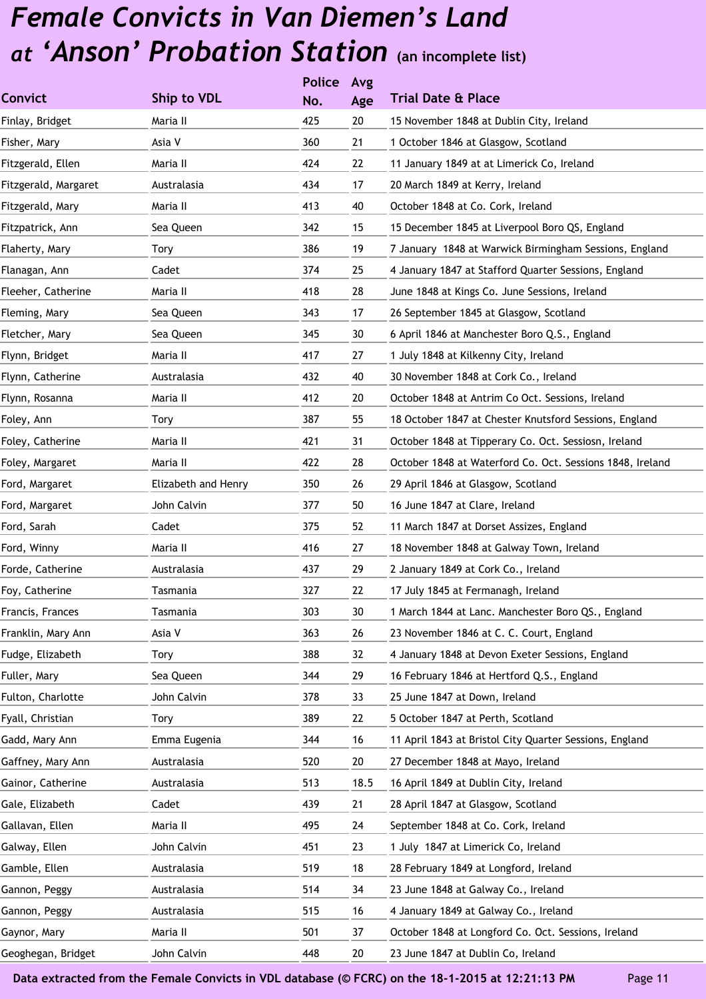|                      |                     | <b>Police</b> | Avg    |                                                           |
|----------------------|---------------------|---------------|--------|-----------------------------------------------------------|
| <b>Convict</b>       | Ship to VDL         | No.           | Age    | <b>Trial Date &amp; Place</b>                             |
| Finlay, Bridget      | Maria II            | 425           | 20     | 15 November 1848 at Dublin City, Ireland                  |
| Fisher, Mary         | Asia V              | 360           | 21     | 1 October 1846 at Glasgow, Scotland                       |
| Fitzgerald, Ellen    | Maria II            | 424           | 22     | 11 January 1849 at at Limerick Co, Ireland                |
| Fitzgerald, Margaret | Australasia         | 434           | 17     | 20 March 1849 at Kerry, Ireland                           |
| Fitzgerald, Mary     | Maria II            | 413           | 40     | October 1848 at Co. Cork, Ireland                         |
| Fitzpatrick, Ann     | Sea Queen           | 342           | 15     | 15 December 1845 at Liverpool Boro QS, England            |
| Flaherty, Mary       | Tory                | 386           | 19     | 7 January 1848 at Warwick Birmingham Sessions, England    |
| Flanagan, Ann        | Cadet               | 374           | 25     | 4 January 1847 at Stafford Quarter Sessions, England      |
| Fleeher, Catherine   | Maria II            | 418           | 28     | June 1848 at Kings Co. June Sessions, Ireland             |
| Fleming, Mary        | Sea Queen           | 343           | 17     | 26 September 1845 at Glasgow, Scotland                    |
| Fletcher, Mary       | Sea Queen           | 345           | 30     | 6 April 1846 at Manchester Boro Q.S., England             |
| Flynn, Bridget       | Maria II            | 417           | 27     | 1 July 1848 at Kilkenny City, Ireland                     |
| Flynn, Catherine     | Australasia         | 432           | 40     | 30 November 1848 at Cork Co., Ireland                     |
| Flynn, Rosanna       | Maria II            | 412           | 20     | October 1848 at Antrim Co Oct. Sessions, Ireland          |
| Foley, Ann           | Tory                | 387           | 55     | 18 October 1847 at Chester Knutsford Sessions, England    |
| Foley, Catherine     | Maria II            | 421           | 31     | October 1848 at Tipperary Co. Oct. Sessiosn, Ireland      |
| Foley, Margaret      | Maria II            | 422           | 28     | October 1848 at Waterford Co. Oct. Sessions 1848, Ireland |
| Ford, Margaret       | Elizabeth and Henry | 350           | 26     | 29 April 1846 at Glasgow, Scotland                        |
| Ford, Margaret       | John Calvin         | 377           | 50     | 16 June 1847 at Clare, Ireland                            |
| Ford, Sarah          | Cadet               | 375           | 52     | 11 March 1847 at Dorset Assizes, England                  |
| Ford, Winny          | Maria II            | 416           | 27     | 18 November 1848 at Galway Town, Ireland                  |
| Forde, Catherine     | Australasia         | 437           | 29     | 2 January 1849 at Cork Co., Ireland                       |
| Foy, Catherine       | Tasmania            | 327           | 22     | 17 July 1845 at Fermanagh, Ireland                        |
| Francis, Frances     | Tasmania            | 303           | $30\,$ | 1 March 1844 at Lanc. Manchester Boro QS., England        |
| Franklin, Mary Ann   | Asia V              | 363           | 26     | 23 November 1846 at C. C. Court, England                  |
| Fudge, Elizabeth     | Tory                | 388           | 32     | 4 January 1848 at Devon Exeter Sessions, England          |
| Fuller, Mary         | Sea Queen           | 344           | 29     | 16 February 1846 at Hertford Q.S., England                |
| Fulton, Charlotte    | John Calvin         | 378           | 33     | 25 June 1847 at Down, Ireland                             |
| Fyall, Christian     | Tory                | 389           | 22     | 5 October 1847 at Perth, Scotland                         |
| Gadd, Mary Ann       | Emma Eugenia        | 344           | 16     | 11 April 1843 at Bristol City Quarter Sessions, England   |
| Gaffney, Mary Ann    | Australasia         | 520           | 20     | 27 December 1848 at Mayo, Ireland                         |
| Gainor, Catherine    | Australasia         | 513           | 18.5   | 16 April 1849 at Dublin City, Ireland                     |
| Gale, Elizabeth      | Cadet               | 439           | 21     | 28 April 1847 at Glasgow, Scotland                        |
| Gallavan, Ellen      | Maria II            | 495           | 24     | September 1848 at Co. Cork, Ireland                       |
| Galway, Ellen        | John Calvin         | 451           | 23     | 1 July 1847 at Limerick Co, Ireland                       |
| Gamble, Ellen        | Australasia         | 519           | 18     | 28 February 1849 at Longford, Ireland                     |
| Gannon, Peggy        | Australasia         | 514           | 34     | 23 June 1848 at Galway Co., Ireland                       |
| Gannon, Peggy        | Australasia         | 515           | 16     | 4 January 1849 at Galway Co., Ireland                     |
| Gaynor, Mary         | Maria II            | 501           | 37     | October 1848 at Longford Co. Oct. Sessions, Ireland       |
| Geoghegan, Bridget   | John Calvin         | 448           | 20     | 23 June 1847 at Dublin Co, Ireland                        |
|                      |                     |               |        |                                                           |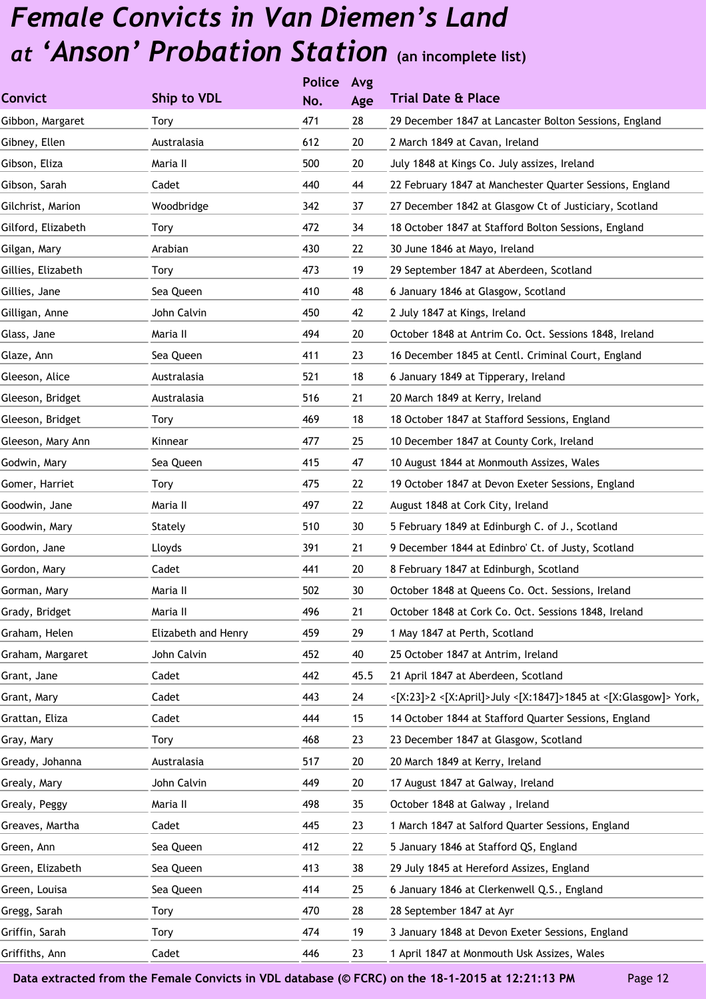|                     | <b>Police</b> | Avg  |                                                                 |
|---------------------|---------------|------|-----------------------------------------------------------------|
| Ship to VDL         | No.           | Age  | <b>Trial Date &amp; Place</b>                                   |
| Tory                | 471           | 28   | 29 December 1847 at Lancaster Bolton Sessions, England          |
| Australasia         | 612           | 20   | 2 March 1849 at Cavan, Ireland                                  |
| Maria II            | 500           | 20   | July 1848 at Kings Co. July assizes, Ireland                    |
| Cadet               | 440           | 44   | 22 February 1847 at Manchester Quarter Sessions, England        |
| Woodbridge          | 342           | 37   | 27 December 1842 at Glasgow Ct of Justiciary, Scotland          |
| Tory                | 472           | 34   | 18 October 1847 at Stafford Bolton Sessions, England            |
| Arabian             | 430           | 22   | 30 June 1846 at Mayo, Ireland                                   |
| Tory                | 473           | 19   | 29 September 1847 at Aberdeen, Scotland                         |
| Sea Queen           | 410           | 48   | 6 January 1846 at Glasgow, Scotland                             |
| John Calvin         | 450           | 42   | 2 July 1847 at Kings, Ireland                                   |
| Maria II            | 494           | 20   | October 1848 at Antrim Co. Oct. Sessions 1848, Ireland          |
| Sea Queen           | 411           | 23   | 16 December 1845 at Centl. Criminal Court, England              |
| Australasia         | 521           | 18   | 6 January 1849 at Tipperary, Ireland                            |
| Australasia         | 516           | 21   | 20 March 1849 at Kerry, Ireland                                 |
| Tory                | 469           | 18   | 18 October 1847 at Stafford Sessions, England                   |
| Kinnear             | 477           | 25   | 10 December 1847 at County Cork, Ireland                        |
| Sea Queen           | 415           | 47   | 10 August 1844 at Monmouth Assizes, Wales                       |
| Tory                | 475           | 22   | 19 October 1847 at Devon Exeter Sessions, England               |
| Maria II            | 497           | 22   | August 1848 at Cork City, Ireland                               |
| Stately             | 510           | 30   | 5 February 1849 at Edinburgh C. of J., Scotland                 |
| Lloyds              | 391           | 21   | 9 December 1844 at Edinbro' Ct. of Justy, Scotland              |
| Cadet               | 441           | 20   | 8 February 1847 at Edinburgh, Scotland                          |
| Maria II            | 502           | 30   | October 1848 at Queens Co. Oct. Sessions, Ireland               |
| Maria II            | 496           | 21   | October 1848 at Cork Co. Oct. Sessions 1848, Ireland            |
| Elizabeth and Henry | 459           | 29   | 1 May 1847 at Perth, Scotland                                   |
| John Calvin         | 452           | 40   | 25 October 1847 at Antrim, Ireland                              |
| Cadet               | 442           | 45.5 | 21 April 1847 at Aberdeen, Scotland                             |
| Cadet               | 443           | 24   | <[X:23]>2 <[X:April]>July <[X:1847]>1845 at <[X:Glasgow]> York, |
| Cadet               | 444           | 15   | 14 October 1844 at Stafford Quarter Sessions, England           |
| Tory                | 468           | 23   | 23 December 1847 at Glasgow, Scotland                           |
| Australasia         | 517           | 20   | 20 March 1849 at Kerry, Ireland                                 |
| John Calvin         | 449           | 20   | 17 August 1847 at Galway, Ireland                               |
| Maria II            | 498           | 35   | October 1848 at Galway, Ireland                                 |
| Cadet               | 445           | 23   | 1 March 1847 at Salford Quarter Sessions, England               |
| Sea Queen           | 412           | 22   | 5 January 1846 at Stafford QS, England                          |
| Sea Queen           | 413           | 38   | 29 July 1845 at Hereford Assizes, England                       |
| Sea Queen           | 414           | 25   | 6 January 1846 at Clerkenwell Q.S., England                     |
| Tory                | 470           | 28   | 28 September 1847 at Ayr                                        |
| Tory                | 474           | 19   | 3 January 1848 at Devon Exeter Sessions, England                |
| Cadet               | 446           | 23   | 1 April 1847 at Monmouth Usk Assizes, Wales                     |
|                     |               |      |                                                                 |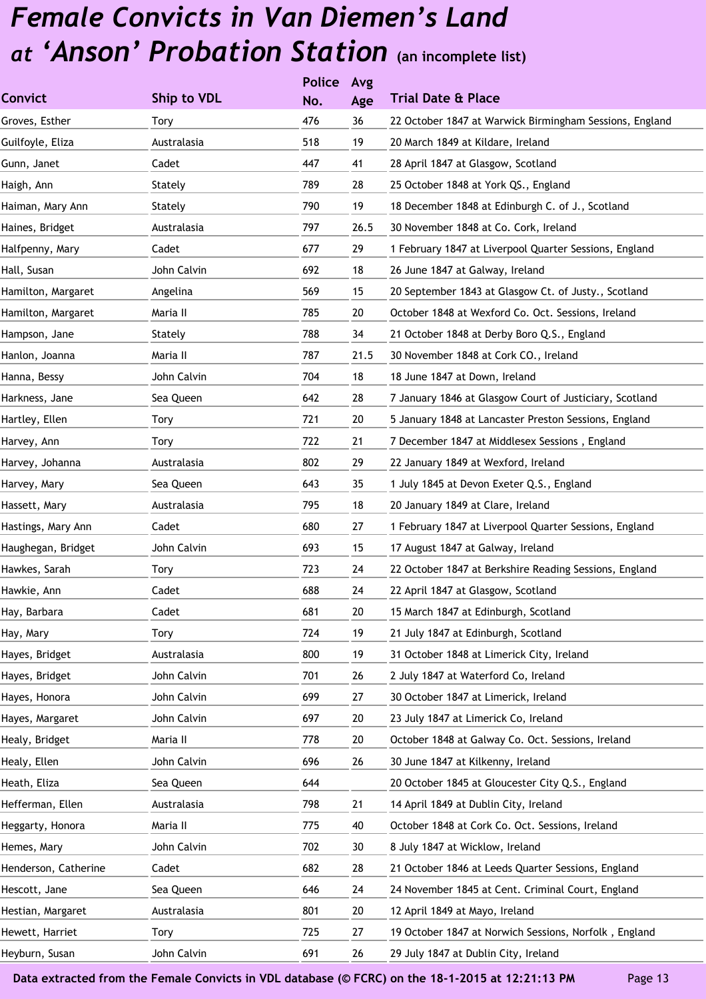|                      |             | <b>Police</b> | Avg    |                                                         |
|----------------------|-------------|---------------|--------|---------------------------------------------------------|
| <b>Convict</b>       | Ship to VDL | No.           | Age    | <b>Trial Date &amp; Place</b>                           |
| Groves, Esther       | Tory        | 476           | 36     | 22 October 1847 at Warwick Birmingham Sessions, England |
| Guilfoyle, Eliza     | Australasia | 518           | 19     | 20 March 1849 at Kildare, Ireland                       |
| Gunn, Janet          | Cadet       | 447           | 41     | 28 April 1847 at Glasgow, Scotland                      |
| Haigh, Ann           | Stately     | 789           | 28     | 25 October 1848 at York QS., England                    |
| Haiman, Mary Ann     | Stately     | 790           | 19     | 18 December 1848 at Edinburgh C. of J., Scotland        |
| Haines, Bridget      | Australasia | 797           | 26.5   | 30 November 1848 at Co. Cork, Ireland                   |
| Halfpenny, Mary      | Cadet       | 677           | 29     | 1 February 1847 at Liverpool Quarter Sessions, England  |
| Hall, Susan          | John Calvin | 692           | 18     | 26 June 1847 at Galway, Ireland                         |
| Hamilton, Margaret   | Angelina    | 569           | 15     | 20 September 1843 at Glasgow Ct. of Justy., Scotland    |
| Hamilton, Margaret   | Maria II    | 785           | 20     | October 1848 at Wexford Co. Oct. Sessions, Ireland      |
| Hampson, Jane        | Stately     | 788           | 34     | 21 October 1848 at Derby Boro Q.S., England             |
| Hanlon, Joanna       | Maria II    | 787           | 21.5   | 30 November 1848 at Cork CO., Ireland                   |
| Hanna, Bessy         | John Calvin | 704           | 18     | 18 June 1847 at Down, Ireland                           |
| Harkness, Jane       | Sea Queen   | 642           | 28     | 7 January 1846 at Glasgow Court of Justiciary, Scotland |
| Hartley, Ellen       | Tory        | 721           | 20     | 5 January 1848 at Lancaster Preston Sessions, England   |
| Harvey, Ann          | Tory        | 722           | 21     | 7 December 1847 at Middlesex Sessions, England          |
| Harvey, Johanna      | Australasia | 802           | 29     | 22 January 1849 at Wexford, Ireland                     |
| Harvey, Mary         | Sea Queen   | 643           | 35     | 1 July 1845 at Devon Exeter Q.S., England               |
| Hassett, Mary        | Australasia | 795           | 18     | 20 January 1849 at Clare, Ireland                       |
| Hastings, Mary Ann   | Cadet       | 680           | 27     | 1 February 1847 at Liverpool Quarter Sessions, England  |
| Haughegan, Bridget   | John Calvin | 693           | 15     | 17 August 1847 at Galway, Ireland                       |
| Hawkes, Sarah        | Tory        | 723           | 24     | 22 October 1847 at Berkshire Reading Sessions, England  |
| Hawkie, Ann          | Cadet       | 688           | 24     | 22 April 1847 at Glasgow, Scotland                      |
| Hay, Barbara         | Cadet       | 681           | $20\,$ | 15 March 1847 at Edinburgh, Scotland                    |
| Hay, Mary            | Tory        | 724           | 19     | 21 July 1847 at Edinburgh, Scotland                     |
| Hayes, Bridget       | Australasia | 800           | 19     | 31 October 1848 at Limerick City, Ireland               |
| Hayes, Bridget       | John Calvin | 701           | 26     | 2 July 1847 at Waterford Co, Ireland                    |
| Hayes, Honora        | John Calvin | 699           | 27     | 30 October 1847 at Limerick, Ireland                    |
| Hayes, Margaret      | John Calvin | 697           | 20     | 23 July 1847 at Limerick Co, Ireland                    |
| Healy, Bridget       | Maria II    | 778           | 20     | October 1848 at Galway Co. Oct. Sessions, Ireland       |
| Healy, Ellen         | John Calvin | 696           | 26     | 30 June 1847 at Kilkenny, Ireland                       |
| Heath, Eliza         | Sea Queen   | 644           |        | 20 October 1845 at Gloucester City Q.S., England        |
| Hefferman, Ellen     | Australasia | 798           | 21     | 14 April 1849 at Dublin City, Ireland                   |
| Heggarty, Honora     | Maria II    | 775           | 40     | October 1848 at Cork Co. Oct. Sessions, Ireland         |
| Hemes, Mary          | John Calvin | 702           | 30     | 8 July 1847 at Wicklow, Ireland                         |
| Henderson, Catherine | Cadet       | 682           | 28     | 21 October 1846 at Leeds Quarter Sessions, England      |
| Hescott, Jane        | Sea Queen   | 646           | 24     | 24 November 1845 at Cent. Criminal Court, England       |
| Hestian, Margaret    | Australasia | 801           | 20     | 12 April 1849 at Mayo, Ireland                          |
| Hewett, Harriet      | Tory        | 725           | 27     | 19 October 1847 at Norwich Sessions, Norfolk, England   |
| Heyburn, Susan       | John Calvin | 691           | 26     | 29 July 1847 at Dublin City, Ireland                    |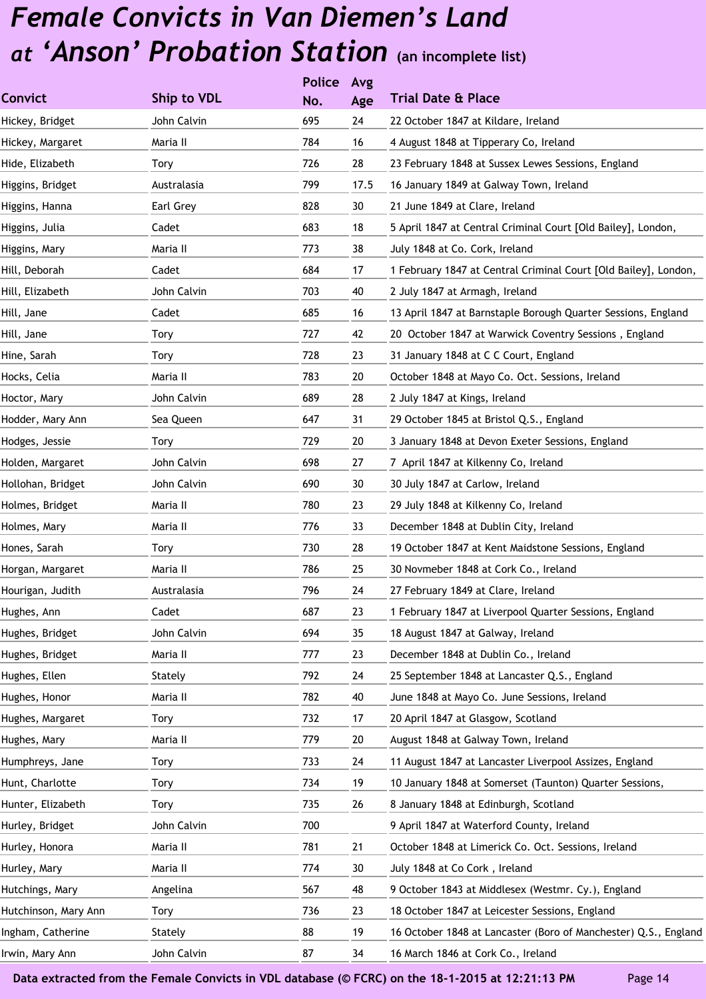|                      |             | <b>Police</b> | Avg  |                                                                 |
|----------------------|-------------|---------------|------|-----------------------------------------------------------------|
| <b>Convict</b>       | Ship to VDL | No.           | Age  | <b>Trial Date &amp; Place</b>                                   |
| Hickey, Bridget      | John Calvin | 695           | 24   | 22 October 1847 at Kildare, Ireland                             |
| Hickey, Margaret     | Maria II    | 784           | 16   | 4 August 1848 at Tipperary Co, Ireland                          |
| Hide, Elizabeth      | Tory        | 726           | 28   | 23 February 1848 at Sussex Lewes Sessions, England              |
| Higgins, Bridget     | Australasia | 799           | 17.5 | 16 January 1849 at Galway Town, Ireland                         |
| Higgins, Hanna       | Earl Grey   | 828           | 30   | 21 June 1849 at Clare, Ireland                                  |
| Higgins, Julia       | Cadet       | 683           | 18   | 5 April 1847 at Central Criminal Court [Old Bailey], London,    |
| Higgins, Mary        | Maria II    | 773           | 38   | July 1848 at Co. Cork, Ireland                                  |
| Hill, Deborah        | Cadet       | 684           | 17   | 1 February 1847 at Central Criminal Court [Old Bailey], London, |
| Hill, Elizabeth      | John Calvin | 703           | 40   | 2 July 1847 at Armagh, Ireland                                  |
| Hill, Jane           | Cadet       | 685           | 16   | 13 April 1847 at Barnstaple Borough Quarter Sessions, England   |
| Hill, Jane           | <b>Tory</b> | 727           | 42   | 20 October 1847 at Warwick Coventry Sessions, England           |
| Hine, Sarah          | Tory        | 728           | 23   | 31 January 1848 at C C Court, England                           |
| Hocks, Celia         | Maria II    | 783           | 20   | October 1848 at Mayo Co. Oct. Sessions, Ireland                 |
| Hoctor, Mary         | John Calvin | 689           | 28   | 2 July 1847 at Kings, Ireland                                   |
| Hodder, Mary Ann     | Sea Queen   | 647           | 31   | 29 October 1845 at Bristol Q.S., England                        |
| Hodges, Jessie       | Tory        | 729           | 20   | 3 January 1848 at Devon Exeter Sessions, England                |
| Holden, Margaret     | John Calvin | 698           | 27   | 7 April 1847 at Kilkenny Co, Ireland                            |
| Hollohan, Bridget    | John Calvin | 690           | 30   | 30 July 1847 at Carlow, Ireland                                 |
| Holmes, Bridget      | Maria II    | 780           | 23   | 29 July 1848 at Kilkenny Co, Ireland                            |
| Holmes, Mary         | Maria II    | 776           | 33   | December 1848 at Dublin City, Ireland                           |
| Hones, Sarah         | <b>Tory</b> | 730           | 28   | 19 October 1847 at Kent Maidstone Sessions, England             |
| Horgan, Margaret     | Maria II    | 786           | 25   | 30 Novmeber 1848 at Cork Co., Ireland                           |
| Hourigan, Judith     | Australasia | 796           | 24   | 27 February 1849 at Clare, Ireland                              |
| Hughes, Ann          | Cadet       | 687           | 23   | 1 February 1847 at Liverpool Quarter Sessions, England          |
| Hughes, Bridget      | John Calvin | 694           | 35   | 18 August 1847 at Galway, Ireland                               |
| Hughes, Bridget      | Maria II    | 777           | 23   | December 1848 at Dublin Co., Ireland                            |
| Hughes, Ellen        | Stately     | 792           | 24   | 25 September 1848 at Lancaster Q.S., England                    |
| Hughes, Honor        | Maria II    | 782           | 40   | June 1848 at Mayo Co. June Sessions, Ireland                    |
| Hughes, Margaret     | <b>Tory</b> | 732           | 17   | 20 April 1847 at Glasgow, Scotland                              |
| Hughes, Mary         | Maria II    | 779           | 20   | August 1848 at Galway Town, Ireland                             |
| Humphreys, Jane      | Tory        | 733           | 24   | 11 August 1847 at Lancaster Liverpool Assizes, England          |
| Hunt, Charlotte      | Tory        | 734           | 19   | 10 January 1848 at Somerset (Taunton) Quarter Sessions,         |
| Hunter, Elizabeth    | Tory        | 735           | 26   | 8 January 1848 at Edinburgh, Scotland                           |
| Hurley, Bridget      | John Calvin | 700           |      | 9 April 1847 at Waterford County, Ireland                       |
| Hurley, Honora       | Maria II    | 781           | 21   | October 1848 at Limerick Co. Oct. Sessions, Ireland             |
| Hurley, Mary         | Maria II    | 774           | 30   | July 1848 at Co Cork, Ireland                                   |
| Hutchings, Mary      | Angelina    | 567           | 48   | 9 October 1843 at Middlesex (Westmr. Cy.), England              |
| Hutchinson, Mary Ann | Tory        | 736           | 23   | 18 October 1847 at Leicester Sessions, England                  |
| Ingham, Catherine    | Stately     | 88            | 19   | 16 October 1848 at Lancaster (Boro of Manchester) Q.S., England |
| Irwin, Mary Ann      | John Calvin | 87            | 34   | 16 March 1846 at Cork Co., Ireland                              |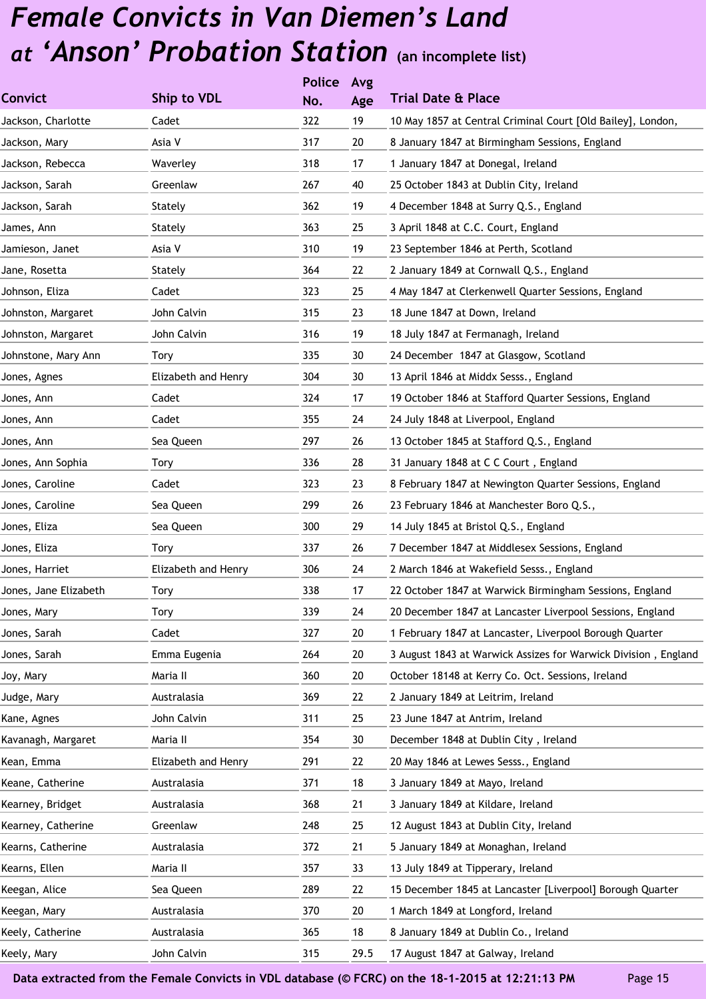|                       |                     | <b>Police</b> | Avg  |                                                                |
|-----------------------|---------------------|---------------|------|----------------------------------------------------------------|
| <b>Convict</b>        | Ship to VDL         | No.           | Age  | <b>Trial Date &amp; Place</b>                                  |
| Jackson, Charlotte    | Cadet               | 322           | 19   | 10 May 1857 at Central Criminal Court [Old Bailey], London,    |
| Jackson, Mary         | Asia V              | 317           | 20   | 8 January 1847 at Birmingham Sessions, England                 |
| Jackson, Rebecca      | Waverley            | 318           | 17   | 1 January 1847 at Donegal, Ireland                             |
| Jackson, Sarah        | Greenlaw            | 267           | 40   | 25 October 1843 at Dublin City, Ireland                        |
| Jackson, Sarah        | Stately             | 362           | 19   | 4 December 1848 at Surry Q.S., England                         |
| James, Ann            | Stately             | 363           | 25   | 3 April 1848 at C.C. Court, England                            |
| Jamieson, Janet       | Asia V              | 310           | 19   | 23 September 1846 at Perth, Scotland                           |
| Jane, Rosetta         | Stately             | 364           | 22   | 2 January 1849 at Cornwall Q.S., England                       |
| Johnson, Eliza        | Cadet               | 323           | 25   | 4 May 1847 at Clerkenwell Quarter Sessions, England            |
| Johnston, Margaret    | John Calvin         | 315           | 23   | 18 June 1847 at Down, Ireland                                  |
| Johnston, Margaret    | John Calvin         | 316           | 19   | 18 July 1847 at Fermanagh, Ireland                             |
| Johnstone, Mary Ann   | Tory                | 335           | 30   | 24 December 1847 at Glasgow, Scotland                          |
| Jones, Agnes          | Elizabeth and Henry | 304           | 30   | 13 April 1846 at Middx Sesss., England                         |
| Jones, Ann            | Cadet               | 324           | 17   | 19 October 1846 at Stafford Quarter Sessions, England          |
| Jones, Ann            | Cadet               | 355           | 24   | 24 July 1848 at Liverpool, England                             |
| Jones, Ann            | Sea Queen           | 297           | 26   | 13 October 1845 at Stafford Q.S., England                      |
| Jones, Ann Sophia     | Tory                | 336           | 28   | 31 January 1848 at C C Court, England                          |
| Jones, Caroline       | Cadet               | 323           | 23   | 8 February 1847 at Newington Quarter Sessions, England         |
| Jones, Caroline       | Sea Queen           | 299           | 26   | 23 February 1846 at Manchester Boro Q.S.,                      |
| Jones, Eliza          | Sea Queen           | 300           | 29   | 14 July 1845 at Bristol Q.S., England                          |
| Jones, Eliza          | Tory                | 337           | 26   | 7 December 1847 at Middlesex Sessions, England                 |
| Jones, Harriet        | Elizabeth and Henry | 306           | 24   | 2 March 1846 at Wakefield Sesss., England                      |
| Jones, Jane Elizabeth | Tory                | 338           | 17   | 22 October 1847 at Warwick Birmingham Sessions, England        |
| Jones, Mary           | Tory                | 339           | 24   | 20 December 1847 at Lancaster Liverpool Sessions, England      |
| Jones, Sarah          | Cadet               | 327           | 20   | 1 February 1847 at Lancaster, Liverpool Borough Quarter        |
| Jones, Sarah          | Emma Eugenia        | 264           | 20   | 3 August 1843 at Warwick Assizes for Warwick Division, England |
| Joy, Mary             | Maria II            | 360           | 20   | October 18148 at Kerry Co. Oct. Sessions, Ireland              |
| Judge, Mary           | Australasia         | 369           | 22   | 2 January 1849 at Leitrim, Ireland                             |
| Kane, Agnes           | John Calvin         | 311           | 25   | 23 June 1847 at Antrim, Ireland                                |
| Kavanagh, Margaret    | Maria II            | 354           | 30   | December 1848 at Dublin City, Ireland                          |
| Kean, Emma            | Elizabeth and Henry | 291           | 22   | 20 May 1846 at Lewes Sesss., England                           |
| Keane, Catherine      | Australasia         | 371           | 18   | 3 January 1849 at Mayo, Ireland                                |
| Kearney, Bridget      | Australasia         | 368           | 21   | 3 January 1849 at Kildare, Ireland                             |
| Kearney, Catherine    | Greenlaw            | 248           | 25   | 12 August 1843 at Dublin City, Ireland                         |
| Kearns, Catherine     | Australasia         | 372           | 21   | 5 January 1849 at Monaghan, Ireland                            |
| Kearns, Ellen         | Maria II            | 357           | 33   | 13 July 1849 at Tipperary, Ireland                             |
| Keegan, Alice         | Sea Queen           | 289           | 22   | 15 December 1845 at Lancaster [Liverpool] Borough Quarter      |
| Keegan, Mary          | Australasia         | 370           | 20   | 1 March 1849 at Longford, Ireland                              |
| Keely, Catherine      | Australasia         | 365           | 18   | 8 January 1849 at Dublin Co., Ireland                          |
| Keely, Mary           | John Calvin         | 315           | 29.5 | 17 August 1847 at Galway, Ireland                              |
|                       |                     |               |      |                                                                |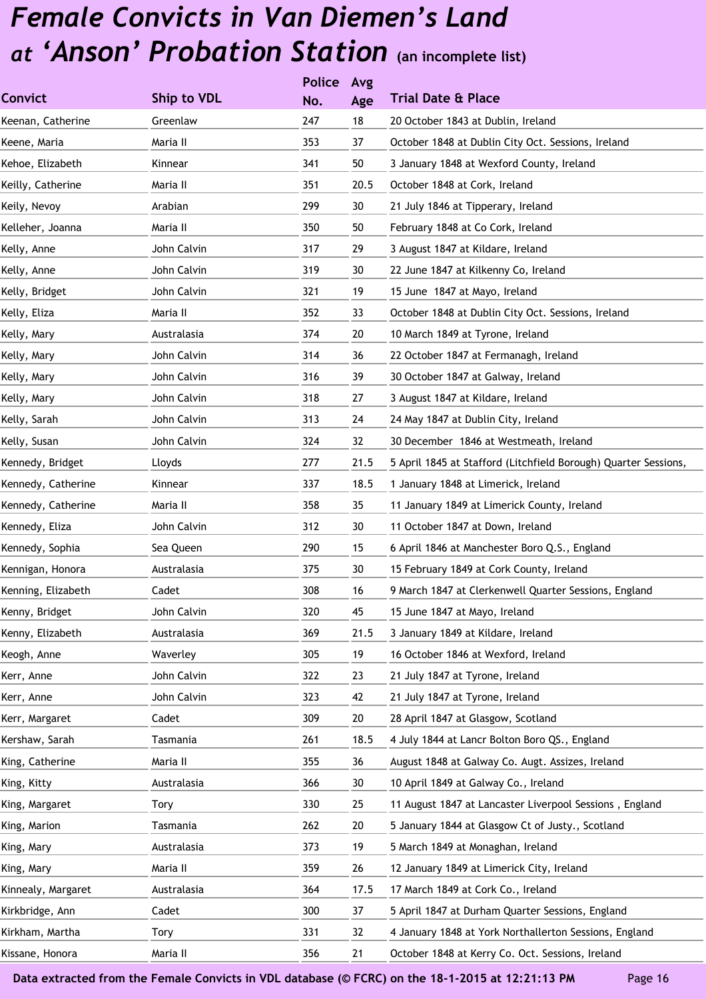|                    |             | <b>Police</b> | Avg  |                                                                 |
|--------------------|-------------|---------------|------|-----------------------------------------------------------------|
| <b>Convict</b>     | Ship to VDL | No.           | Age  | <b>Trial Date &amp; Place</b>                                   |
| Keenan, Catherine  | Greenlaw    | 247           | 18   | 20 October 1843 at Dublin, Ireland                              |
| Keene, Maria       | Maria II    | 353           | 37   | October 1848 at Dublin City Oct. Sessions, Ireland              |
| Kehoe, Elizabeth   | Kinnear     | 341           | 50   | 3 January 1848 at Wexford County, Ireland                       |
| Keilly, Catherine  | Maria II    | 351           | 20.5 | October 1848 at Cork, Ireland                                   |
| Keily, Nevoy       | Arabian     | 299           | 30   | 21 July 1846 at Tipperary, Ireland                              |
| Kelleher, Joanna   | Maria II    | 350           | 50   | February 1848 at Co Cork, Ireland                               |
| Kelly, Anne        | John Calvin | 317           | 29   | 3 August 1847 at Kildare, Ireland                               |
| Kelly, Anne        | John Calvin | 319           | 30   | 22 June 1847 at Kilkenny Co, Ireland                            |
| Kelly, Bridget     | John Calvin | 321           | 19   | 15 June 1847 at Mayo, Ireland                                   |
| Kelly, Eliza       | Maria II    | 352           | 33   | October 1848 at Dublin City Oct. Sessions, Ireland              |
| Kelly, Mary        | Australasia | 374           | 20   | 10 March 1849 at Tyrone, Ireland                                |
| Kelly, Mary        | John Calvin | 314           | 36   | 22 October 1847 at Fermanagh, Ireland                           |
| Kelly, Mary        | John Calvin | 316           | 39   | 30 October 1847 at Galway, Ireland                              |
| Kelly, Mary        | John Calvin | 318           | 27   | 3 August 1847 at Kildare, Ireland                               |
| Kelly, Sarah       | John Calvin | 313           | 24   | 24 May 1847 at Dublin City, Ireland                             |
| Kelly, Susan       | John Calvin | 324           | 32   | 30 December 1846 at Westmeath, Ireland                          |
| Kennedy, Bridget   | Lloyds      | 277           | 21.5 | 5 April 1845 at Stafford (Litchfield Borough) Quarter Sessions, |
| Kennedy, Catherine | Kinnear     | 337           | 18.5 | 1 January 1848 at Limerick, Ireland                             |
| Kennedy, Catherine | Maria II    | 358           | 35   | 11 January 1849 at Limerick County, Ireland                     |
| Kennedy, Eliza     | John Calvin | 312           | 30   | 11 October 1847 at Down, Ireland                                |
| Kennedy, Sophia    | Sea Queen   | 290           | 15   | 6 April 1846 at Manchester Boro Q.S., England                   |
| Kennigan, Honora   | Australasia | 375           | 30   | 15 February 1849 at Cork County, Ireland                        |
| Kenning, Elizabeth | Cadet       | 308           | 16   | 9 March 1847 at Clerkenwell Quarter Sessions, England           |
| Kenny, Bridget     | John Calvin | 320           | 45   | 15 June 1847 at Mayo, Ireland                                   |
| Kenny, Elizabeth   | Australasia | 369           | 21.5 | 3 January 1849 at Kildare, Ireland                              |
| Keogh, Anne        | Waverley    | 305           | 19   | 16 October 1846 at Wexford, Ireland                             |
| Kerr, Anne         | John Calvin | 322           | 23   | 21 July 1847 at Tyrone, Ireland                                 |
| Kerr, Anne         | John Calvin | 323           | 42   | 21 July 1847 at Tyrone, Ireland                                 |
| Kerr, Margaret     | Cadet       | 309           | 20   | 28 April 1847 at Glasgow, Scotland                              |
| Kershaw, Sarah     | Tasmania    | 261           | 18.5 | 4 July 1844 at Lancr Bolton Boro QS., England                   |
| King, Catherine    | Maria II    | 355           | 36   | August 1848 at Galway Co. Augt. Assizes, Ireland                |
| King, Kitty        | Australasia | 366           | 30   | 10 April 1849 at Galway Co., Ireland                            |
| King, Margaret     | Tory        | 330           | 25   | 11 August 1847 at Lancaster Liverpool Sessions, England         |
| King, Marion       | Tasmania    | 262           | 20   | 5 January 1844 at Glasgow Ct of Justy., Scotland                |
| King, Mary         | Australasia | 373           | 19   | 5 March 1849 at Monaghan, Ireland                               |
| King, Mary         | Maria II    | 359           | 26   | 12 January 1849 at Limerick City, Ireland                       |
| Kinnealy, Margaret | Australasia | 364           | 17.5 | 17 March 1849 at Cork Co., Ireland                              |
| Kirkbridge, Ann    | Cadet       | 300           | 37   | 5 April 1847 at Durham Quarter Sessions, England                |
| Kirkham, Martha    | Tory        | 331           | 32   | 4 January 1848 at York Northallerton Sessions, England          |
| Kissane, Honora    | Maria II    | 356           | 21   | October 1848 at Kerry Co. Oct. Sessions, Ireland                |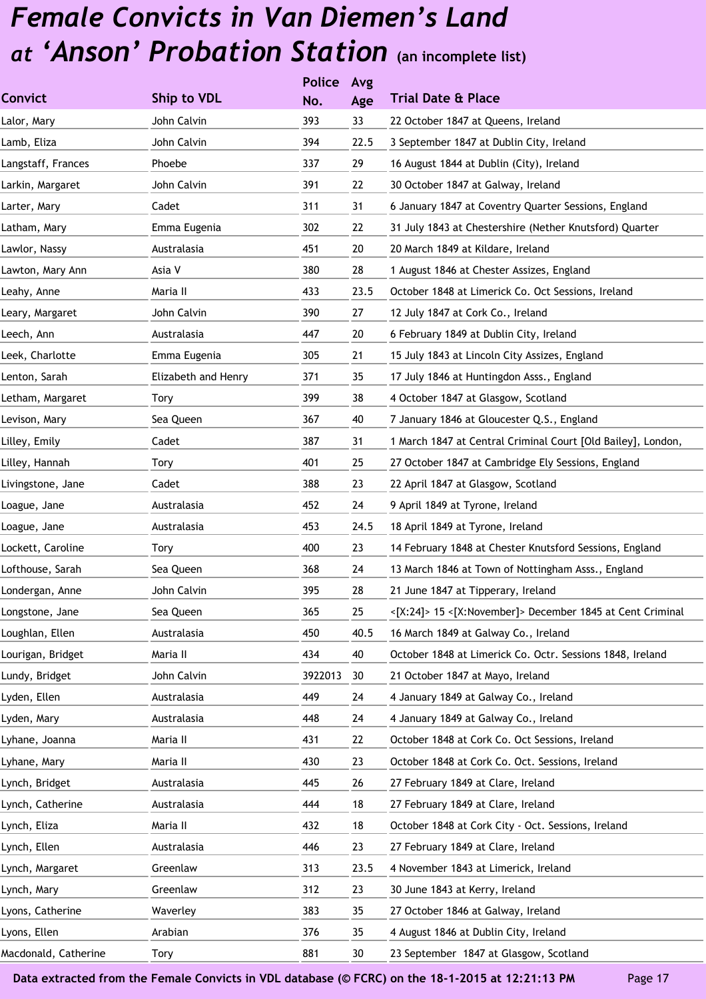|                      |                     | <b>Police</b> | Avg  |                                                              |
|----------------------|---------------------|---------------|------|--------------------------------------------------------------|
| <b>Convict</b>       | Ship to VDL         | No.           | Age  | <b>Trial Date &amp; Place</b>                                |
| Lalor, Mary          | John Calvin         | 393           | 33   | 22 October 1847 at Queens, Ireland                           |
| Lamb, Eliza          | John Calvin         | 394           | 22.5 | 3 September 1847 at Dublin City, Ireland                     |
| Langstaff, Frances   | Phoebe              | 337           | 29   | 16 August 1844 at Dublin (City), Ireland                     |
| Larkin, Margaret     | John Calvin         | 391           | 22   | 30 October 1847 at Galway, Ireland                           |
| Larter, Mary         | Cadet               | 311           | 31   | 6 January 1847 at Coventry Quarter Sessions, England         |
| Latham, Mary         | Emma Eugenia        | 302           | 22   | 31 July 1843 at Chestershire (Nether Knutsford) Quarter      |
| Lawlor, Nassy        | Australasia         | 451           | 20   | 20 March 1849 at Kildare, Ireland                            |
| Lawton, Mary Ann     | Asia V              | 380           | 28   | 1 August 1846 at Chester Assizes, England                    |
| Leahy, Anne          | Maria II            | 433           | 23.5 | October 1848 at Limerick Co. Oct Sessions, Ireland           |
| Leary, Margaret      | John Calvin         | 390           | 27   | 12 July 1847 at Cork Co., Ireland                            |
| Leech, Ann           | Australasia         | 447           | 20   | 6 February 1849 at Dublin City, Ireland                      |
| Leek, Charlotte      | Emma Eugenia        | 305           | 21   | 15 July 1843 at Lincoln City Assizes, England                |
| Lenton, Sarah        | Elizabeth and Henry | 371           | 35   | 17 July 1846 at Huntingdon Asss., England                    |
| Letham, Margaret     | <b>Tory</b>         | 399           | 38   | 4 October 1847 at Glasgow, Scotland                          |
| Levison, Mary        | Sea Queen           | 367           | 40   | 7 January 1846 at Gloucester Q.S., England                   |
| Lilley, Emily        | Cadet               | 387           | 31   | 1 March 1847 at Central Criminal Court [Old Bailey], London, |
| Lilley, Hannah       | Tory                | 401           | 25   | 27 October 1847 at Cambridge Ely Sessions, England           |
| Livingstone, Jane    | Cadet               | 388           | 23   | 22 April 1847 at Glasgow, Scotland                           |
| Loague, Jane         | Australasia         | 452           | 24   | 9 April 1849 at Tyrone, Ireland                              |
| Loague, Jane         | Australasia         | 453           | 24.5 | 18 April 1849 at Tyrone, Ireland                             |
| Lockett, Caroline    | Tory                | 400           | 23   | 14 February 1848 at Chester Knutsford Sessions, England      |
| Lofthouse, Sarah     | Sea Queen           | 368           | 24   | 13 March 1846 at Town of Nottingham Asss., England           |
| Londergan, Anne      | John Calvin         | 395           | 28   | 21 June 1847 at Tipperary, Ireland                           |
| Longstone, Jane      | Sea Queen           | 365           | 25   | <[X:24]> 15 <[X:November]> December 1845 at Cent Criminal    |
| Loughlan, Ellen      | Australasia         | 450           | 40.5 | 16 March 1849 at Galway Co., Ireland                         |
| Lourigan, Bridget    | Maria II            | 434           | 40   | October 1848 at Limerick Co. Octr. Sessions 1848, Ireland    |
| Lundy, Bridget       | John Calvin         | 3922013       | 30   | 21 October 1847 at Mayo, Ireland                             |
| Lyden, Ellen         | Australasia         | 449           | 24   | 4 January 1849 at Galway Co., Ireland                        |
| Lyden, Mary          | Australasia         | 448           | 24   | 4 January 1849 at Galway Co., Ireland                        |
| Lyhane, Joanna       | Maria II            | 431           | 22   | October 1848 at Cork Co. Oct Sessions, Ireland               |
| Lyhane, Mary         | Maria II            | 430           | 23   | October 1848 at Cork Co. Oct. Sessions, Ireland              |
| Lynch, Bridget       | Australasia         | 445           | 26   | 27 February 1849 at Clare, Ireland                           |
| Lynch, Catherine     | Australasia         | 444           | 18   | 27 February 1849 at Clare, Ireland                           |
| Lynch, Eliza         | Maria II            | 432           | 18   | October 1848 at Cork City - Oct. Sessions, Ireland           |
| Lynch, Ellen         | Australasia         | 446           | 23   | 27 February 1849 at Clare, Ireland                           |
| Lynch, Margaret      | Greenlaw            | 313           | 23.5 | 4 November 1843 at Limerick, Ireland                         |
| Lynch, Mary          | Greenlaw            | 312           | 23   | 30 June 1843 at Kerry, Ireland                               |
| Lyons, Catherine     | Waverley            | 383           | 35   | 27 October 1846 at Galway, Ireland                           |
| Lyons, Ellen         | Arabian             | 376           | 35   | 4 August 1846 at Dublin City, Ireland                        |
| Macdonald, Catherine | Tory                | 881           | 30   | 23 September 1847 at Glasgow, Scotland                       |
|                      |                     |               |      |                                                              |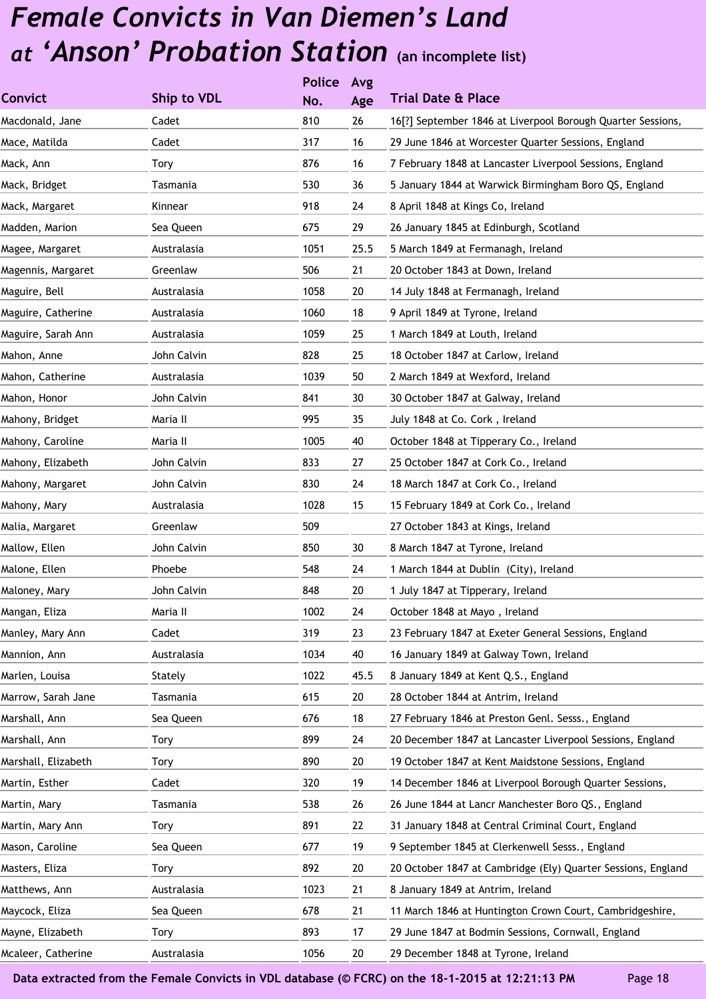|                     |             | <b>Police</b> | Avg  |                                                              |
|---------------------|-------------|---------------|------|--------------------------------------------------------------|
| <b>Convict</b>      | Ship to VDL | No.           | Age  | <b>Trial Date &amp; Place</b>                                |
| Macdonald, Jane     | Cadet       | 810           | 26   | 16[?] September 1846 at Liverpool Borough Quarter Sessions,  |
| Mace, Matilda       | Cadet       | 317           | 16   | 29 June 1846 at Worcester Quarter Sessions, England          |
| Mack, Ann           | Tory        | 876           | 16   | 7 February 1848 at Lancaster Liverpool Sessions, England     |
| Mack, Bridget       | Tasmania    | 530           | 36   | 5 January 1844 at Warwick Birmingham Boro QS, England        |
| Mack, Margaret      | Kinnear     | 918           | 24   | 8 April 1848 at Kings Co, Ireland                            |
| Madden, Marion      | Sea Queen   | 675           | 29   | 26 January 1845 at Edinburgh, Scotland                       |
| Magee, Margaret     | Australasia | 1051          | 25.5 | 5 March 1849 at Fermanagh, Ireland                           |
| Magennis, Margaret  | Greenlaw    | 506           | 21   | 20 October 1843 at Down, Ireland                             |
| Maguire, Bell       | Australasia | 1058          | 20   | 14 July 1848 at Fermanagh, Ireland                           |
| Maguire, Catherine  | Australasia | 1060          | 18   | 9 April 1849 at Tyrone, Ireland                              |
| Maguire, Sarah Ann  | Australasia | 1059          | 25   | 1 March 1849 at Louth, Ireland                               |
| Mahon, Anne         | John Calvin | 828           | 25   | 18 October 1847 at Carlow, Ireland                           |
| Mahon, Catherine    | Australasia | 1039          | 50   | 2 March 1849 at Wexford, Ireland                             |
| Mahon, Honor        | John Calvin | 841           | 30   | 30 October 1847 at Galway, Ireland                           |
| Mahony, Bridget     | Maria II    | 995           | 35   | July 1848 at Co. Cork, Ireland                               |
| Mahony, Caroline    | Maria II    | 1005          | 40   | October 1848 at Tipperary Co., Ireland                       |
| Mahony, Elizabeth   | John Calvin | 833           | 27   | 25 October 1847 at Cork Co., Ireland                         |
| Mahony, Margaret    | John Calvin | 830           | 24   | 18 March 1847 at Cork Co., Ireland                           |
| Mahony, Mary        | Australasia | 1028          | 15   | 15 February 1849 at Cork Co., Ireland                        |
| Malia, Margaret     | Greenlaw    | 509           |      | 27 October 1843 at Kings, Ireland                            |
| Mallow, Ellen       | John Calvin | 850           | 30   | 8 March 1847 at Tyrone, Ireland                              |
| Malone, Ellen       | Phoebe      | 548           | 24   | 1 March 1844 at Dublin (City), Ireland                       |
| Maloney, Mary       | John Calvin | 848           | 20   | 1 July 1847 at Tipperary, Ireland                            |
| Mangan, Eliza       | Maria II    | 1002          | 24   | October 1848 at Mayo, Ireland                                |
| Manley, Mary Ann    | Cadet       | 319           | 23   | 23 February 1847 at Exeter General Sessions, England         |
| Mannion, Ann        | Australasia | 1034          | 40   | 16 January 1849 at Galway Town, Ireland                      |
| Marlen, Louisa      | Stately     | 1022          | 45.5 | 8 January 1849 at Kent Q.S., England                         |
| Marrow, Sarah Jane  | Tasmania    | 615           | 20   | 28 October 1844 at Antrim, Ireland                           |
| Marshall, Ann       | Sea Queen   | 676           | 18   | 27 February 1846 at Preston Genl. Sesss., England            |
| Marshall, Ann       | Tory        | 899           | 24   | 20 December 1847 at Lancaster Liverpool Sessions, England    |
| Marshall, Elizabeth | Tory        | 890           | 20   | 19 October 1847 at Kent Maidstone Sessions, England          |
| Martin, Esther      | Cadet       | 320           | 19   | 14 December 1846 at Liverpool Borough Quarter Sessions,      |
| Martin, Mary        | Tasmania    | 538           | 26   | 26 June 1844 at Lancr Manchester Boro QS., England           |
| Martin, Mary Ann    | Tory        | 891           | 22   | 31 January 1848 at Central Criminal Court, England           |
| Mason, Caroline     | Sea Queen   | 677           | 19   | 9 September 1845 at Clerkenwell Sesss., England              |
| Masters, Eliza      | Tory        | 892           | 20   | 20 October 1847 at Cambridge (Ely) Quarter Sessions, England |
| Matthews, Ann       | Australasia | 1023          | 21   | 8 January 1849 at Antrim, Ireland                            |
| Maycock, Eliza      | Sea Queen   | 678           | 21   | 11 March 1846 at Huntington Crown Court, Cambridgeshire,     |
| Mayne, Elizabeth    | Tory        | 893           | 17   | 29 June 1847 at Bodmin Sessions, Cornwall, England           |
| Mcaleer, Catherine  | Australasia | 1056          | 20   | 29 December 1848 at Tyrone, Ireland                          |
|                     |             |               |      |                                                              |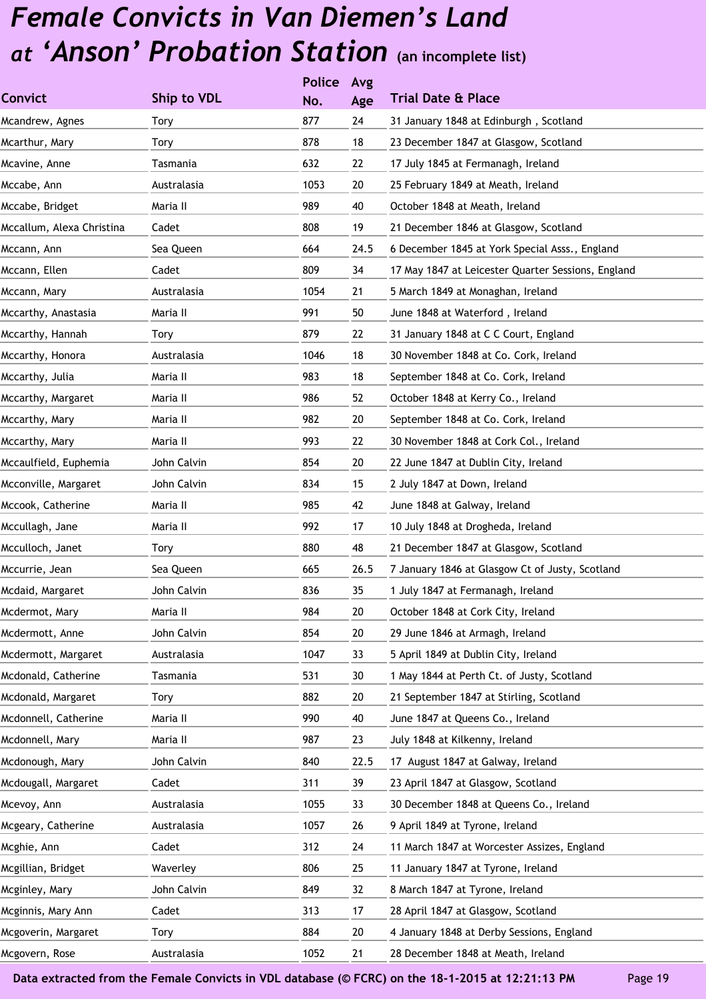|                           |             | <b>Police</b> | Avg    |                                                    |
|---------------------------|-------------|---------------|--------|----------------------------------------------------|
| <b>Convict</b>            | Ship to VDL | No.           | Age    | <b>Trial Date &amp; Place</b>                      |
| Mcandrew, Agnes           | Tory        | 877           | 24     | 31 January 1848 at Edinburgh, Scotland             |
| Mcarthur, Mary            | Tory        | 878           | 18     | 23 December 1847 at Glasgow, Scotland              |
| Mcavine, Anne             | Tasmania    | 632           | 22     | 17 July 1845 at Fermanagh, Ireland                 |
| Mccabe, Ann               | Australasia | 1053          | 20     | 25 February 1849 at Meath, Ireland                 |
| Mccabe, Bridget           | Maria II    | 989           | 40     | October 1848 at Meath, Ireland                     |
| Mccallum, Alexa Christina | Cadet       | 808           | 19     | 21 December 1846 at Glasgow, Scotland              |
| Mccann, Ann               | Sea Queen   | 664           | 24.5   | 6 December 1845 at York Special Asss., England     |
| Mccann, Ellen             | Cadet       | 809           | 34     | 17 May 1847 at Leicester Quarter Sessions, England |
| Mccann, Mary              | Australasia | 1054          | 21     | 5 March 1849 at Monaghan, Ireland                  |
| Mccarthy, Anastasia       | Maria II    | 991           | 50     | June 1848 at Waterford, Ireland                    |
| Mccarthy, Hannah          | Tory        | 879           | 22     | 31 January 1848 at C C Court, England              |
| Mccarthy, Honora          | Australasia | 1046          | 18     | 30 November 1848 at Co. Cork, Ireland              |
| Mccarthy, Julia           | Maria II    | 983           | 18     | September 1848 at Co. Cork, Ireland                |
| Mccarthy, Margaret        | Maria II    | 986           | 52     | October 1848 at Kerry Co., Ireland                 |
| Mccarthy, Mary            | Maria II    | 982           | 20     | September 1848 at Co. Cork, Ireland                |
| Mccarthy, Mary            | Maria II    | 993           | 22     | 30 November 1848 at Cork Col., Ireland             |
| Mccaulfield, Euphemia     | John Calvin | 854           | 20     | 22 June 1847 at Dublin City, Ireland               |
| Mcconville, Margaret      | John Calvin | 834           | 15     | 2 July 1847 at Down, Ireland                       |
| Mccook, Catherine         | Maria II    | 985           | 42     | June 1848 at Galway, Ireland                       |
| Mccullagh, Jane           | Maria II    | 992           | 17     | 10 July 1848 at Drogheda, Ireland                  |
| Mcculloch, Janet          | <b>Tory</b> | 880           | 48     | 21 December 1847 at Glasgow, Scotland              |
| Mccurrie, Jean            | Sea Queen   | 665           | 26.5   | 7 January 1846 at Glasgow Ct of Justy, Scotland    |
| Mcdaid, Margaret          | John Calvin | 836           | 35     | 1 July 1847 at Fermanagh, Ireland                  |
| Mcdermot, Mary            | Maria II    | 984           | $20\,$ | October 1848 at Cork City, Ireland                 |
| Mcdermott, Anne           | John Calvin | 854           | 20     | 29 June 1846 at Armagh, Ireland                    |
| Mcdermott, Margaret       | Australasia | 1047          | 33     | 5 April 1849 at Dublin City, Ireland               |
| Mcdonald, Catherine       | Tasmania    | 531           | 30     | 1 May 1844 at Perth Ct. of Justy, Scotland         |
| Mcdonald, Margaret        | <b>Tory</b> | 882           | 20     | 21 September 1847 at Stirling, Scotland            |
| Mcdonnell, Catherine      | Maria II    | 990           | 40     | June 1847 at Queens Co., Ireland                   |
| Mcdonnell, Mary           | Maria II    | 987           | 23     | July 1848 at Kilkenny, Ireland                     |
| Mcdonough, Mary           | John Calvin | 840           | 22.5   | 17 August 1847 at Galway, Ireland                  |
| Mcdougall, Margaret       | Cadet       | 311           | 39     | 23 April 1847 at Glasgow, Scotland                 |
| Mcevoy, Ann               | Australasia | 1055          | 33     | 30 December 1848 at Queens Co., Ireland            |
| Mcgeary, Catherine        | Australasia | 1057          | 26     | 9 April 1849 at Tyrone, Ireland                    |
| Mcghie, Ann               | Cadet       | 312           | 24     | 11 March 1847 at Worcester Assizes, England        |
| Mcgillian, Bridget        | Waverley    | 806           | 25     | 11 January 1847 at Tyrone, Ireland                 |
| Mcginley, Mary            | John Calvin | 849           | 32     | 8 March 1847 at Tyrone, Ireland                    |
| Mcginnis, Mary Ann        | Cadet       | 313           | 17     | 28 April 1847 at Glasgow, Scotland                 |
| Mcgoverin, Margaret       | Tory        | 884           | 20     | 4 January 1848 at Derby Sessions, England          |
| Mcgovern, Rose            | Australasia | 1052          | 21     | 28 December 1848 at Meath, Ireland                 |
|                           |             |               |        |                                                    |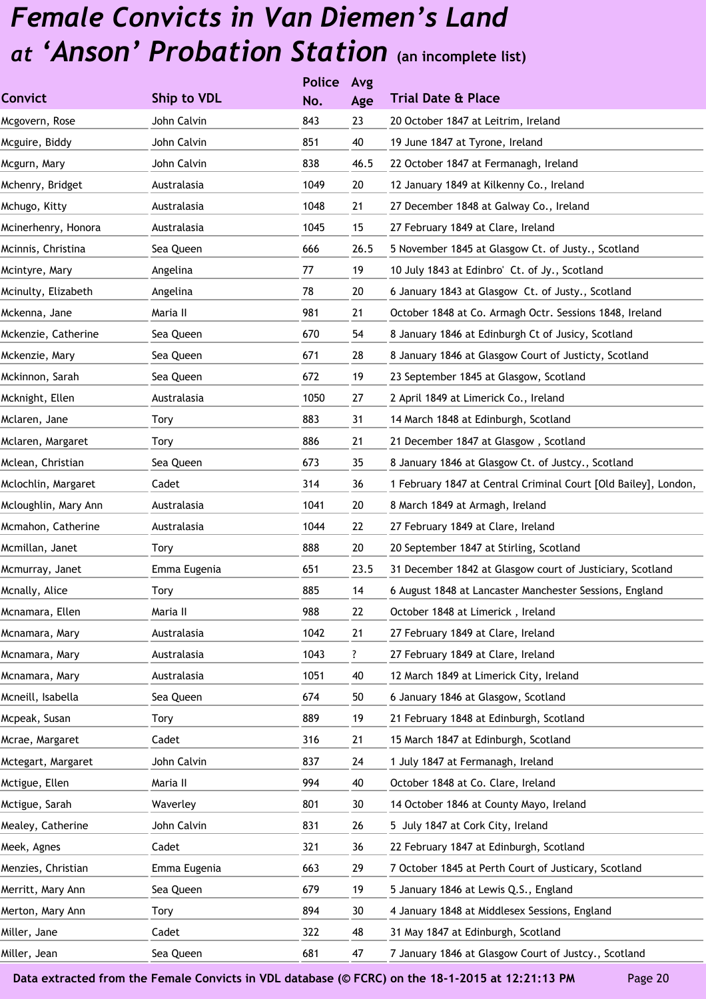|                      |              | <b>Police</b> | Avg  |                                                                 |
|----------------------|--------------|---------------|------|-----------------------------------------------------------------|
| <b>Convict</b>       | Ship to VDL  | No.           | Age  | <b>Trial Date &amp; Place</b>                                   |
| Mcgovern, Rose       | John Calvin  | 843           | 23   | 20 October 1847 at Leitrim, Ireland                             |
| Mcguire, Biddy       | John Calvin  | 851           | 40   | 19 June 1847 at Tyrone, Ireland                                 |
| Mcgurn, Mary         | John Calvin  | 838           | 46.5 | 22 October 1847 at Fermanagh, Ireland                           |
| Mchenry, Bridget     | Australasia  | 1049          | 20   | 12 January 1849 at Kilkenny Co., Ireland                        |
| Mchugo, Kitty        | Australasia  | 1048          | 21   | 27 December 1848 at Galway Co., Ireland                         |
| Mcinerhenry, Honora  | Australasia  | 1045          | 15   | 27 February 1849 at Clare, Ireland                              |
| Mcinnis, Christina   | Sea Queen    | 666           | 26.5 | 5 November 1845 at Glasgow Ct. of Justy., Scotland              |
| Mcintyre, Mary       | Angelina     | 77            | 19   | 10 July 1843 at Edinbro' Ct. of Jy., Scotland                   |
| Mcinulty, Elizabeth  | Angelina     | 78            | 20   | 6 January 1843 at Glasgow Ct. of Justy., Scotland               |
| Mckenna, Jane        | Maria II     | 981           | 21   | October 1848 at Co. Armagh Octr. Sessions 1848, Ireland         |
| Mckenzie, Catherine  | Sea Queen    | 670           | 54   | 8 January 1846 at Edinburgh Ct of Jusicy, Scotland              |
| Mckenzie, Mary       | Sea Queen    | 671           | 28   | 8 January 1846 at Glasgow Court of Justicty, Scotland           |
| Mckinnon, Sarah      | Sea Queen    | 672           | 19   | 23 September 1845 at Glasgow, Scotland                          |
| Mcknight, Ellen      | Australasia  | 1050          | 27   | 2 April 1849 at Limerick Co., Ireland                           |
| Mclaren, Jane        | <b>Tory</b>  | 883           | 31   | 14 March 1848 at Edinburgh, Scotland                            |
| Mclaren, Margaret    | Tory         | 886           | 21   | 21 December 1847 at Glasgow, Scotland                           |
| Mclean, Christian    | Sea Queen    | 673           | 35   | 8 January 1846 at Glasgow Ct. of Justcy., Scotland              |
| Mclochlin, Margaret  | Cadet        | 314           | 36   | 1 February 1847 at Central Criminal Court [Old Bailey], London, |
| Mcloughlin, Mary Ann | Australasia  | 1041          | 20   | 8 March 1849 at Armagh, Ireland                                 |
| Mcmahon, Catherine   | Australasia  | 1044          | 22   | 27 February 1849 at Clare, Ireland                              |
| Mcmillan, Janet      | <b>Tory</b>  | 888           | 20   | 20 September 1847 at Stirling, Scotland                         |
| Mcmurray, Janet      | Emma Eugenia | 651           | 23.5 | 31 December 1842 at Glasgow court of Justiciary, Scotland       |
| Mcnally, Alice       | <b>Tory</b>  | 885           | 14   | 6 August 1848 at Lancaster Manchester Sessions, England         |
| Mcnamara, Ellen      | Maria II     | 988           | 22   | October 1848 at Limerick, Ireland                               |
| Mcnamara, Mary       | Australasia  | 1042          | 21   | 27 February 1849 at Clare, Ireland                              |
| Mcnamara, Mary       | Australasia  | 1043          | ?    | 27 February 1849 at Clare, Ireland                              |
| Mcnamara, Mary       | Australasia  | 1051          | 40   | 12 March 1849 at Limerick City, Ireland                         |
| Mcneill, Isabella    | Sea Queen    | 674           | 50   | 6 January 1846 at Glasgow, Scotland                             |
| Mcpeak, Susan        | Tory         | 889           | 19   | 21 February 1848 at Edinburgh, Scotland                         |
| Mcrae, Margaret      | Cadet        | 316           | 21   | 15 March 1847 at Edinburgh, Scotland                            |
| Mctegart, Margaret   | John Calvin  | 837           | 24   | 1 July 1847 at Fermanagh, Ireland                               |
| Mctigue, Ellen       | Maria II     | 994           | 40   | October 1848 at Co. Clare, Ireland                              |
| Mctigue, Sarah       | Waverley     | 801           | 30   | 14 October 1846 at County Mayo, Ireland                         |
| Mealey, Catherine    | John Calvin  | 831           | 26   | 5 July 1847 at Cork City, Ireland                               |
| Meek, Agnes          | Cadet        | 321           | 36   | 22 February 1847 at Edinburgh, Scotland                         |
| Menzies, Christian   | Emma Eugenia | 663           | 29   | 7 October 1845 at Perth Court of Justicary, Scotland            |
| Merritt, Mary Ann    | Sea Queen    | 679           | 19   | 5 January 1846 at Lewis Q.S., England                           |
| Merton, Mary Ann     | Tory         | 894           | 30   | 4 January 1848 at Middlesex Sessions, England                   |
| Miller, Jane         | Cadet        | 322           | 48   | 31 May 1847 at Edinburgh, Scotland                              |
| Miller, Jean         | Sea Queen    | 681           | 47   | 7 January 1846 at Glasgow Court of Justcy., Scotland            |
|                      |              |               |      |                                                                 |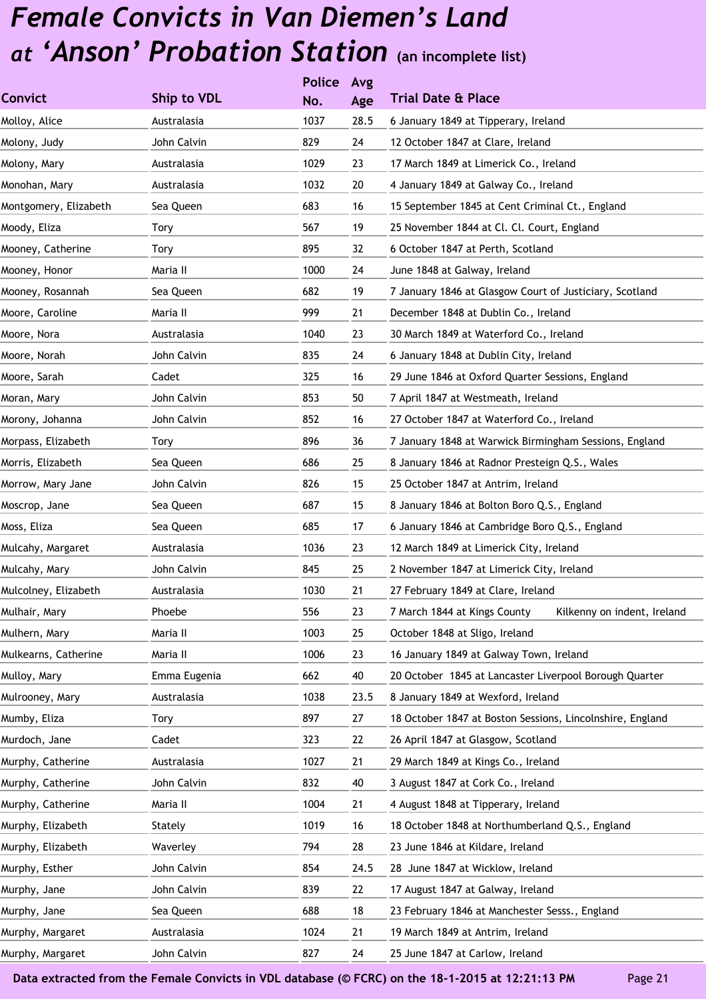|                       |              | <b>Police</b> | Avg  |                                                             |
|-----------------------|--------------|---------------|------|-------------------------------------------------------------|
| <b>Convict</b>        | Ship to VDL  | No.           | Age  | <b>Trial Date &amp; Place</b>                               |
| Molloy, Alice         | Australasia  | 1037          | 28.5 | 6 January 1849 at Tipperary, Ireland                        |
| Molony, Judy          | John Calvin  | 829           | 24   | 12 October 1847 at Clare, Ireland                           |
| Molony, Mary          | Australasia  | 1029          | 23   | 17 March 1849 at Limerick Co., Ireland                      |
| Monohan, Mary         | Australasia  | 1032          | 20   | 4 January 1849 at Galway Co., Ireland                       |
| Montgomery, Elizabeth | Sea Queen    | 683           | 16   | 15 September 1845 at Cent Criminal Ct., England             |
| Moody, Eliza          | Tory         | 567           | 19   | 25 November 1844 at Cl. Cl. Court, England                  |
| Mooney, Catherine     | Tory         | 895           | 32   | 6 October 1847 at Perth, Scotland                           |
| Mooney, Honor         | Maria II     | 1000          | 24   | June 1848 at Galway, Ireland                                |
| Mooney, Rosannah      | Sea Queen    | 682           | 19   | 7 January 1846 at Glasgow Court of Justiciary, Scotland     |
| Moore, Caroline       | Maria II     | 999           | 21   | December 1848 at Dublin Co., Ireland                        |
| Moore, Nora           | Australasia  | 1040          | 23   | 30 March 1849 at Waterford Co., Ireland                     |
| Moore, Norah          | John Calvin  | 835           | 24   | 6 January 1848 at Dublin City, Ireland                      |
| Moore, Sarah          | Cadet        | 325           | 16   | 29 June 1846 at Oxford Quarter Sessions, England            |
| Moran, Mary           | John Calvin  | 853           | 50   | 7 April 1847 at Westmeath, Ireland                          |
| Morony, Johanna       | John Calvin  | 852           | 16   | 27 October 1847 at Waterford Co., Ireland                   |
| Morpass, Elizabeth    | Tory         | 896           | 36   | 7 January 1848 at Warwick Birmingham Sessions, England      |
| Morris, Elizabeth     | Sea Queen    | 686           | 25   | 8 January 1846 at Radnor Presteign Q.S., Wales              |
| Morrow, Mary Jane     | John Calvin  | 826           | 15   | 25 October 1847 at Antrim, Ireland                          |
| Moscrop, Jane         | Sea Queen    | 687           | 15   | 8 January 1846 at Bolton Boro Q.S., England                 |
| Moss, Eliza           | Sea Queen    | 685           | 17   | 6 January 1846 at Cambridge Boro Q.S., England              |
| Mulcahy, Margaret     | Australasia  | 1036          | 23   | 12 March 1849 at Limerick City, Ireland                     |
| Mulcahy, Mary         | John Calvin  | 845           | 25   | 2 November 1847 at Limerick City, Ireland                   |
| Mulcolney, Elizabeth  | Australasia  | 1030          | 21   | 27 February 1849 at Clare, Ireland                          |
| Mulhair, Mary         | Phoebe       | 556           | 23   | Kilkenny on indent, Ireland<br>7 March 1844 at Kings County |
| Mulhern, Mary         | Maria II     | 1003          | 25   | October 1848 at Sligo, Ireland                              |
| Mulkearns, Catherine  | Maria II     | 1006          | 23   | 16 January 1849 at Galway Town, Ireland                     |
| Mulloy, Mary          | Emma Eugenia | 662           | 40   | 20 October 1845 at Lancaster Liverpool Borough Quarter      |
| Mulrooney, Mary       | Australasia  | 1038          | 23.5 | 8 January 1849 at Wexford, Ireland                          |
| Mumby, Eliza          | Tory         | 897           | 27   | 18 October 1847 at Boston Sessions, Lincolnshire, England   |
| Murdoch, Jane         | Cadet        | 323           | 22   | 26 April 1847 at Glasgow, Scotland                          |
| Murphy, Catherine     | Australasia  | 1027          | 21   | 29 March 1849 at Kings Co., Ireland                         |
| Murphy, Catherine     | John Calvin  | 832           | 40   | 3 August 1847 at Cork Co., Ireland                          |
| Murphy, Catherine     | Maria II     | 1004          | 21   | 4 August 1848 at Tipperary, Ireland                         |
| Murphy, Elizabeth     | Stately      | 1019          | 16   | 18 October 1848 at Northumberland Q.S., England             |
| Murphy, Elizabeth     | Waverley     | 794           | 28   | 23 June 1846 at Kildare, Ireland                            |
| Murphy, Esther        | John Calvin  | 854           | 24.5 | 28 June 1847 at Wicklow, Ireland                            |
| Murphy, Jane          | John Calvin  | 839           | 22   | 17 August 1847 at Galway, Ireland                           |
| Murphy, Jane          | Sea Queen    | 688           | 18   | 23 February 1846 at Manchester Sesss., England              |
| Murphy, Margaret      | Australasia  | 1024          | 21   | 19 March 1849 at Antrim, Ireland                            |
| Murphy, Margaret      | John Calvin  | 827           | 24   | 25 June 1847 at Carlow, Ireland                             |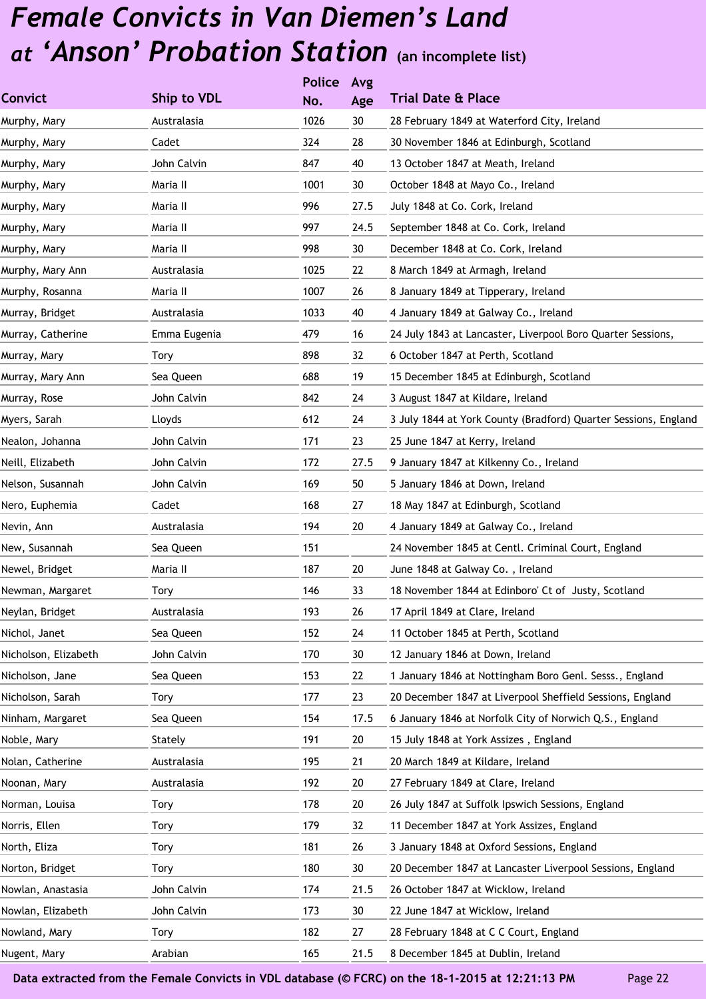| Ship to VDL  | No.  | Age           | <b>Trial Date &amp; Place</b>                                   |
|--------------|------|---------------|-----------------------------------------------------------------|
| Australasia  | 1026 | 30            | 28 February 1849 at Waterford City, Ireland                     |
| Cadet        | 324  | 28            | 30 November 1846 at Edinburgh, Scotland                         |
| John Calvin  | 847  | 40            | 13 October 1847 at Meath, Ireland                               |
| Maria II     | 1001 | 30            | October 1848 at Mayo Co., Ireland                               |
| Maria II     | 996  | 27.5          | July 1848 at Co. Cork, Ireland                                  |
| Maria II     | 997  | 24.5          | September 1848 at Co. Cork, Ireland                             |
| Maria II     | 998  | 30            | December 1848 at Co. Cork, Ireland                              |
| Australasia  | 1025 | 22            | 8 March 1849 at Armagh, Ireland                                 |
| Maria II     | 1007 | 26            | 8 January 1849 at Tipperary, Ireland                            |
| Australasia  | 1033 | 40            | 4 January 1849 at Galway Co., Ireland                           |
| Emma Eugenia | 479  | 16            | 24 July 1843 at Lancaster, Liverpool Boro Quarter Sessions,     |
| <b>Tory</b>  | 898  | 32            | 6 October 1847 at Perth, Scotland                               |
| Sea Queen    | 688  | 19            | 15 December 1845 at Edinburgh, Scotland                         |
| John Calvin  | 842  | 24            | 3 August 1847 at Kildare, Ireland                               |
| Lloyds       | 612  | 24            | 3 July 1844 at York County (Bradford) Quarter Sessions, England |
| John Calvin  | 171  | 23            | 25 June 1847 at Kerry, Ireland                                  |
| John Calvin  | 172  | 27.5          | 9 January 1847 at Kilkenny Co., Ireland                         |
| John Calvin  | 169  | 50            | 5 January 1846 at Down, Ireland                                 |
| Cadet        | 168  | 27            | 18 May 1847 at Edinburgh, Scotland                              |
| Australasia  | 194  | 20            | 4 January 1849 at Galway Co., Ireland                           |
| Sea Queen    | 151  |               | 24 November 1845 at Centl. Criminal Court, England              |
| Maria II     | 187  | 20            | June 1848 at Galway Co., Ireland                                |
| Tory         | 146  | 33            | 18 November 1844 at Edinboro' Ct of Justy, Scotland             |
| Australasia  | 193  | 26            | 17 April 1849 at Clare, Ireland                                 |
| Sea Queen    | 152  | 24            | 11 October 1845 at Perth, Scotland                              |
| John Calvin  | 170  | 30            | 12 January 1846 at Down, Ireland                                |
| Sea Queen    | 153  | 22            | 1 January 1846 at Nottingham Boro Genl. Sesss., England         |
| <b>Tory</b>  | 177  | 23            | 20 December 1847 at Liverpool Sheffield Sessions, England       |
| Sea Queen    | 154  | 17.5          | 6 January 1846 at Norfolk City of Norwich Q.S., England         |
| Stately      | 191  | 20            | 15 July 1848 at York Assizes, England                           |
| Australasia  | 195  | 21            | 20 March 1849 at Kildare, Ireland                               |
| Australasia  | 192  | 20            | 27 February 1849 at Clare, Ireland                              |
| Tory         | 178  | 20            | 26 July 1847 at Suffolk Ipswich Sessions, England               |
| Tory         | 179  | 32            | 11 December 1847 at York Assizes, England                       |
| <b>Tory</b>  | 181  | 26            | 3 January 1848 at Oxford Sessions, England                      |
| Tory         | 180  | 30            | 20 December 1847 at Lancaster Liverpool Sessions, England       |
| John Calvin  | 174  | 21.5          | 26 October 1847 at Wicklow, Ireland                             |
| John Calvin  | 173  | 30            | 22 June 1847 at Wicklow, Ireland                                |
| Tory         | 182  | 27            | 28 February 1848 at C C Court, England                          |
| Arabian      | 165  | 21.5          | 8 December 1845 at Dublin, Ireland                              |
|              |      | <b>Police</b> | Avg                                                             |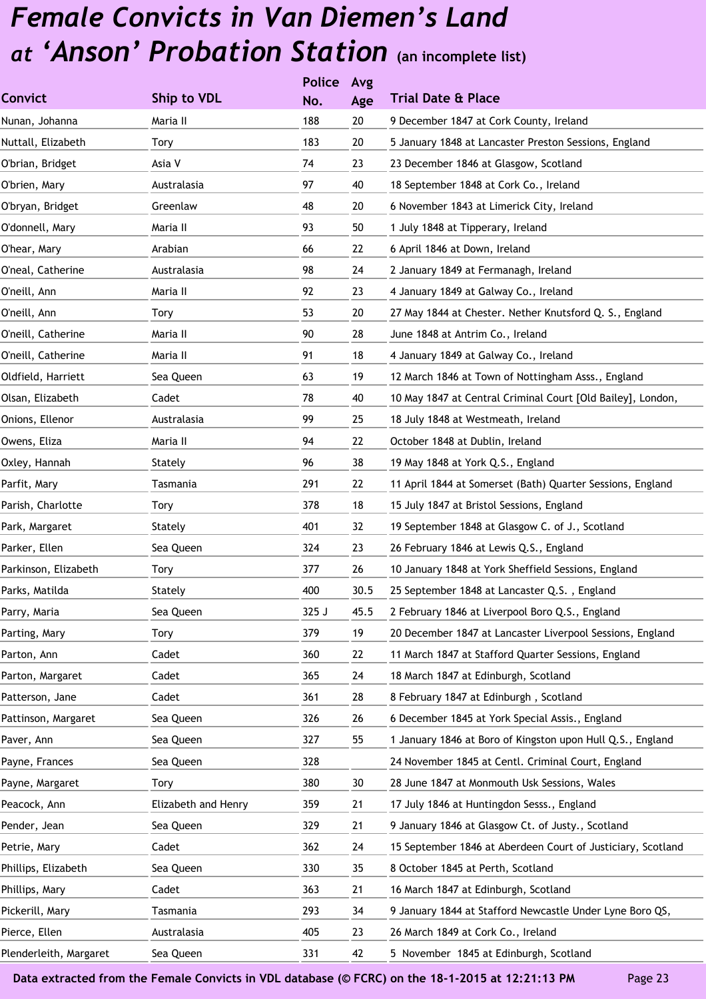|                        |                     | <b>Police</b> | Avg  |                                                             |
|------------------------|---------------------|---------------|------|-------------------------------------------------------------|
| <b>Convict</b>         | Ship to VDL         | No.           | Age  | <b>Trial Date &amp; Place</b>                               |
| Nunan, Johanna         | Maria II            | 188           | 20   | 9 December 1847 at Cork County, Ireland                     |
| Nuttall, Elizabeth     | <b>Tory</b>         | 183           | 20   | 5 January 1848 at Lancaster Preston Sessions, England       |
| O'brian, Bridget       | Asia V              | 74            | 23   | 23 December 1846 at Glasgow, Scotland                       |
| O'brien, Mary          | Australasia         | 97            | 40   | 18 September 1848 at Cork Co., Ireland                      |
| O'bryan, Bridget       | Greenlaw            | 48            | 20   | 6 November 1843 at Limerick City, Ireland                   |
| O'donnell, Mary        | Maria II            | 93            | 50   | 1 July 1848 at Tipperary, Ireland                           |
| O'hear, Mary           | Arabian             | 66            | 22   | 6 April 1846 at Down, Ireland                               |
| O'neal, Catherine      | Australasia         | 98            | 24   | 2 January 1849 at Fermanagh, Ireland                        |
| O'neill, Ann           | Maria II            | 92            | 23   | 4 January 1849 at Galway Co., Ireland                       |
| O'neill, Ann           | Tory                | 53            | 20   | 27 May 1844 at Chester. Nether Knutsford Q. S., England     |
| O'neill, Catherine     | Maria II            | 90            | 28   | June 1848 at Antrim Co., Ireland                            |
| O'neill, Catherine     | Maria II            | 91            | 18   | 4 January 1849 at Galway Co., Ireland                       |
| Oldfield, Harriett     | Sea Queen           | 63            | 19   | 12 March 1846 at Town of Nottingham Asss., England          |
| Olsan, Elizabeth       | Cadet               | 78            | 40   | 10 May 1847 at Central Criminal Court [Old Bailey], London, |
| Onions, Ellenor        | Australasia         | 99            | 25   | 18 July 1848 at Westmeath, Ireland                          |
| Owens, Eliza           | Maria II            | 94            | 22   | October 1848 at Dublin, Ireland                             |
| Oxley, Hannah          | Stately             | 96            | 38   | 19 May 1848 at York Q.S., England                           |
| Parfit, Mary           | Tasmania            | 291           | 22   | 11 April 1844 at Somerset (Bath) Quarter Sessions, England  |
| Parish, Charlotte      | <b>Tory</b>         | 378           | 18   | 15 July 1847 at Bristol Sessions, England                   |
| Park, Margaret         | Stately             | 401           | 32   | 19 September 1848 at Glasgow C. of J., Scotland             |
| Parker, Ellen          | Sea Queen           | 324           | 23   | 26 February 1846 at Lewis Q.S., England                     |
| Parkinson, Elizabeth   | Tory                | 377           | 26   | 10 January 1848 at York Sheffield Sessions, England         |
| Parks, Matilda         | Stately             | 400           | 30.5 | 25 September 1848 at Lancaster Q.S., England                |
| Parry, Maria           | Sea Queen           | 325 J         | 45.5 | 2 February 1846 at Liverpool Boro Q.S., England             |
| Parting, Mary          | Tory                | 379           | 19   | 20 December 1847 at Lancaster Liverpool Sessions, England   |
| Parton, Ann            | Cadet               | 360           | 22   | 11 March 1847 at Stafford Quarter Sessions, England         |
| Parton, Margaret       | Cadet               | 365           | 24   | 18 March 1847 at Edinburgh, Scotland                        |
| Patterson, Jane        | Cadet               | 361           | 28   | 8 February 1847 at Edinburgh, Scotland                      |
| Pattinson, Margaret    | Sea Queen           | 326           | 26   | 6 December 1845 at York Special Assis., England             |
| Paver, Ann             | Sea Queen           | 327           | 55   | 1 January 1846 at Boro of Kingston upon Hull Q.S., England  |
| Payne, Frances         | Sea Queen           | 328           |      | 24 November 1845 at Centl. Criminal Court, England          |
| Payne, Margaret        | <b>Tory</b>         | 380           | 30   | 28 June 1847 at Monmouth Usk Sessions, Wales                |
| Peacock, Ann           | Elizabeth and Henry | 359           | 21   | 17 July 1846 at Huntingdon Sesss., England                  |
| Pender, Jean           | Sea Queen           | 329           | 21   | 9 January 1846 at Glasgow Ct. of Justy., Scotland           |
| Petrie, Mary           | Cadet               | 362           | 24   | 15 September 1846 at Aberdeen Court of Justiciary, Scotland |
| Phillips, Elizabeth    | Sea Queen           | 330           | 35   | 8 October 1845 at Perth, Scotland                           |
| Phillips, Mary         | Cadet               | 363           | 21   | 16 March 1847 at Edinburgh, Scotland                        |
| Pickerill, Mary        | Tasmania            | 293           | 34   | 9 January 1844 at Stafford Newcastle Under Lyne Boro QS,    |
| Pierce, Ellen          | Australasia         | 405           | 23   | 26 March 1849 at Cork Co., Ireland                          |
| Plenderleith, Margaret | Sea Queen           | 331           | 42   | 5 November 1845 at Edinburgh, Scotland                      |
|                        |                     |               |      |                                                             |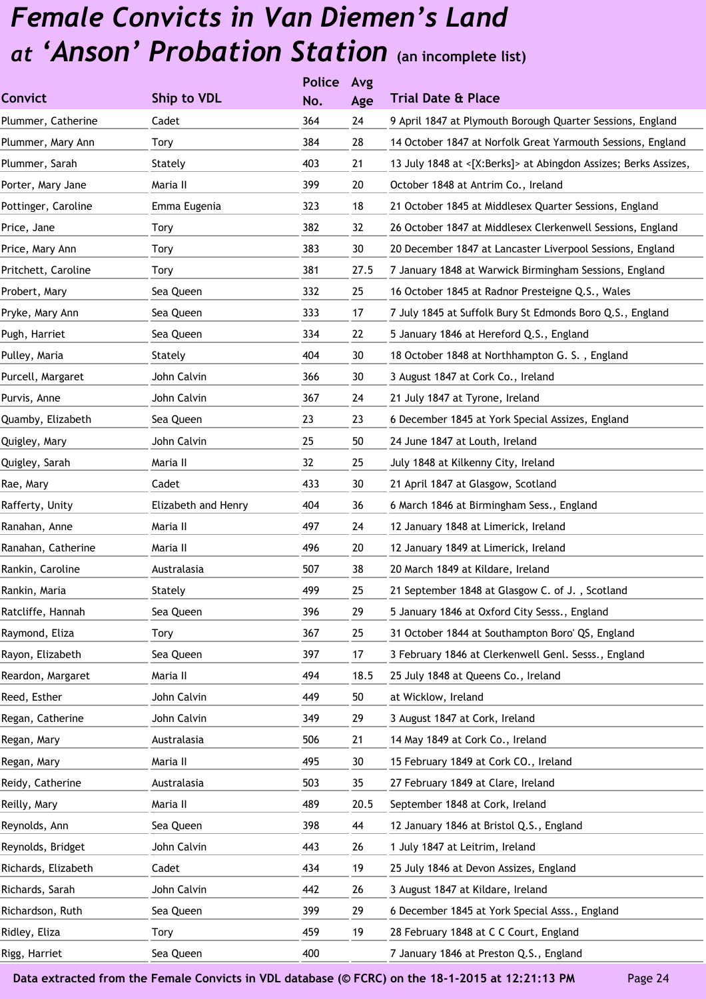|                     |                     | <b>Police</b> | Avg  |                                                                 |
|---------------------|---------------------|---------------|------|-----------------------------------------------------------------|
| <b>Convict</b>      | Ship to VDL         | No.           | Age  | <b>Trial Date &amp; Place</b>                                   |
| Plummer, Catherine  | Cadet               | 364           | 24   | 9 April 1847 at Plymouth Borough Quarter Sessions, England      |
| Plummer, Mary Ann   | Tory                | 384           | 28   | 14 October 1847 at Norfolk Great Yarmouth Sessions, England     |
| Plummer, Sarah      | Stately             | 403           | 21   | 13 July 1848 at <[X:Berks]> at Abingdon Assizes; Berks Assizes, |
| Porter, Mary Jane   | Maria II            | 399           | 20   | October 1848 at Antrim Co., Ireland                             |
| Pottinger, Caroline | Emma Eugenia        | 323           | 18   | 21 October 1845 at Middlesex Quarter Sessions, England          |
| Price, Jane         | Tory                | 382           | 32   | 26 October 1847 at Middlesex Clerkenwell Sessions, England      |
| Price, Mary Ann     | Tory                | 383           | 30   | 20 December 1847 at Lancaster Liverpool Sessions, England       |
| Pritchett, Caroline | Tory                | 381           | 27.5 | 7 January 1848 at Warwick Birmingham Sessions, England          |
| Probert, Mary       | Sea Queen           | 332           | 25   | 16 October 1845 at Radnor Presteigne Q.S., Wales                |
| Pryke, Mary Ann     | Sea Queen           | 333           | 17   | 7 July 1845 at Suffolk Bury St Edmonds Boro Q.S., England       |
| Pugh, Harriet       | Sea Queen           | 334           | 22   | 5 January 1846 at Hereford Q.S., England                        |
| Pulley, Maria       | Stately             | 404           | 30   | 18 October 1848 at Northhampton G. S., England                  |
| Purcell, Margaret   | John Calvin         | 366           | 30   | 3 August 1847 at Cork Co., Ireland                              |
| Purvis, Anne        | John Calvin         | 367           | 24   | 21 July 1847 at Tyrone, Ireland                                 |
| Quamby, Elizabeth   | Sea Queen           | 23            | 23   | 6 December 1845 at York Special Assizes, England                |
| Quigley, Mary       | John Calvin         | 25            | 50   | 24 June 1847 at Louth, Ireland                                  |
| Quigley, Sarah      | Maria II            | 32            | 25   | July 1848 at Kilkenny City, Ireland                             |
| Rae, Mary           | Cadet               | 433           | 30   | 21 April 1847 at Glasgow, Scotland                              |
| Rafferty, Unity     | Elizabeth and Henry | 404           | 36   | 6 March 1846 at Birmingham Sess., England                       |
| Ranahan, Anne       | Maria II            | 497           | 24   | 12 January 1848 at Limerick, Ireland                            |
| Ranahan, Catherine  | Maria II            | 496           | 20   | 12 January 1849 at Limerick, Ireland                            |
| Rankin, Caroline    | Australasia         | 507           | 38   | 20 March 1849 at Kildare, Ireland                               |
| Rankin, Maria       | Stately             | 499           | 25   | 21 September 1848 at Glasgow C. of J., Scotland                 |
| Ratcliffe, Hannah   | Sea Queen           | 396           | 29   | 5 January 1846 at Oxford City Sesss., England                   |
| Raymond, Eliza      | Tory                | 367           | 25   | 31 October 1844 at Southampton Boro' QS, England                |
| Rayon, Elizabeth    | Sea Queen           | 397           | 17   | 3 February 1846 at Clerkenwell Genl. Sesss., England            |
| Reardon, Margaret   | Maria II            | 494           | 18.5 | 25 July 1848 at Queens Co., Ireland                             |
| Reed, Esther        | John Calvin         | 449           | 50   | at Wicklow, Ireland                                             |
| Regan, Catherine    | John Calvin         | 349           | 29   | 3 August 1847 at Cork, Ireland                                  |
| Regan, Mary         | Australasia         | 506           | 21   | 14 May 1849 at Cork Co., Ireland                                |
| Regan, Mary         | Maria II            | 495           | 30   | 15 February 1849 at Cork CO., Ireland                           |
| Reidy, Catherine    | Australasia         | 503           | 35   | 27 February 1849 at Clare, Ireland                              |
| Reilly, Mary        | Maria II            | 489           | 20.5 | September 1848 at Cork, Ireland                                 |
| Reynolds, Ann       | Sea Queen           | 398           | 44   | 12 January 1846 at Bristol Q.S., England                        |
| Reynolds, Bridget   | John Calvin         | 443           | 26   | 1 July 1847 at Leitrim, Ireland                                 |
| Richards, Elizabeth | Cadet               | 434           | 19   | 25 July 1846 at Devon Assizes, England                          |
| Richards, Sarah     | John Calvin         | 442           | 26   | 3 August 1847 at Kildare, Ireland                               |
| Richardson, Ruth    | Sea Queen           | 399           | 29   | 6 December 1845 at York Special Asss., England                  |
| Ridley, Eliza       | Tory                | 459           | 19   | 28 February 1848 at C C Court, England                          |
| Rigg, Harriet       | Sea Queen           | 400           |      | 7 January 1846 at Preston Q.S., England                         |
|                     |                     |               |      |                                                                 |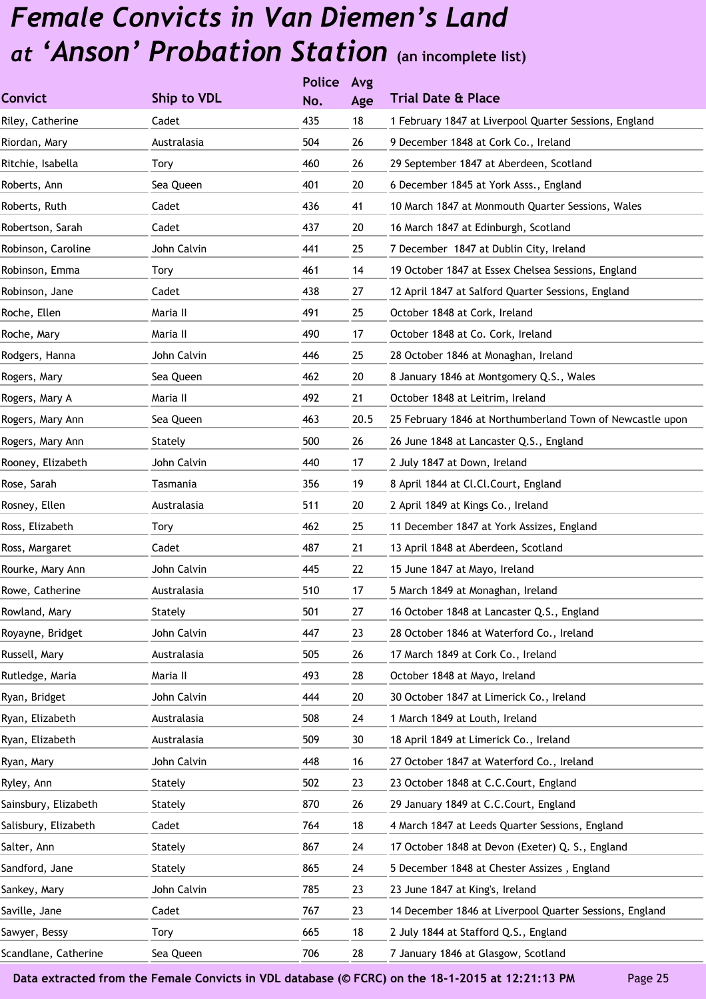|                      |             | <b>Police</b> | Avg  |                                                           |
|----------------------|-------------|---------------|------|-----------------------------------------------------------|
| <b>Convict</b>       | Ship to VDL | No.           | Age  | <b>Trial Date &amp; Place</b>                             |
| Riley, Catherine     | Cadet       | 435           | 18   | 1 February 1847 at Liverpool Quarter Sessions, England    |
| Riordan, Mary        | Australasia | 504           | 26   | 9 December 1848 at Cork Co., Ireland                      |
| Ritchie, Isabella    | Tory        | 460           | 26   | 29 September 1847 at Aberdeen, Scotland                   |
| Roberts, Ann         | Sea Queen   | 401           | 20   | 6 December 1845 at York Asss., England                    |
| Roberts, Ruth        | Cadet       | 436           | 41   | 10 March 1847 at Monmouth Quarter Sessions, Wales         |
| Robertson, Sarah     | Cadet       | 437           | 20   | 16 March 1847 at Edinburgh, Scotland                      |
| Robinson, Caroline   | John Calvin | 441           | 25   | 7 December 1847 at Dublin City, Ireland                   |
| Robinson, Emma       | Tory        | 461           | 14   | 19 October 1847 at Essex Chelsea Sessions, England        |
| Robinson, Jane       | Cadet       | 438           | 27   | 12 April 1847 at Salford Quarter Sessions, England        |
| Roche, Ellen         | Maria II    | 491           | 25   | October 1848 at Cork, Ireland                             |
| Roche, Mary          | Maria II    | 490           | 17   | October 1848 at Co. Cork, Ireland                         |
| Rodgers, Hanna       | John Calvin | 446           | 25   | 28 October 1846 at Monaghan, Ireland                      |
| Rogers, Mary         | Sea Queen   | 462           | 20   | 8 January 1846 at Montgomery Q.S., Wales                  |
| Rogers, Mary A       | Maria II    | 492           | 21   | October 1848 at Leitrim, Ireland                          |
| Rogers, Mary Ann     | Sea Queen   | 463           | 20.5 | 25 February 1846 at Northumberland Town of Newcastle upon |
| Rogers, Mary Ann     | Stately     | 500           | 26   | 26 June 1848 at Lancaster Q.S., England                   |
| Rooney, Elizabeth    | John Calvin | 440           | 17   | 2 July 1847 at Down, Ireland                              |
| Rose, Sarah          | Tasmania    | 356           | 19   | 8 April 1844 at Cl.Cl.Court, England                      |
| Rosney, Ellen        | Australasia | 511           | 20   | 2 April 1849 at Kings Co., Ireland                        |
| Ross, Elizabeth      | Tory        | 462           | 25   | 11 December 1847 at York Assizes, England                 |
| Ross, Margaret       | Cadet       | 487           | 21   | 13 April 1848 at Aberdeen, Scotland                       |
| Rourke, Mary Ann     | John Calvin | 445           | 22   | 15 June 1847 at Mayo, Ireland                             |
| Rowe, Catherine      | Australasia | 510           | 17   | 5 March 1849 at Monaghan, Ireland                         |
| Rowland, Mary        | Stately     | 501           | 27   | 16 October 1848 at Lancaster Q.S., England                |
| Royayne, Bridget     | John Calvin | 447           | 23   | 28 October 1846 at Waterford Co., Ireland                 |
| Russell, Mary        | Australasia | 505           | 26   | 17 March 1849 at Cork Co., Ireland                        |
| Rutledge, Maria      | Maria II    | 493           | 28   | October 1848 at Mayo, Ireland                             |
| Ryan, Bridget        | John Calvin | 444           | 20   | 30 October 1847 at Limerick Co., Ireland                  |
| Ryan, Elizabeth      | Australasia | 508           | 24   | 1 March 1849 at Louth, Ireland                            |
| Ryan, Elizabeth      | Australasia | 509           | 30   | 18 April 1849 at Limerick Co., Ireland                    |
| Ryan, Mary           | John Calvin | 448           | 16   | 27 October 1847 at Waterford Co., Ireland                 |
| Ryley, Ann           | Stately     | 502           | 23   | 23 October 1848 at C.C.Court, England                     |
| Sainsbury, Elizabeth | Stately     | 870           | 26   | 29 January 1849 at C.C.Court, England                     |
| Salisbury, Elizabeth | Cadet       | 764           | 18   | 4 March 1847 at Leeds Quarter Sessions, England           |
| Salter, Ann          | Stately     | 867           | 24   | 17 October 1848 at Devon (Exeter) Q. S., England          |
| Sandford, Jane       | Stately     | 865           | 24   | 5 December 1848 at Chester Assizes, England               |
| Sankey, Mary         | John Calvin | 785           | 23   | 23 June 1847 at King's, Ireland                           |
| Saville, Jane        | Cadet       | 767           | 23   | 14 December 1846 at Liverpool Quarter Sessions, England   |
| Sawyer, Bessy        | Tory        | 665           | 18   | 2 July 1844 at Stafford Q.S., England                     |
| Scandlane, Catherine | Sea Queen   | 706           | 28   | 7 January 1846 at Glasgow, Scotland                       |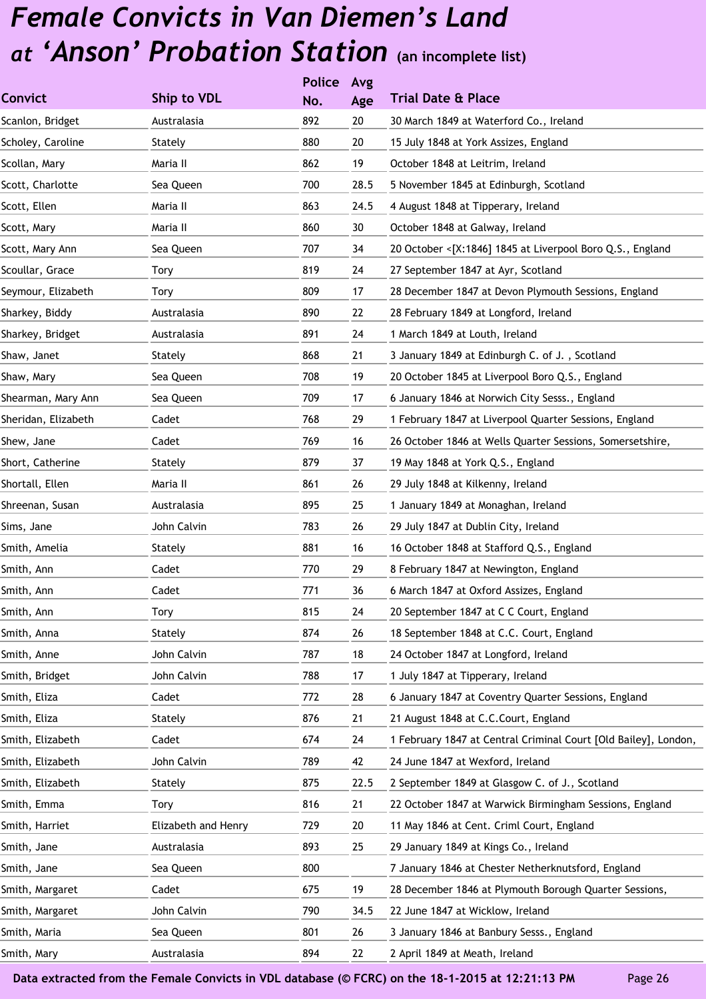|                     |                     | <b>Police</b> | Avg  |                                                                 |
|---------------------|---------------------|---------------|------|-----------------------------------------------------------------|
| <b>Convict</b>      | Ship to VDL         | No.           | Age  | <b>Trial Date &amp; Place</b>                                   |
| Scanlon, Bridget    | Australasia         | 892           | 20   | 30 March 1849 at Waterford Co., Ireland                         |
| Scholey, Caroline   | Stately             | 880           | 20   | 15 July 1848 at York Assizes, England                           |
| Scollan, Mary       | Maria II            | 862           | 19   | October 1848 at Leitrim, Ireland                                |
| Scott, Charlotte    | Sea Queen           | 700           | 28.5 | 5 November 1845 at Edinburgh, Scotland                          |
| Scott, Ellen        | Maria II            | 863           | 24.5 | 4 August 1848 at Tipperary, Ireland                             |
| Scott, Mary         | Maria II            | 860           | 30   | October 1848 at Galway, Ireland                                 |
| Scott, Mary Ann     | Sea Queen           | 707           | 34   | 20 October <[X:1846] 1845 at Liverpool Boro Q.S., England       |
| Scoullar, Grace     | Tory                | 819           | 24   | 27 September 1847 at Ayr, Scotland                              |
| Seymour, Elizabeth  | Tory                | 809           | 17   | 28 December 1847 at Devon Plymouth Sessions, England            |
| Sharkey, Biddy      | Australasia         | 890           | 22   | 28 February 1849 at Longford, Ireland                           |
| Sharkey, Bridget    | Australasia         | 891           | 24   | 1 March 1849 at Louth, Ireland                                  |
| Shaw, Janet         | Stately             | 868           | 21   | 3 January 1849 at Edinburgh C. of J., Scotland                  |
| Shaw, Mary          | Sea Queen           | 708           | 19   | 20 October 1845 at Liverpool Boro Q.S., England                 |
| Shearman, Mary Ann  | Sea Queen           | 709           | 17   | 6 January 1846 at Norwich City Sesss., England                  |
| Sheridan, Elizabeth | Cadet               | 768           | 29   | 1 February 1847 at Liverpool Quarter Sessions, England          |
| Shew, Jane          | Cadet               | 769           | 16   | 26 October 1846 at Wells Quarter Sessions, Somersetshire,       |
| Short, Catherine    | Stately             | 879           | 37   | 19 May 1848 at York Q.S., England                               |
| Shortall, Ellen     | Maria II            | 861           | 26   | 29 July 1848 at Kilkenny, Ireland                               |
| Shreenan, Susan     | Australasia         | 895           | 25   | 1 January 1849 at Monaghan, Ireland                             |
| Sims, Jane          | John Calvin         | 783           | 26   | 29 July 1847 at Dublin City, Ireland                            |
| Smith, Amelia       | Stately             | 881           | 16   | 16 October 1848 at Stafford Q.S., England                       |
| Smith, Ann          | Cadet               | 770           | 29   | 8 February 1847 at Newington, England                           |
| Smith, Ann          | Cadet               | 771           | 36   | 6 March 1847 at Oxford Assizes, England                         |
| Smith, Ann          | Tory                | 815           | 24   | 20 September 1847 at C C Court, England                         |
| Smith, Anna         | Stately             | 874           | 26   | 18 September 1848 at C.C. Court, England                        |
| Smith, Anne         | John Calvin         | 787           | 18   | 24 October 1847 at Longford, Ireland                            |
| Smith, Bridget      | John Calvin         | 788           | 17   | 1 July 1847 at Tipperary, Ireland                               |
| Smith, Eliza        | Cadet               | 772           | 28   | 6 January 1847 at Coventry Quarter Sessions, England            |
| Smith, Eliza        | Stately             | 876           | 21   | 21 August 1848 at C.C.Court, England                            |
| Smith, Elizabeth    | Cadet               | 674           | 24   | 1 February 1847 at Central Criminal Court [Old Bailey], London, |
| Smith, Elizabeth    | John Calvin         | 789           | 42   | 24 June 1847 at Wexford, Ireland                                |
| Smith, Elizabeth    | Stately             | 875           | 22.5 | 2 September 1849 at Glasgow C. of J., Scotland                  |
| Smith, Emma         | Tory                | 816           | 21   | 22 October 1847 at Warwick Birmingham Sessions, England         |
| Smith, Harriet      | Elizabeth and Henry | 729           | 20   | 11 May 1846 at Cent. Criml Court, England                       |
| Smith, Jane         | Australasia         | 893           | 25   | 29 January 1849 at Kings Co., Ireland                           |
| Smith, Jane         | Sea Queen           | 800           |      | 7 January 1846 at Chester Netherknutsford, England              |
| Smith, Margaret     | Cadet               | 675           | 19   | 28 December 1846 at Plymouth Borough Quarter Sessions,          |
| Smith, Margaret     | John Calvin         | 790           | 34.5 | 22 June 1847 at Wicklow, Ireland                                |
| Smith, Maria        | Sea Queen           | 801           | 26   | 3 January 1846 at Banbury Sesss., England                       |
| Smith, Mary         | Australasia         | 894           | 22   | 2 April 1849 at Meath, Ireland                                  |
|                     |                     |               |      |                                                                 |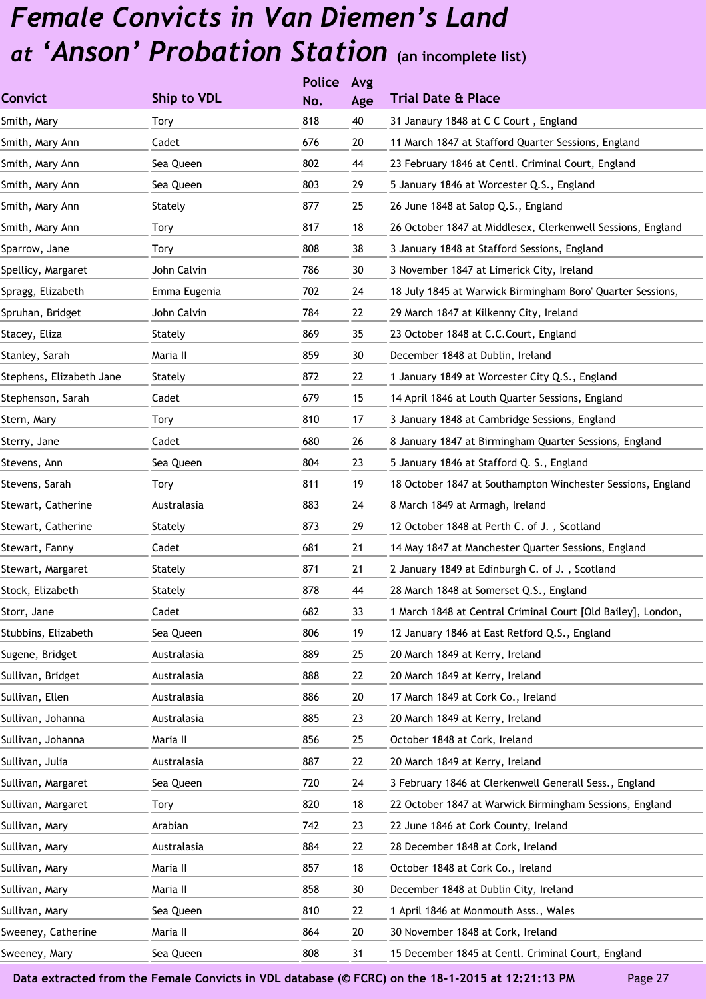|                          |              | <b>Police</b> | Avg |                                                              |
|--------------------------|--------------|---------------|-----|--------------------------------------------------------------|
| <b>Convict</b>           | Ship to VDL  | No.           | Age | <b>Trial Date &amp; Place</b>                                |
| Smith, Mary              | Tory         | 818           | 40  | 31 Janaury 1848 at C C Court, England                        |
| Smith, Mary Ann          | Cadet        | 676           | 20  | 11 March 1847 at Stafford Quarter Sessions, England          |
| Smith, Mary Ann          | Sea Queen    | 802           | 44  | 23 February 1846 at Centl. Criminal Court, England           |
| Smith, Mary Ann          | Sea Queen    | 803           | 29  | 5 January 1846 at Worcester Q.S., England                    |
| Smith, Mary Ann          | Stately      | 877           | 25  | 26 June 1848 at Salop Q.S., England                          |
| Smith, Mary Ann          | Tory         | 817           | 18  | 26 October 1847 at Middlesex, Clerkenwell Sessions, England  |
| Sparrow, Jane            | Tory         | 808           | 38  | 3 January 1848 at Stafford Sessions, England                 |
| Spellicy, Margaret       | John Calvin  | 786           | 30  | 3 November 1847 at Limerick City, Ireland                    |
| Spragg, Elizabeth        | Emma Eugenia | 702           | 24  | 18 July 1845 at Warwick Birmingham Boro' Quarter Sessions,   |
| Spruhan, Bridget         | John Calvin  | 784           | 22  | 29 March 1847 at Kilkenny City, Ireland                      |
| Stacey, Eliza            | Stately      | 869           | 35  | 23 October 1848 at C.C.Court, England                        |
| Stanley, Sarah           | Maria II     | 859           | 30  | December 1848 at Dublin, Ireland                             |
| Stephens, Elizabeth Jane | Stately      | 872           | 22  | 1 January 1849 at Worcester City Q.S., England               |
| Stephenson, Sarah        | Cadet        | 679           | 15  | 14 April 1846 at Louth Quarter Sessions, England             |
| Stern, Mary              | Tory         | 810           | 17  | 3 January 1848 at Cambridge Sessions, England                |
| Sterry, Jane             | Cadet        | 680           | 26  | 8 January 1847 at Birmingham Quarter Sessions, England       |
| Stevens, Ann             | Sea Queen    | 804           | 23  | 5 January 1846 at Stafford Q. S., England                    |
| Stevens, Sarah           | Tory         | 811           | 19  | 18 October 1847 at Southampton Winchester Sessions, England  |
| Stewart, Catherine       | Australasia  | 883           | 24  | 8 March 1849 at Armagh, Ireland                              |
| Stewart, Catherine       | Stately      | 873           | 29  | 12 October 1848 at Perth C. of J., Scotland                  |
| Stewart, Fanny           | Cadet        | 681           | 21  | 14 May 1847 at Manchester Quarter Sessions, England          |
| Stewart, Margaret        | Stately      | 871           | 21  | 2 January 1849 at Edinburgh C. of J., Scotland               |
| Stock, Elizabeth         | Stately      | 878           | 44  | 28 March 1848 at Somerset Q.S., England                      |
| Storr, Jane              | Cadet        | 682           | 33  | 1 March 1848 at Central Criminal Court [Old Bailey], London, |
| Stubbins, Elizabeth      | Sea Queen    | 806           | 19  | 12 January 1846 at East Retford Q.S., England                |
| Sugene, Bridget          | Australasia  | 889           | 25  | 20 March 1849 at Kerry, Ireland                              |
| Sullivan, Bridget        | Australasia  | 888           | 22  | 20 March 1849 at Kerry, Ireland                              |
| Sullivan, Ellen          | Australasia  | 886           | 20  | 17 March 1849 at Cork Co., Ireland                           |
| Sullivan, Johanna        | Australasia  | 885           | 23  | 20 March 1849 at Kerry, Ireland                              |
| Sullivan, Johanna        | Maria II     | 856           | 25  | October 1848 at Cork, Ireland                                |
| Sullivan, Julia          | Australasia  | 887           | 22  | 20 March 1849 at Kerry, Ireland                              |
| Sullivan, Margaret       | Sea Queen    | 720           | 24  | 3 February 1846 at Clerkenwell Generall Sess., England       |
| Sullivan, Margaret       | Tory         | 820           | 18  | 22 October 1847 at Warwick Birmingham Sessions, England      |
| Sullivan, Mary           | Arabian      | 742           | 23  | 22 June 1846 at Cork County, Ireland                         |
| Sullivan, Mary           | Australasia  | 884           | 22  | 28 December 1848 at Cork, Ireland                            |
| Sullivan, Mary           | Maria II     | 857           | 18  | October 1848 at Cork Co., Ireland                            |
| Sullivan, Mary           | Maria II     | 858           | 30  | December 1848 at Dublin City, Ireland                        |
| Sullivan, Mary           | Sea Queen    | 810           | 22  | 1 April 1846 at Monmouth Asss., Wales                        |
| Sweeney, Catherine       | Maria II     | 864           | 20  | 30 November 1848 at Cork, Ireland                            |
| Sweeney, Mary            | Sea Queen    | 808           | 31  | 15 December 1845 at Centl. Criminal Court, England           |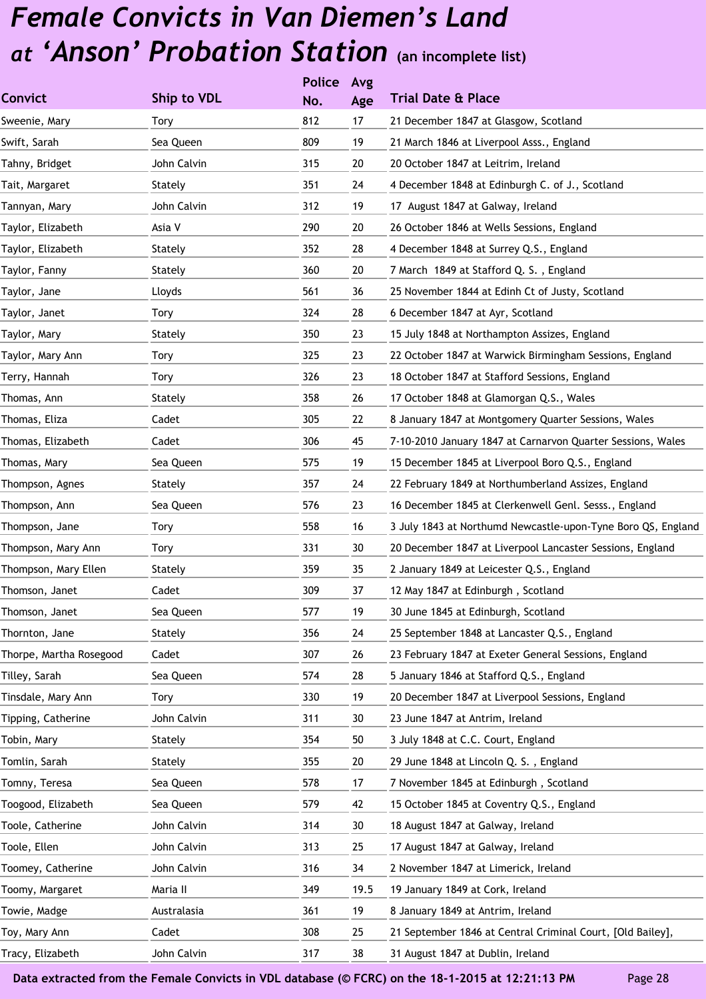|                         |             | <b>Police</b> | Avg  |                                                              |
|-------------------------|-------------|---------------|------|--------------------------------------------------------------|
| <b>Convict</b>          | Ship to VDL | No.           | Age  | <b>Trial Date &amp; Place</b>                                |
| Sweenie, Mary           | Tory        | 812           | 17   | 21 December 1847 at Glasgow, Scotland                        |
| Swift, Sarah            | Sea Queen   | 809           | 19   | 21 March 1846 at Liverpool Asss., England                    |
| Tahny, Bridget          | John Calvin | 315           | 20   | 20 October 1847 at Leitrim, Ireland                          |
| Tait, Margaret          | Stately     | 351           | 24   | 4 December 1848 at Edinburgh C. of J., Scotland              |
| Tannyan, Mary           | John Calvin | 312           | 19   | 17 August 1847 at Galway, Ireland                            |
| Taylor, Elizabeth       | Asia V      | 290           | 20   | 26 October 1846 at Wells Sessions, England                   |
| Taylor, Elizabeth       | Stately     | 352           | 28   | 4 December 1848 at Surrey Q.S., England                      |
| Taylor, Fanny           | Stately     | 360           | 20   | 7 March 1849 at Stafford Q. S., England                      |
| Taylor, Jane            | Lloyds      | 561           | 36   | 25 November 1844 at Edinh Ct of Justy, Scotland              |
| Taylor, Janet           | Tory        | 324           | 28   | 6 December 1847 at Ayr, Scotland                             |
| Taylor, Mary            | Stately     | 350           | 23   | 15 July 1848 at Northampton Assizes, England                 |
| Taylor, Mary Ann        | Tory        | 325           | 23   | 22 October 1847 at Warwick Birmingham Sessions, England      |
| Terry, Hannah           | Tory        | 326           | 23   | 18 October 1847 at Stafford Sessions, England                |
| Thomas, Ann             | Stately     | 358           | 26   | 17 October 1848 at Glamorgan Q.S., Wales                     |
| Thomas, Eliza           | Cadet       | 305           | 22   | 8 January 1847 at Montgomery Quarter Sessions, Wales         |
| Thomas, Elizabeth       | Cadet       | 306           | 45   | 7-10-2010 January 1847 at Carnarvon Quarter Sessions, Wales  |
| Thomas, Mary            | Sea Queen   | 575           | 19   | 15 December 1845 at Liverpool Boro Q.S., England             |
| Thompson, Agnes         | Stately     | 357           | 24   | 22 February 1849 at Northumberland Assizes, England          |
| Thompson, Ann           | Sea Queen   | 576           | 23   | 16 December 1845 at Clerkenwell Genl. Sesss., England        |
| Thompson, Jane          | Tory        | 558           | 16   | 3 July 1843 at Northumd Newcastle-upon-Tyne Boro QS, England |
| Thompson, Mary Ann      | Tory        | 331           | 30   | 20 December 1847 at Liverpool Lancaster Sessions, England    |
| Thompson, Mary Ellen    | Stately     | 359           | 35   | 2 January 1849 at Leicester Q.S., England                    |
| Thomson, Janet          | Cadet       | 309           | 37   | 12 May 1847 at Edinburgh, Scotland                           |
| Thomson, Janet          | Sea Queen   | 577           | 19   | 30 June 1845 at Edinburgh, Scotland                          |
| Thornton, Jane          | Stately     | 356           | 24   | 25 September 1848 at Lancaster Q.S., England                 |
| Thorpe, Martha Rosegood | Cadet       | 307           | 26   | 23 February 1847 at Exeter General Sessions, England         |
| Tilley, Sarah           | Sea Queen   | 574           | 28   | 5 January 1846 at Stafford Q.S., England                     |
| Tinsdale, Mary Ann      | Tory        | 330           | 19   | 20 December 1847 at Liverpool Sessions, England              |
| Tipping, Catherine      | John Calvin | 311           | 30   | 23 June 1847 at Antrim, Ireland                              |
| Tobin, Mary             | Stately     | 354           | 50   | 3 July 1848 at C.C. Court, England                           |
| Tomlin, Sarah           | Stately     | 355           | 20   | 29 June 1848 at Lincoln Q. S., England                       |
| Tomny, Teresa           | Sea Queen   | 578           | 17   | 7 November 1845 at Edinburgh, Scotland                       |
| Toogood, Elizabeth      | Sea Queen   | 579           | 42   | 15 October 1845 at Coventry Q.S., England                    |
| Toole, Catherine        | John Calvin | 314           | 30   | 18 August 1847 at Galway, Ireland                            |
| Toole, Ellen            | John Calvin | 313           | 25   | 17 August 1847 at Galway, Ireland                            |
| Toomey, Catherine       | John Calvin | 316           | 34   | 2 November 1847 at Limerick, Ireland                         |
| Toomy, Margaret         | Maria II    | 349           | 19.5 | 19 January 1849 at Cork, Ireland                             |
| Towie, Madge            | Australasia | 361           | 19   | 8 January 1849 at Antrim, Ireland                            |
| Toy, Mary Ann           | Cadet       | 308           | 25   | 21 September 1846 at Central Criminal Court, [Old Bailey],   |
| Tracy, Elizabeth        | John Calvin | 317           | 38   | 31 August 1847 at Dublin, Ireland                            |
|                         |             |               |      |                                                              |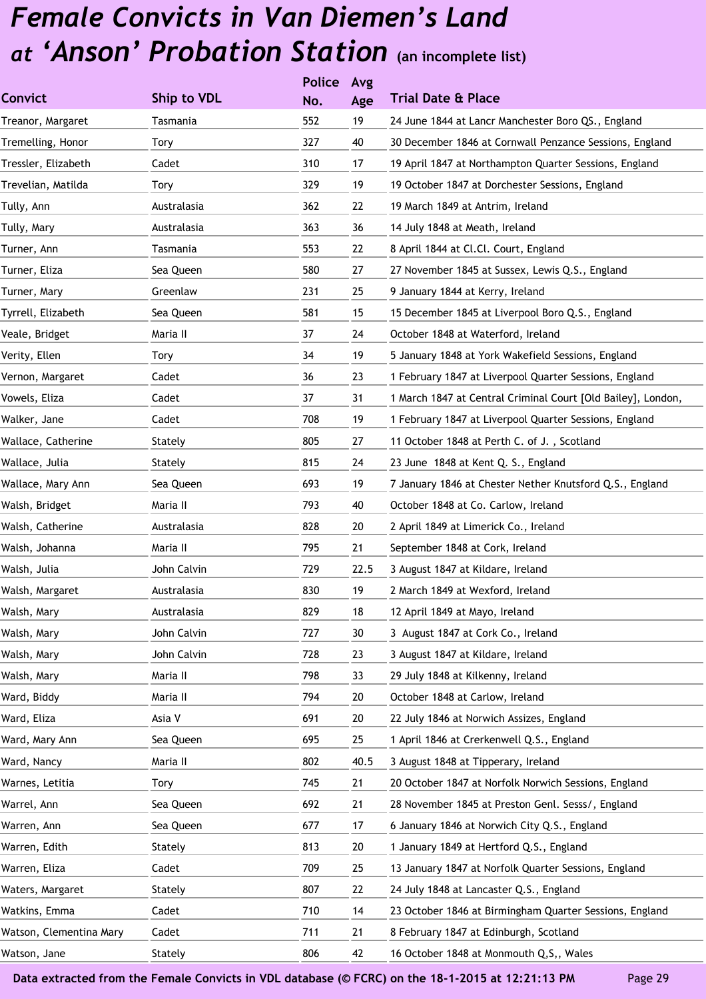|                         |             | <b>Police</b> | Avg  |                                                              |
|-------------------------|-------------|---------------|------|--------------------------------------------------------------|
| <b>Convict</b>          | Ship to VDL | No.           | Age  | <b>Trial Date &amp; Place</b>                                |
| Treanor, Margaret       | Tasmania    | 552           | 19   | 24 June 1844 at Lancr Manchester Boro QS., England           |
| Tremelling, Honor       | Tory        | 327           | 40   | 30 December 1846 at Cornwall Penzance Sessions, England      |
| Tressler, Elizabeth     | Cadet       | 310           | 17   | 19 April 1847 at Northampton Quarter Sessions, England       |
| Trevelian, Matilda      | Tory        | 329           | 19   | 19 October 1847 at Dorchester Sessions, England              |
| Tully, Ann              | Australasia | 362           | 22   | 19 March 1849 at Antrim, Ireland                             |
| Tully, Mary             | Australasia | 363           | 36   | 14 July 1848 at Meath, Ireland                               |
| Turner, Ann             | Tasmania    | 553           | 22   | 8 April 1844 at Cl.Cl. Court, England                        |
| Turner, Eliza           | Sea Queen   | 580           | 27   | 27 November 1845 at Sussex, Lewis Q.S., England              |
| Turner, Mary            | Greenlaw    | 231           | 25   | 9 January 1844 at Kerry, Ireland                             |
| Tyrrell, Elizabeth      | Sea Queen   | 581           | 15   | 15 December 1845 at Liverpool Boro Q.S., England             |
| Veale, Bridget          | Maria II    | 37            | 24   | October 1848 at Waterford, Ireland                           |
| Verity, Ellen           | Tory        | 34            | 19   | 5 January 1848 at York Wakefield Sessions, England           |
| Vernon, Margaret        | Cadet       | 36            | 23   | 1 February 1847 at Liverpool Quarter Sessions, England       |
| Vowels, Eliza           | Cadet       | 37            | 31   | 1 March 1847 at Central Criminal Court [Old Bailey], London, |
| Walker, Jane            | Cadet       | 708           | 19   | 1 February 1847 at Liverpool Quarter Sessions, England       |
| Wallace, Catherine      | Stately     | 805           | 27   | 11 October 1848 at Perth C. of J., Scotland                  |
| Wallace, Julia          | Stately     | 815           | 24   | 23 June 1848 at Kent Q. S., England                          |
| Wallace, Mary Ann       | Sea Queen   | 693           | 19   | 7 January 1846 at Chester Nether Knutsford Q.S., England     |
| Walsh, Bridget          | Maria II    | 793           | 40   | October 1848 at Co. Carlow, Ireland                          |
| Walsh, Catherine        | Australasia | 828           | 20   | 2 April 1849 at Limerick Co., Ireland                        |
| Walsh, Johanna          | Maria II    | 795           | 21   | September 1848 at Cork, Ireland                              |
| Walsh, Julia            | John Calvin | 729           | 22.5 | 3 August 1847 at Kildare, Ireland                            |
| Walsh, Margaret         | Australasia | 830           | 19   | 2 March 1849 at Wexford, Ireland                             |
| Walsh, Mary             | Australasia | 829           | 18   | 12 April 1849 at Mayo, Ireland                               |
| Walsh, Mary             | John Calvin | 727           | 30   | 3 August 1847 at Cork Co., Ireland                           |
| Walsh, Mary             | John Calvin | 728           | 23   | 3 August 1847 at Kildare, Ireland                            |
| Walsh, Mary             | Maria II    | 798           | 33   | 29 July 1848 at Kilkenny, Ireland                            |
| Ward, Biddy             | Maria II    | 794           | 20   | October 1848 at Carlow, Ireland                              |
| Ward, Eliza             | Asia V      | 691           | 20   | 22 July 1846 at Norwich Assizes, England                     |
| Ward, Mary Ann          | Sea Queen   | 695           | 25   | 1 April 1846 at Crerkenwell Q.S., England                    |
| Ward, Nancy             | Maria II    | 802           | 40.5 | 3 August 1848 at Tipperary, Ireland                          |
| Warnes, Letitia         | Tory        | 745           | 21   | 20 October 1847 at Norfolk Norwich Sessions, England         |
| Warrel, Ann             | Sea Queen   | 692           | 21   | 28 November 1845 at Preston Genl. Sesss/, England            |
| Warren, Ann             | Sea Queen   | 677           | 17   | 6 January 1846 at Norwich City Q.S., England                 |
| Warren, Edith           | Stately     | 813           | 20   | 1 January 1849 at Hertford Q.S., England                     |
| Warren, Eliza           | Cadet       | 709           | 25   | 13 January 1847 at Norfolk Quarter Sessions, England         |
| Waters, Margaret        | Stately     | 807           | 22   | 24 July 1848 at Lancaster Q.S., England                      |
| Watkins, Emma           | Cadet       | 710           | 14   | 23 October 1846 at Birmingham Quarter Sessions, England      |
| Watson, Clementina Mary | Cadet       | 711           | 21   | 8 February 1847 at Edinburgh, Scotland                       |
| Watson, Jane            | Stately     | 806           | 42   | 16 October 1848 at Monmouth Q, S,, Wales                     |
|                         |             |               |      |                                                              |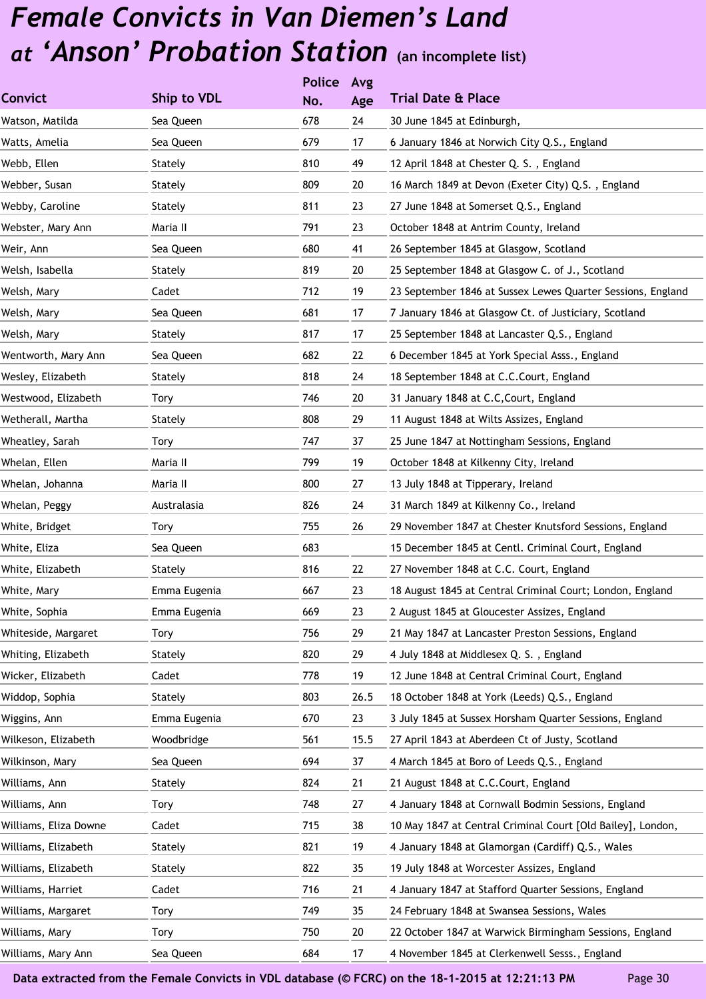|                       |              | <b>Police</b> | Avg  |                                                             |
|-----------------------|--------------|---------------|------|-------------------------------------------------------------|
| <b>Convict</b>        | Ship to VDL  | No.           | Age  | <b>Trial Date &amp; Place</b>                               |
| Watson, Matilda       | Sea Queen    | 678           | 24   | 30 June 1845 at Edinburgh,                                  |
| Watts, Amelia         | Sea Queen    | 679           | 17   | 6 January 1846 at Norwich City Q.S., England                |
| Webb, Ellen           | Stately      | 810           | 49   | 12 April 1848 at Chester Q. S., England                     |
| Webber, Susan         | Stately      | 809           | 20   | 16 March 1849 at Devon (Exeter City) Q.S., England          |
| Webby, Caroline       | Stately      | 811           | 23   | 27 June 1848 at Somerset Q.S., England                      |
| Webster, Mary Ann     | Maria II     | 791           | 23   | October 1848 at Antrim County, Ireland                      |
| Weir, Ann             | Sea Queen    | 680           | 41   | 26 September 1845 at Glasgow, Scotland                      |
| Welsh, Isabella       | Stately      | 819           | 20   | 25 September 1848 at Glasgow C. of J., Scotland             |
| Welsh, Mary           | Cadet        | 712           | 19   | 23 September 1846 at Sussex Lewes Quarter Sessions, England |
| Welsh, Mary           | Sea Queen    | 681           | 17   | 7 January 1846 at Glasgow Ct. of Justiciary, Scotland       |
| Welsh, Mary           | Stately      | 817           | 17   | 25 September 1848 at Lancaster Q.S., England                |
| Wentworth, Mary Ann   | Sea Queen    | 682           | 22   | 6 December 1845 at York Special Asss., England              |
| Wesley, Elizabeth     | Stately      | 818           | 24   | 18 September 1848 at C.C.Court, England                     |
| Westwood, Elizabeth   | Tory         | 746           | 20   | 31 January 1848 at C.C, Court, England                      |
| Wetherall, Martha     | Stately      | 808           | 29   | 11 August 1848 at Wilts Assizes, England                    |
| Wheatley, Sarah       | Tory         | 747           | 37   | 25 June 1847 at Nottingham Sessions, England                |
| Whelan, Ellen         | Maria II     | 799           | 19   | October 1848 at Kilkenny City, Ireland                      |
| Whelan, Johanna       | Maria II     | 800           | 27   | 13 July 1848 at Tipperary, Ireland                          |
| Whelan, Peggy         | Australasia  | 826           | 24   | 31 March 1849 at Kilkenny Co., Ireland                      |
| White, Bridget        | Tory         | 755           | 26   | 29 November 1847 at Chester Knutsford Sessions, England     |
| White, Eliza          | Sea Queen    | 683           |      | 15 December 1845 at Centl. Criminal Court, England          |
| White, Elizabeth      | Stately      | 816           | 22   | 27 November 1848 at C.C. Court, England                     |
| White, Mary           | Emma Eugenia | 667           | 23   | 18 August 1845 at Central Criminal Court; London, England   |
| White, Sophia         | Emma Eugenia | 669           | 23   | 2 August 1845 at Gloucester Assizes, England                |
| Whiteside, Margaret   | <b>Tory</b>  | 756           | 29   | 21 May 1847 at Lancaster Preston Sessions, England          |
| Whiting, Elizabeth    | Stately      | 820           | 29   | 4 July 1848 at Middlesex Q. S., England                     |
| Wicker, Elizabeth     | Cadet        | 778           | 19   | 12 June 1848 at Central Criminal Court, England             |
| Widdop, Sophia        | Stately      | 803           | 26.5 | 18 October 1848 at York (Leeds) Q.S., England               |
| Wiggins, Ann          | Emma Eugenia | 670           | 23   | 3 July 1845 at Sussex Horsham Quarter Sessions, England     |
| Wilkeson, Elizabeth   | Woodbridge   | 561           | 15.5 | 27 April 1843 at Aberdeen Ct of Justy, Scotland             |
| Wilkinson, Mary       | Sea Queen    | 694           | 37   | 4 March 1845 at Boro of Leeds Q.S., England                 |
| Williams, Ann         | Stately      | 824           | 21   | 21 August 1848 at C.C.Court, England                        |
| Williams, Ann         | Tory         | 748           | 27   | 4 January 1848 at Cornwall Bodmin Sessions, England         |
| Williams, Eliza Downe | Cadet        | 715           | 38   | 10 May 1847 at Central Criminal Court [Old Bailey], London, |
| Williams, Elizabeth   | Stately      | 821           | 19   | 4 January 1848 at Glamorgan (Cardiff) Q.S., Wales           |
| Williams, Elizabeth   | Stately      | 822           | 35   | 19 July 1848 at Worcester Assizes, England                  |
| Williams, Harriet     | Cadet        | 716           | 21   | 4 January 1847 at Stafford Quarter Sessions, England        |
| Williams, Margaret    | <b>Tory</b>  | 749           | 35   | 24 February 1848 at Swansea Sessions, Wales                 |
| Williams, Mary        | Tory         | 750           | 20   | 22 October 1847 at Warwick Birmingham Sessions, England     |
| Williams, Mary Ann    | Sea Queen    | 684           | 17   | 4 November 1845 at Clerkenwell Sesss., England              |
|                       |              |               |      |                                                             |